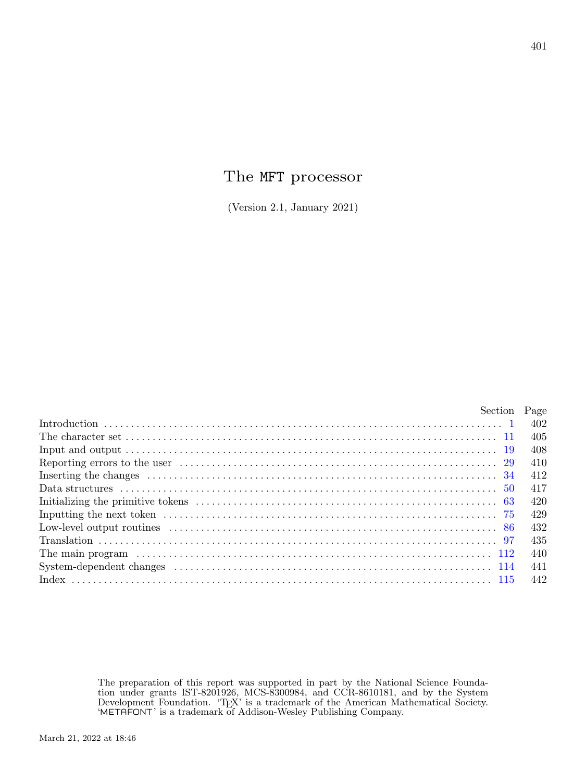# The MFT processor

(Version 2.1, January 2021)

| Section Page |       |
|--------------|-------|
|              | 402   |
|              | - 405 |
|              | -408  |
|              | -410  |
|              | 412   |
|              | 417   |
|              | -420  |
|              | 429   |
|              | -432  |
|              | -435  |
|              | -440  |
|              | 441   |
|              | 442   |

The preparation of this report was supported in part by the National Science Foundation under grants IST-8201926, MCS-8300984, and CCR-8610181, and by the System Development Foundation. 'TEX' is a trademark of the American Mathematical Society. 'METAFONT' is a trademark of Addison-Wesley Publishing Company.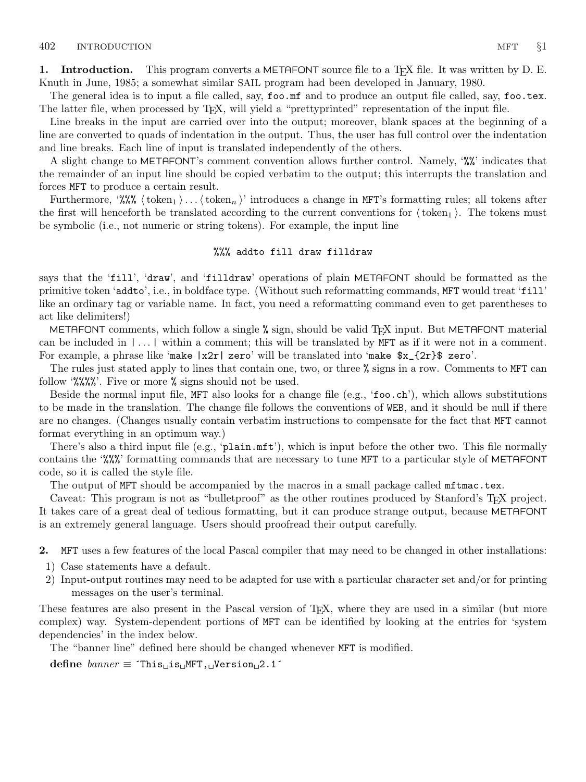<span id="page-1-0"></span>1. Introduction. This program converts a METAFONT source file to a T<sub>F</sub>X file. It was written by D. E. Knuth in June, 1985; a somewhat similar SAIL program had been developed in January, 1980.

The general idea is to input a file called, say, foo.mf and to produce an output file called, say, foo.tex. The latter file, when processed by TEX, will yield a "prettyprinted" representation of the input file.

Line breaks in the input are carried over into the output; moreover, blank spaces at the beginning of a line are converted to quads of indentation in the output. Thus, the user has full control over the indentation and line breaks. Each line of input is translated independently of the others.

A slight change to METAFONT's comment convention allows further control. Namely, '%%' indicates that the remainder of an input line should be copied verbatim to the output; this interrupts the translation and forces MFT to produce a certain result.

Furthermore, '%%  $\langle \text{token}_1 \rangle \dots \langle \text{token}_n \rangle$ ' introduces a change in MFT's formatting rules; all tokens after the first will henceforth be translated according to the current conventions for  $\langle \text{token}_1 \rangle$ . The tokens must be symbolic (i.e., not numeric or string tokens). For example, the input line

#### %%% addto fill draw filldraw

says that the 'fill', 'draw', and 'filldraw' operations of plain METAFONT should be formatted as the primitive token 'addto', i.e., in boldface type. (Without such reformatting commands, MFT would treat 'fill' like an ordinary tag or variable name. In fact, you need a reformatting command even to get parentheses to act like delimiters!)

METAFONT comments, which follow a single % sign, should be valid T<sub>E</sub>X input. But METAFONT material can be included in | . . . | within a comment; this will be translated by MFT as if it were not in a comment. For example, a phrase like 'make  $|x2r|$  zero' will be translated into 'make  $x_{12r}$  zero'.

The rules just stated apply to lines that contain one, two, or three % signs in a row. Comments to MFT can follow '%%%%'. Five or more % signs should not be used.

Beside the normal input file, MFT also looks for a change file (e.g., 'foo.ch'), which allows substitutions to be made in the translation. The change file follows the conventions of WEB, and it should be null if there are no changes. (Changes usually contain verbatim instructions to compensate for the fact that MFT cannot format everything in an optimum way.)

There's also a third input file (e.g., 'plain.mft'), which is input before the other two. This file normally contains the '%%%' formatting commands that are necessary to tune MFT to a particular style of METAFONT code, so it is called the style file.

The output of MFT should be accompanied by the macros in a small package called  $m$ ftmac.tex.

Caveat: This program is not as "bulletproof" as the other routines produced by Stanford's TEX project. It takes care of a great deal of tedious formatting, but it can produce strange output, because METAFONT is an extremely general language. Users should proofread their output carefully.

2. MFT uses a few features of the local Pascal compiler that may need to be changed in other installations:

- 1) Case statements have a default.
- 2) Input-output routines may need to be adapted for use with a particular character set and/or for printing messages on the user's terminal.

These features are also present in the Pascal version of TEX, where they are used in a similar (but more complex) way. System-dependent portions of MFT can be identified by looking at the entries for 'system dependencies' in the index below.

The "banner line" defined here should be changed whenever MFT is modified.

define  $banner \equiv$  ^This is MFT, Version 2.1^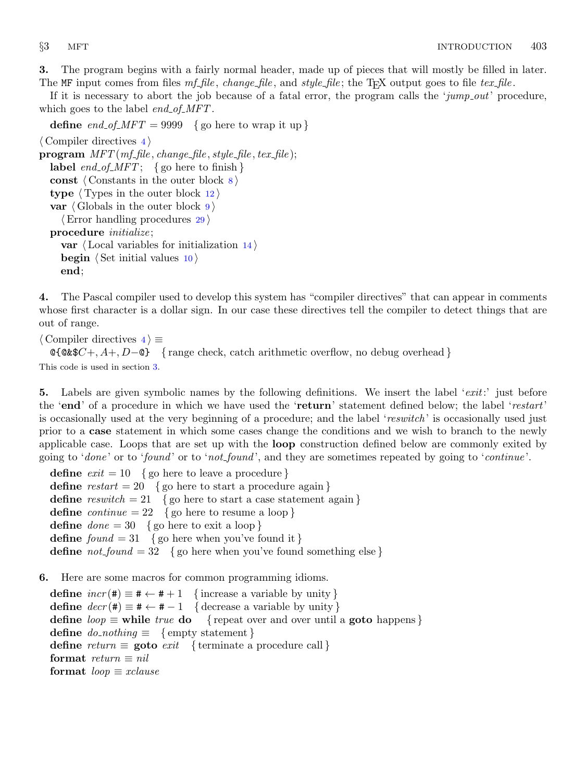<span id="page-2-0"></span>3. The program begins with a fairly normal header, made up of pieces that will mostly be filled in later. The MF input comes from files  $mf_{\text{eff}}$  change-file, and style-file; the T<sub>E</sub>X output goes to file tex-file.

If it is necessary to abort the job because of a fatal error, the program calls the ' $jump_out$ ' procedure, which goes to the label  $end_{of\_MFT}$ .

define end of  $MFT = 9999$  {go here to wrap it up }  $\langle$  Compiler directives 4 $\rangle$  $\mathbf{program} \ MFT(mf_{\mathit{m}}\mathit{file}, \mathit{change_{\mathit{m}}\mathit{file}}, \mathit{style}, \mathit{file_{\mathit{m}}\mathit{file}});$ label  $end_of_MFT$ ; { go here to finish } const  $\langle$  Constants in the outer block  $\langle$ type  $\langle$  Types in the outer block [12](#page-4-0)  $\rangle$ var  $\langle$  Globals in the outer block [9](#page-3-0) $\rangle$  $\langle$  Error handling procedures [29](#page-9-0) $\rangle$ procedure *initialize*; var  $\langle$  Local variables for initialization [14](#page-4-0) $\rangle$ begin  $\langle$  Set initial values [10](#page-3-0)  $\rangle$ end;

4. The Pascal compiler used to develop this system has "compiler directives" that can appear in comments whose first character is a dollar sign. In our case these directives tell the compiler to detect things that are out of range.

 $\langle$  Compiler directives  $4 \rangle \equiv$  $\text{QC4}\$  +, A+, D– $\text{Q}$ } { range check, catch arithmetic overflow, no debug overhead } This code is used in section 3.

5. Labels are given symbolic names by the following definitions. We insert the label 'exit:' just before the 'end' of a procedure in which we have used the 'return' statement defined below; the label 'restart' is occasionally used at the very beginning of a procedure; and the label 'reswitch' is occasionally used just prior to a case statement in which some cases change the conditions and we wish to branch to the newly applicable case. Loops that are set up with the loop construction defined below are commonly exited by going to '*done*' or to '*found*' or to '*not*\_*found*', and they are sometimes repeated by going to '*continue*'.

**define**  $exit = 10$  { go here to leave a procedure } define  $\text{restart} = 20$  { go here to start a procedure again } define  $resultch = 21$  {go here to start a case statement again } define *continue* = 22 { go here to resume a loop } **define**  $done = 30$  { go here to exit a loop } define  $found = 31$  {go here when you've found it } **define**  $not\_found = 32$  { go here when you've found something else }

6. Here are some macros for common programming idioms.

define  $incr(\#) \equiv # \leftarrow # + 1$  {increase a variable by unity } define  $decr(\texttt{#}) \equiv \texttt{#} \leftarrow \texttt{#} - 1$  { decrease a variable by unity } define  $loop \equiv$  while true do { repeat over and over until a goto happens} define  $do\_nothing \equiv \{$  empty statement  $\}$ define return  $\equiv$  goto exit { terminate a procedure call } format return  $\equiv$  nil format  $loop \equiv x clause$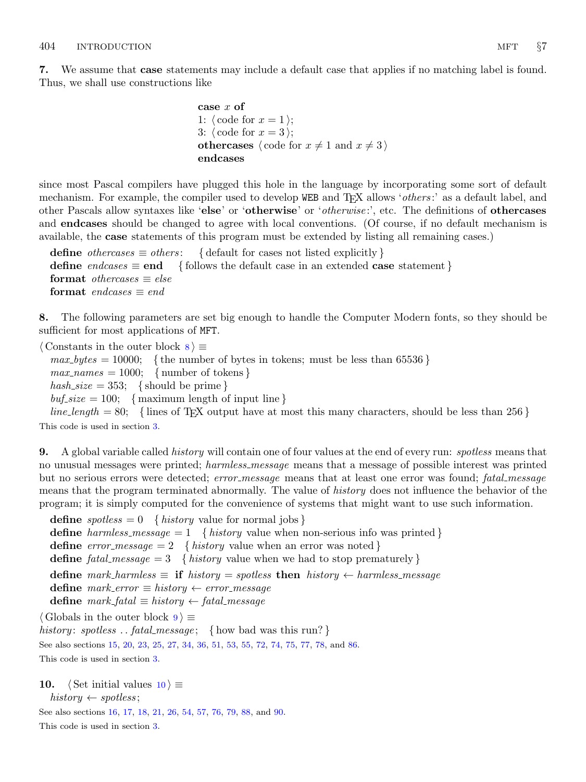<span id="page-3-0"></span>7. We assume that case statements may include a default case that applies if no matching label is found. Thus, we shall use constructions like

```
case x of
1: \langle \text{code for } x = 1 \rangle;3: \langle \text{code for } x = 3 \rangle;
othercases \langle \text{code for } x \neq 1 \text{ and } x \neq 3 \rangleendcases
```
since most Pascal compilers have plugged this hole in the language by incorporating some sort of default mechanism. For example, the compiler used to develop WEB and T<sub>EX</sub> allows '*others*:' as a default label, and other Pascals allow syntaxes like 'else' or 'otherwise' or '*otherwise*:', etc. The definitions of **othercases** and endcases should be changed to agree with local conventions. (Of course, if no default mechanism is available, the case statements of this program must be extended by listing all remaining cases.)

define *othercases*  $\equiv$  *others*: { default for cases not listed explicitly } define endcases  $\equiv$  end { follows the default case in an extended case statement } format *othercases*  $\equiv$  *else* format endcases  $\equiv$  end

8. The following parameters are set big enough to handle the Computer Modern fonts, so they should be sufficient for most applications of MFT.

 $\langle$  Constants in the outer block  $\langle$  \ended \rightarrow \rightarrow \rightarrow \rightarrow \rightarrow \rightarrow \rightarrow \rightarrow \rightarrow \rightarrow \rightarrow \rightarrow \rightarrow \rightarrow \righta

 $max_b ytes = 10000;$  {the number of bytes in tokens; must be less than 65536 }

 $max\_names = 1000;$  { number of tokens }

hash size = 353; { should be prime }

 $\text{buf\_size} = 100;$  { maximum length of input line }

 $line_length = 80;$  {lines of TEX output have at most this many characters, should be less than 256 } This code is used in section [3](#page-2-0).

**9.** A global variable called *history* will contain one of four values at the end of every run: *spotless* means that no unusual messages were printed; harmless\_message means that a message of possible interest was printed but no serious errors were detected; error\_message means that at least one error was found; fatal\_message means that the program terminated abnormally. The value of *history* does not influence the behavior of the program; it is simply computed for the convenience of systems that might want to use such information.

**define**  $spotless = 0$  { history value for normal jobs } define harmless message  $= 1$  { history value when non-serious info was printed } define  $error\_message = 2$  { history value when an error was noted } define fatal message = 3 { history value when we had to stop prematurely } define mark\_harmless  $\equiv$  if history  $=$  spotless then history  $\leftarrow$  harmless\_message define  $mark_error \equiv history \leftarrow error\_message$ define  $mark\_fatal \equiv history \leftarrow fatal\_message$ 

 $\langle$  Globals in the outer block  $9 \rangle \equiv$ 

history: spotless ... fatal\_message; { how bad was this run?} See also sections [15](#page-4-0), [20,](#page-7-0) [23](#page-7-0), [25](#page-7-0), [27,](#page-7-0) [34](#page-11-0), [36,](#page-11-0) [51,](#page-16-0) [53](#page-16-0), [55,](#page-16-0) [72,](#page-27-0) [74](#page-27-0), [75,](#page-28-0) [77](#page-28-0), [78](#page-28-0), and [86](#page-31-0).

This code is used in section [3](#page-2-0).

10.  $\langle$  Set initial values 10  $\rangle \equiv$  $history \leftarrow spots$ :

See also sections [16](#page-5-0), [17,](#page-5-0) [18](#page-6-0), [21](#page-7-0), [26,](#page-7-0) [54](#page-16-0), [57,](#page-17-0) [76,](#page-28-0) [79](#page-29-0), [88,](#page-31-0) and [90](#page-32-0).

This code is used in section [3](#page-2-0).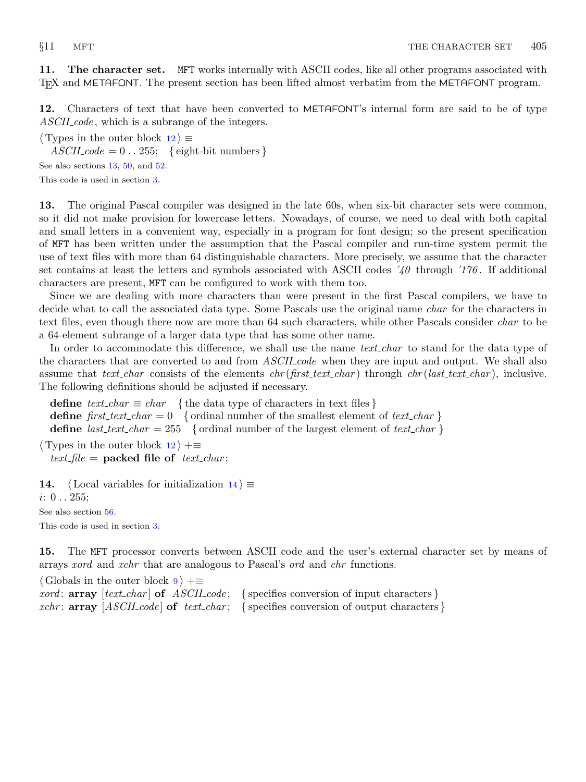<span id="page-4-0"></span>11. The character set. MFT works internally with ASCII codes, like all other programs associated with TEX and METAFONT. The present section has been lifted almost verbatim from the METAFONT program.

12. Characters of text that have been converted to METAFONT's internal form are said to be of type ASCII code, which is a subrange of the integers.

 $\langle$  Types in the outer block 12 $\rangle \equiv$ 

 $ASCII\_code = 0$ ... 255; { eight-bit numbers }

See also sections 13, [50,](#page-16-0) and [52.](#page-16-0)

This code is used in section [3](#page-2-0).

13. The original Pascal compiler was designed in the late 60s, when six-bit character sets were common, so it did not make provision for lowercase letters. Nowadays, of course, we need to deal with both capital and small letters in a convenient way, especially in a program for font design; so the present specification of MFT has been written under the assumption that the Pascal compiler and run-time system permit the use of text files with more than 64 distinguishable characters. More precisely, we assume that the character set contains at least the letters and symbols associated with ASCII codes  $\angle 40$  through  $\angle 176$ . If additional characters are present, MFT can be configured to work with them too.

Since we are dealing with more characters than were present in the first Pascal compilers, we have to decide what to call the associated data type. Some Pascals use the original name *char* for the characters in text files, even though there now are more than 64 such characters, while other Pascals consider *char* to be a 64-element subrange of a larger data type that has some other name.

In order to accommodate this difference, we shall use the name *text-char* to stand for the data type of the characters that are converted to and from *ASCII* code when they are input and output. We shall also assume that text char consists of the elements  $chr(first.text \dots char)$  through  $chr(last.text \dots char)$ , inclusive. The following definitions should be adjusted if necessary.

define  $text_{cchar} \equiv char$  { the data type of characters in text files } define first text char  $= 0$  { ordinal number of the smallest element of text char } define *last\_text\_char* = 255 { ordinal number of the largest element of *text\_char* }

 $\langle$  Types in the outer block 12  $\rangle$  +≡ text file = packed file of text char;

14. (Local variables for initialization  $14$ )  $\equiv$  $i: 0...255;$ See also section [56.](#page-16-0) This code is used in section [3](#page-2-0).

15. The MFT processor converts between ASCII code and the user's external character set by means of arrays xord and xchr that are analogous to Pascal's ord and chr functions.

 $\langle$  Globals in the outer block [9](#page-3-0)  $\rangle$  += *xord*:  $array [text{\n*char*] of *ASCII code*; {specifies conversion of input characters}$ xchr: **array**  $[ASCII_code]$  of text char; { specifies conversion of output characters }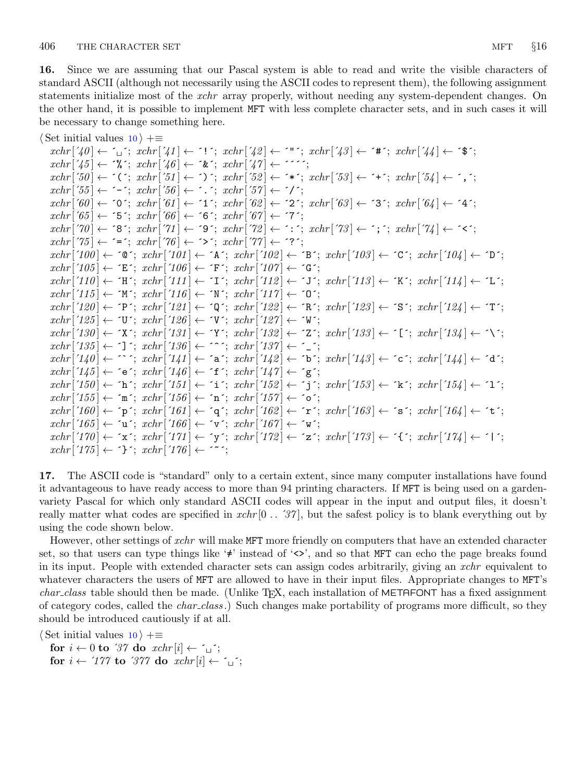<span id="page-5-0"></span>16. Since we are assuming that our Pascal system is able to read and write the visible characters of standard ASCII (although not necessarily using the ASCII codes to represent them), the following assignment statements initialize most of the *xchr* array properly, without needing any system-dependent changes. On the other hand, it is possible to implement MFT with less complete character sets, and in such cases it will be necessary to change something here.

 $\langle$  Set initial values [10](#page-3-0)  $\rangle$  +≡  $xchr\left[\left(40\right] \leftarrow \left[1\right]; xchr\left[\left(41\right] \leftarrow \left[1\right]; xchr\left[\left(42\right] \leftarrow \left[1\right]; xchr\left[\left(43\right] \leftarrow \left[4\right]; xchr\left[\left(44\right] \leftarrow \left[3\right]; xchr\left[\left[44\right] \leftarrow \left[3\right]; xchr\left[\left[44\right] \leftarrow \left[3\right]; xchr\left[\left[44\right] \leftarrow \left[3\right]; xchr\left[\left[44\right] \leftarrow \left[3\right]; xchr\left[\left[44\right] \leftarrow \left[3\right];$  $xchr['45] \leftarrow \text{``\&$~; xchr['46] \leftarrow \text{``\&$~; xchr['47] \leftarrow \text{''''};}$  $xchr['50] \leftarrow '('; xchr['51] \leftarrow '')'; xchr['52] \leftarrow '**'; xchr['53] \leftarrow '+'; xchr['54] \leftarrow ', ';$  $xchr['55] \leftarrow -$ ;  $xchr['56] \leftarrow$ .;  $xchr['57] \leftarrow '$  $xchr['60] \leftarrow '0'; xchr['61] \leftarrow '1'; xchr['62] \leftarrow '2'; xchr['63] \leftarrow '3'; xchr['64] \leftarrow '4';$  $xchr['65] \leftarrow 5$ ;  $xchr['66] \leftarrow 6$ ;  $xchr['67] \leftarrow 7$ ;  $xchr[70] \leftarrow$  '8';  $xchr[71] \leftarrow$  '9';  $xchr[72] \leftarrow$  ':';  $xchr[73] \leftarrow$ '; ';  $xchr[74] \leftarrow$ '';  $xchr['75] \leftarrow \equiv$ ;  $xchr['76] \leftarrow \sim$ ;  $xchr['77] \leftarrow \sim$ ?;  $xchr[100] \leftarrow$   $\circ \circ$ ;  $xchr[101] \leftarrow$   $\circ$  A ;  $xchr[102] \leftarrow \circ$  B ;  $xchr[103] \leftarrow \circ \circ$ ;  $xchr[104] \leftarrow \circ$  D ;  $xchr['105] \leftarrow \text{`E'}; xchr['106] \leftarrow \text{`F'}; xchr['107] \leftarrow \text{`G'};$  $xchr['110] \leftarrow \text{`H'}; xchr['111] \leftarrow \text{`I'}; xchr['112] \leftarrow \text{`J'}; xchr['113] \leftarrow \text{`K'}; xchr['114] \leftarrow \text{`L'};$  $xchr['115] \leftarrow \gamma' xchr['116] \leftarrow \gamma' xchr['117] \leftarrow \gamma'$ ;  $xchr[120] \leftarrow \text{`P'}; xchr[121] \leftarrow \text{`Q'}; xchr[122] \leftarrow \text{`R'}; xchr[123] \leftarrow \text{`S'}; xchr[124] \leftarrow \text{`T'};$  $xchr['125] \leftarrow \text{`U'}$ ;  $xchr['126] \leftarrow \text{`V'}$ ;  $xchr['127] \leftarrow \text{`W'}$ ;  $xchr['130] \leftarrow \text{`X'}; xchr['131] \leftarrow \text{`Y'}; xchr['132] \leftarrow \text{`Z'}; xchr['133] \leftarrow \text{`[}'; xchr['134] \leftarrow \text{`Y'};$  $xchr['135] \leftarrow$   $\cdot$ ]  $\cdot$ ;  $xchr['136] \leftarrow \cdot\cdot\cdot$ ;  $xchr['137] \leftarrow \cdot\cdot\cdot$ ;  $xchr[140] \leftarrow \cap$ ;  $xchr[141] \leftarrow$   $a$ ;  $xchr[142] \leftarrow b$ ;  $xchr[143] \leftarrow c$ ;  $xchr[144] \leftarrow a$ ;  $xchr['145] \leftarrow$  ´e´;  $xchr['146] \leftarrow$  ´f´;  $xchr['147] \leftarrow$  ´g´;  $xchr['150] \leftarrow \text{`h'}; xchr['151] \leftarrow \text{`i'}; xchr['152] \leftarrow \text{`j'}; xchr['153] \leftarrow \text{`k'}; xchr['154] \leftarrow \text{`1'};$  $xchr['155] \leftarrow \text{`m'}; xchr['156] \leftarrow \text{`n'}; xchr['157] \leftarrow \text{`o'};$  $xchr['160] \leftarrow \text{`p'}; xchr['161] \leftarrow \text{`q'}; xchr['162] \leftarrow \text{`r'}; xchr['163] \leftarrow \text{`s'}; xchr['164] \leftarrow \text{`t'};$  $xchr['165] \leftarrow \text{`u'}; xchr['166] \leftarrow \text{`v'}; xchr['167] \leftarrow \text{`w'};$  $xchr['170] \leftarrow x$ ;  $xchr['171] \leftarrow y$ ;  $xchr['172] \leftarrow z$ ;  $xchr['173] \leftarrow \{x; xchr['174] \leftarrow 1$ ;  $xchr['175] \leftarrow \text{'}$ ;  $xchr['176] \leftarrow \text{'}$ ;

17. The ASCII code is "standard" only to a certain extent, since many computer installations have found it advantageous to have ready access to more than 94 printing characters. If MFT is being used on a gardenvariety Pascal for which only standard ASCII codes will appear in the input and output files, it doesn't really matter what codes are specified in  $xchr[0 \dots 37]$ , but the safest policy is to blank everything out by using the code shown below.

However, other settings of xchr will make MFT more friendly on computers that have an extended character set, so that users can type things like '≠' instead of '<>', and so that MFT can echo the page breaks found in its input. People with extended character sets can assign codes arbitrarily, giving an xchr equivalent to whatever characters the users of MFT are allowed to have in their input files. Appropriate changes to MFT's  $char\_class$  table should then be made. (Unlike T<sub>E</sub>X, each installation of METAFONT has a fixed assignment of category codes, called the *char class*.) Such changes make portability of programs more difficult, so they should be introduced cautiously if at all.

 $\langle$  Set initial values [10](#page-3-0)  $\rangle$  +≡

for  $i \leftarrow 0$  to '37 do  $xchr[i] \leftarrow \gamma$ ; for  $i \leftarrow 777$  to  $377$  do  $xchr[i] \leftarrow \tilde{i}$ ;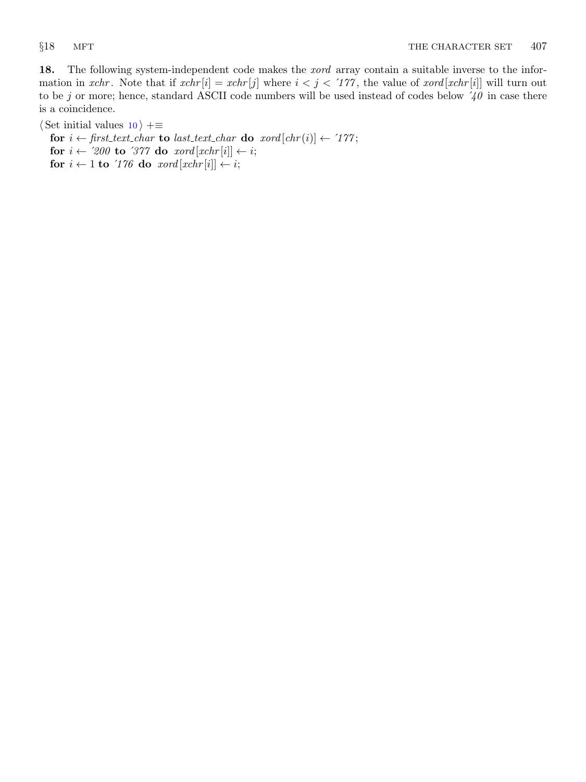<span id="page-6-0"></span>18. The following system-independent code makes the *xord* array contain a suitable inverse to the information in xchr. Note that if  $xchr[i] = xchr[j]$  where  $i < j < 177$ , the value of  $xord[xchr[i]]$  will turn out to be j or more; hence, standard ASCII code numbers will be used instead of codes below  $\frac{1}{40}$  in case there is a coincidence.

 $\langle$  Set initial values [10](#page-3-0)  $\rangle$  +≡

for  $i \leftarrow$  first\_text\_char to last\_text\_char do xord  $[chr(i)] \leftarrow '177$ ;

for  $i \leftarrow 200$  to 377 do  $xord[xchr[i]] \leftarrow i;$ 

for  $i \leftarrow 1$  to '176 do  $\text{word}[\text{xchr}[i]] \leftarrow i;$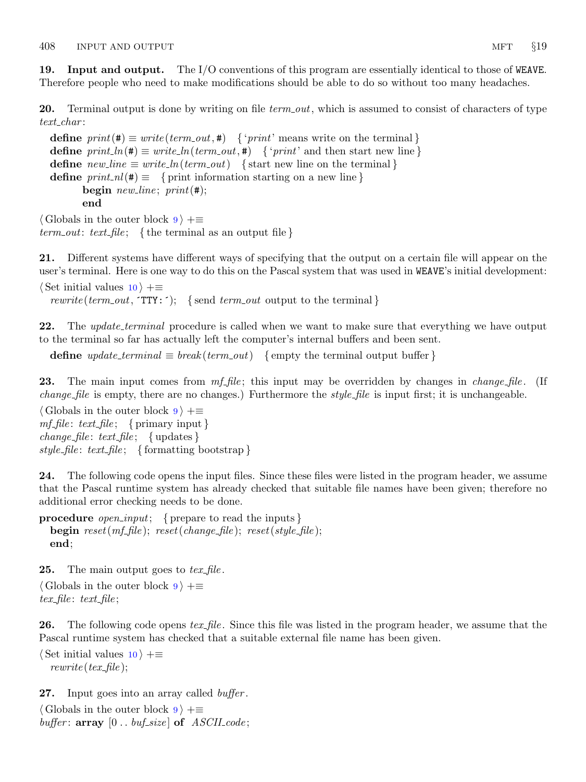<span id="page-7-0"></span>19. Input and output. The I/O conventions of this program are essentially identical to those of WEAVE. Therefore people who need to make modifications should be able to do so without too many headaches.

**20.** Terminal output is done by writing on file term out, which is assumed to consist of characters of type  $text_{\textit{-}char}$ :

define  $print(\texttt{\#}) \equiv write(term\_out, \texttt{\#})$  { 'print' means write on the terminal } **define**  $print\_ln(\textbf{#}) \equiv write\_ln(term\_out, \textbf{#})$  { 'print' and then start new line } define  $new\_line \equiv write\_ln(term\_out)$  {start new line on the terminal} define  $print\_nl(\#) \equiv \{$  print information starting on a new line } begin *new\_line*;  $print(\#);$ end

 $\langle$  Globals in the outer block [9](#page-3-0)  $\rangle$  +≡ term out: text file; { the terminal as an output file }

21. Different systems have different ways of specifying that the output on a certain file will appear on the user's terminal. Here is one way to do this on the Pascal system that was used in WEAVE's initial development:

 $\langle$  Set initial values [10](#page-3-0)  $\rangle$  +≡ rewrite (term\_out,  $TTY:$ ); {send term\_out output to the terminal}

22. The *update\_terminal* procedure is called when we want to make sure that everything we have output to the terminal so far has actually left the computer's internal buffers and been sent.

define *update\_terminal*  $\equiv break(term.out)$  { empty the terminal output buffer }

**23.** The main input comes from  $mf_{\mathcal{I}} file$ ; this input may be overridden by changes in *change-file*. (If change file is empty, there are no changes.) Furthermore the *style-file* is input first; it is unchangeable.

 $\langle$  Globals in the outer block [9](#page-3-0)  $\rangle$  +=  $mf_{\mathcal{I}} file: \text{text\_file}; \{ \text{primary input} \}$  $change_{\text{file}}$ :  $text_{\text{file}}$ ; { updates } style\_file: text\_file; { formatting bootstrap }

24. The following code opens the input files. Since these files were listed in the program header, we assume that the Pascal runtime system has already checked that suitable file names have been given; therefore no additional error checking needs to be done.

**procedure** *open\_input*; { prepare to read the inputs } **begin**  $reset(mf_{\textit{-}}file)$ ;  $reset(change_{\textit{-}}file)$ ;  $reset(style_{\textit{-}}file)$ ; end;

**25.** The main output goes to  $text\_file$ .

 $\langle$  Globals in the outer block [9](#page-3-0)  $\rangle$  +≡  $text_{\mathit{file}}$ : text-file;

**26.** The following code opens tex file. Since this file was listed in the program header, we assume that the Pascal runtime system has checked that a suitable external file name has been given.

 $\langle$  Set initial values [10](#page-3-0)  $\rangle$  +≡  $rewrite (tex$ file);

**27.** Input goes into an array called *buffer*.

 $\langle$  Globals in the outer block [9](#page-3-0)  $\rangle$  +≡ buffer:  $array [0..$  buf\_size of  $ASCII\_code;$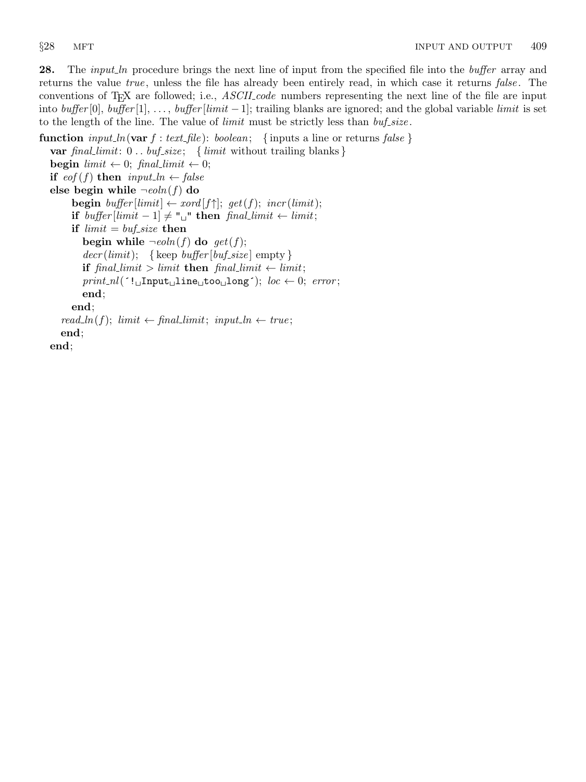<span id="page-8-0"></span>28. The *input ln* procedure brings the next line of input from the specified file into the *buffer* array and returns the value true, unless the file has already been entirely read, in which case it returns false. The conventions of T<sub>E</sub>X are followed; i.e., *ASCII code* numbers representing the next line of the file are input into buffer [0], buffer [1], ..., buffer [limit -1]; trailing blanks are ignored; and the global variable limit is set to the length of the line. The value of *limit* must be strictly less than  $buf\_size$ .

```
function input ln(var f : text file): boolean; {inputs a line or returns false}
  var final_limit: 0.. buf_size; { limit without trailing blanks}
  begin limit \leftarrow 0; final_limit \leftarrow 0;
  if \operatorname{cof}(f) then \operatorname{input\_ln} \leftarrow \operatorname{false}else begin while \negeoln(f) do
        begin buffer |limit| \leftarrow xord[f\uparrow]; get(f); incr(limit);if buffer|limit - 1| \neq "\sqcup" then final limit \leftarrow limit;if limit = but\_size then
           begin while \negeoln(f) do get(f);
           decr (limit); {keep buffer [buf_size] empty }
           if final limit > limit then final limit \leftarrow limit;
           print\_nl('! Input line too long'); loc \leftarrow 0; error;end;
       end;
     read\_ln(f); limit \leftarrow final\_limit; input ln \leftarrow true;end;
  end;
```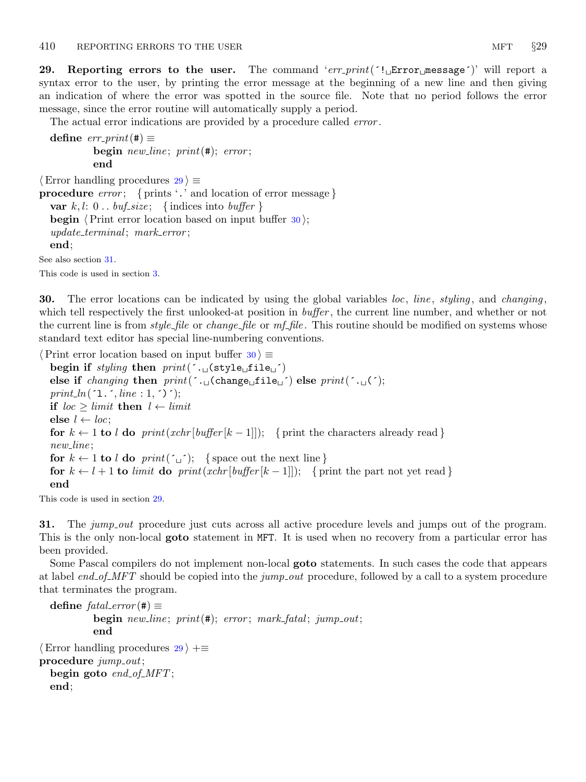<span id="page-9-0"></span>29. Reporting errors to the user. The command 'err-print( $\text{``i\_Error\_message''}$ )' will report a syntax error to the user, by printing the error message at the beginning of a new line and then giving an indication of where the error was spotted in the source file. Note that no period follows the error message, since the error routine will automatically supply a period.

The actual error indications are provided by a procedure called *error*.

```
define err\_print(#) \equivbegin new\_line; print(\#); error;
             end
\langle Error handling procedures 29\rangle \equiv
```

```
procedure error; { prints '.' and location of error message }
  var k, l: 0... buf\_size; {indices into buffer }
  begin \langle Print error location based on input buffer 30\rangle;
  update\_terminal; mark\_error;end;
```
See also section 31.

This code is used in section [3](#page-2-0).

**30.** The error locations can be indicated by using the global variables loc, line, styling, and changing, which tell respectively the first unlooked-at position in *buffer*, the current line number, and whether or not the current line is from *style-file* or *change-file* or  $mf$ -*file*. This routine should be modified on systems whose standard text editor has special line-numbering conventions.

 $\langle$  Print error location based on input buffer 30  $\rangle \equiv$ 

begin if styling then  $print(' \cdot \text{d}_{\text{style}} \text{style}_{\text{d}} \text{file} \text{d}$ else if *changing* then  $print(\cdot, \text{diag}(char \text{size}(file_{\text{u}}))$  else  $print(\cdot, \text{u}(\cdot))$ ; print\_ln( $\ulcorner$ 1. $\ulcorner$ , line : 1,  $\ulcorner$ ) $\ulcorner$ ); if  $\textit{loc} > \textit{limit}$  then  $l \leftarrow \textit{limit}$ else  $l \leftarrow loc;$ for  $k \leftarrow 1$  to l do print(xchr [buffer  $[k-1]$ ]); { print the characters already read} new\_line; for  $k \leftarrow 1$  to l do  $print(\tilde{\omega})$ ; {space out the next line } for  $k \leftarrow l + 1$  to limit do print(xchr [buffer  $[k-1]$ ]); { print the part not yet read } end

This code is used in section 29.

31. The jump out procedure just cuts across all active procedure levels and jumps out of the program. This is the only non-local **goto** statement in MFT. It is used when no recovery from a particular error has been provided.

Some Pascal compilers do not implement non-local goto statements. In such cases the code that appears at label end of MFT should be copied into the jump out procedure, followed by a call to a system procedure that terminates the program.

```
define fatal_error (#) \equivbegin new line; print(\texttt{\#}); error; mark fatal; jump out;
             end
\langle Error handling procedures 29 \rangle +≡
procedure \textit{jump\_out};
  begin goto end_{of\_MFT};
  end;
```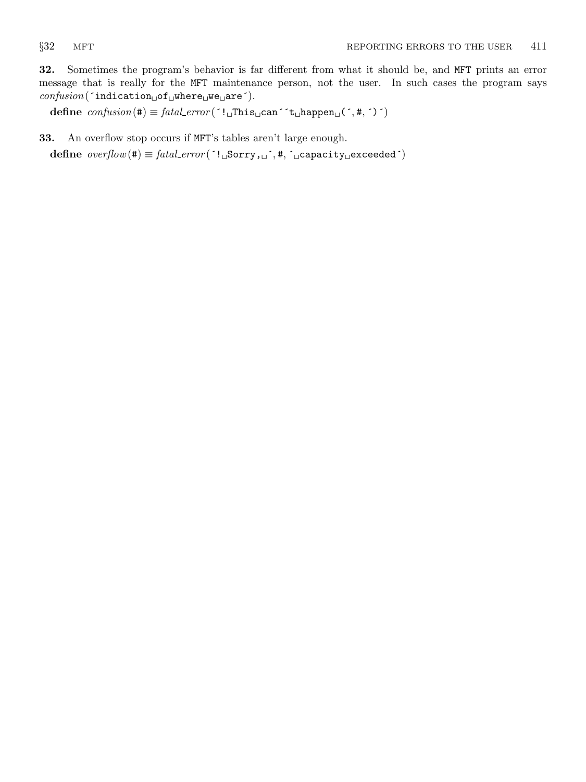<span id="page-10-0"></span>32. Sometimes the program's behavior is far different from what it should be, and MFT prints an error message that is really for the MFT maintenance person, not the user. In such cases the program says  $\mathit{confusion}(\mathtt{`indication_\sqcup of_\sqcup where_\sqcup we_\sqcup are'})$ .

define  $confusion(\texttt{\#}) \equiv \textit{fatal\_error}(\texttt{':} \texttt{\_IThis}\_\texttt{can}\texttt{':} \texttt{\_} \texttt{\_} \texttt{happen}\_\texttt{u}(\texttt{',\#},\texttt{')'})$ 

33. An overflow stop occurs if MFT's tables aren't large enough.

define  $\text{overflow}(\texttt{\#}) \equiv \text{fatal_error}(\texttt{':}\text{``Sorry},\text{``},\texttt{\#},\texttt{``} \text{``capacity}\text{``} \text{exceeded''})$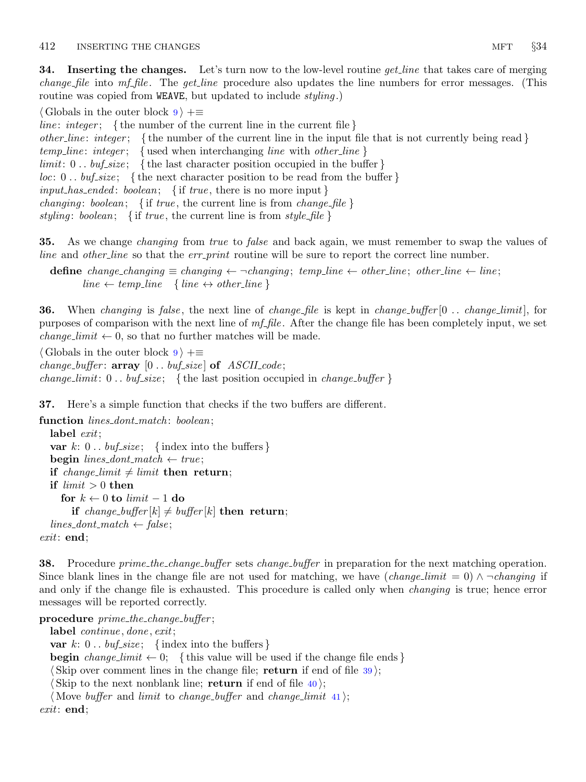<span id="page-11-0"></span>**34.** Inserting the changes. Let's turn now to the low-level routine *get line* that takes care of merging *change file* into  $mf$ -*file*. The *get-line* procedure also updates the line numbers for error messages. (This routine was copied from WEAVE, but updated to include *styling*.)

 $\langle$  Globals in the outer block [9](#page-3-0)  $\rangle$  +≡

*line: integer*; {the number of the current line in the current file } other line: integer; { the number of the current line in the input file that is not currently being read }  $temp\_line:integer; \{ used when interchanging line with other\_line\}$  $limit: 0$ ..  $buf\_size$ ; {the last character position occupied in the buffer}  $loc: 0...$  buf-size; {the next character position to be read from the buffer}  $input\_has\_ended:boolean; \{ \text{ if } true, \text{ there is no more input } \}$ *changing: boolean;* { if *true*, the current line is from *change\_file* } styling: boolean; { if true, the current line is from style-file }

35. As we change *changing* from *true* to *false* and back again, we must remember to swap the values of line and other line so that the err print routine will be sure to report the correct line number.

define change\_changing  $\equiv$  changing  $\leftarrow$   $\neg$ changing; temp\_line  $\leftarrow$  other\_line; other\_line  $\leftarrow$  line;  $line \leftarrow temp\_line \{ line \leftrightarrow other\_line \}$ 

**36.** When changing is false, the next line of change file is kept in change buffer  $[0 \dots change limit]$ , for purposes of comparison with the next line of  $m_f$  file. After the change file has been completely input, we set *change\_limit*  $\leftarrow$  0, so that no further matches will be made.

 $\langle$  Globals in the outer block [9](#page-3-0)  $\rangle$  += change\_buffer:  $array [0..$  buf\_size of  $ASCII\_code;$ change\_limit:  $0 \ldots \text{buf\_size}$ ; { the last position occupied in change\_buffer }

37. Here's a simple function that checks if the two buffers are different.

```
function lines_dont_match: boolean;
  label exit:
  var k: 0 \ldots \text{buf\_size}; {index into the buffers}
  begin lines_dont_match \leftarrow true;
  if change_limit \neq limit then return;
  if limit > 0 then
     for k \leftarrow 0 to limit -1 do
       if change_buffer[k] \neq buffer[k] then return;
  lines\_dont\_match \leftarrow false;exit: end;
```
**38.** Procedure prime the change buffer sets change buffer in preparation for the next matching operation. Since blank lines in the change file are not used for matching, we have  $(charge\_limit = 0) \land \neg changing$  if and only if the change file is exhausted. This procedure is called only when *changing* is true; hence error messages will be reported correctly.

procedure  $prime\_the\_change\_buffer$ ; label *continue*, *done*, *exit*; var k:  $0 \ldots \text{buf\_size}$ ; {index into the buffers} **begin** change limit  $\leftarrow 0$ ; {this value will be used if the change file ends } (Skip over comment lines in the change file; return if end of file  $39$ ); Skip to the next nonblank line; return if end of file  $40$ ; (Move *buffer* and *limit* to *change\_buffer* and *change\_limit* [41](#page-12-0)); exit: end;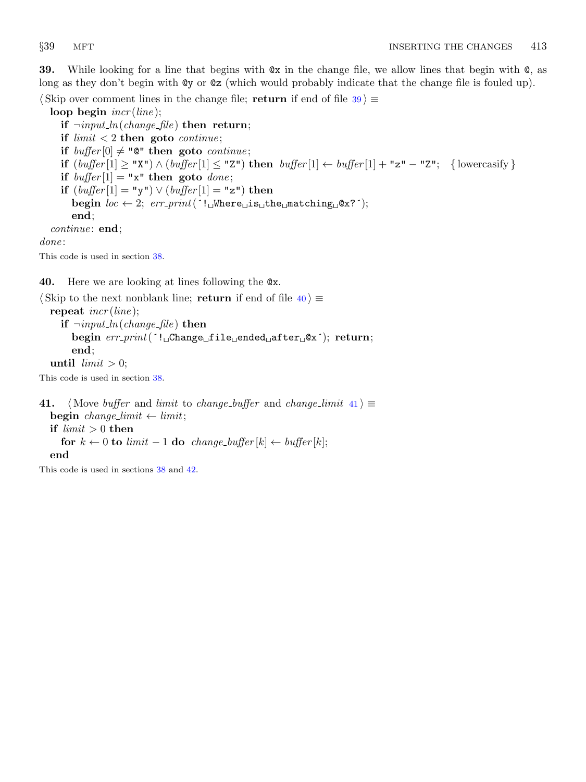<span id="page-12-0"></span>39. While looking for a line that begins with @x in the change file, we allow lines that begin with @, as long as they don't begin with @y or @z (which would probably indicate that the change file is fouled up).

 $\langle$  Skip over comment lines in the change file; return if end of file 39  $\rangle \equiv$ 

loop begin  $\text{incr}(\text{line});$ if  $\neg input\_ln(change\_file)$  then return; if  $limit < 2$  then goto *continue*; if  $buffer[0] \neq "Q"$  then goto *continue*; if  $(buffer[1] \ge "X") \wedge (buffer[1] \le "Z")$  then  $buffer[1] \leftarrow buffer[1] + "z" - "Z";$  {lowercasify } if  $buffer[1] = "x"$  then goto *done*; if  $(buffer[1] = "y") \vee (buffer[1] = "z")$  then begin  $loc \leftarrow 2$ ;  $err\_print('!\cup$ Where $\cup$ is $\cup$ the $\cup$ matching $\cup$ @x?´); end; continue: end; done:

This code is used in section [38](#page-11-0).

40. Here we are looking at lines following the @x.

```
\langle Skip to the next nonblank line; return if end of file \langle 40 \rangle \equivrepeat \text{incr}(\text{line});
     if \neg input\_ln(change\_file) then
        begin err print(´! Change file ended after @x´); return;
        end;
  until limit > 0;
```
This code is used in section [38](#page-11-0).

41. (Move buffer and limit to change buffer and change limit  $41$ )  $\equiv$ begin change\_limit  $\leftarrow$  limit; if  $limit > 0$  then for  $k \leftarrow 0$  to limit  $-1$  do change\_buffer[k]  $\leftarrow$  buffer[k]; end

This code is used in sections [38](#page-11-0) and [42](#page-13-0).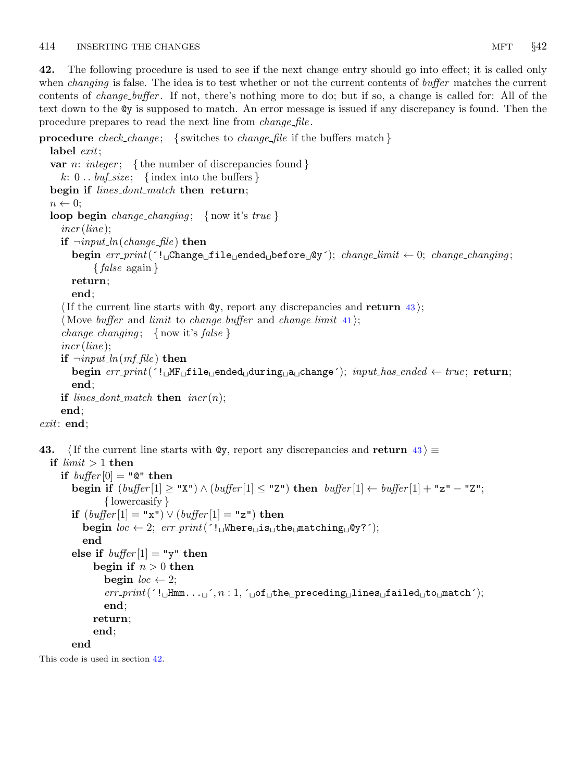<span id="page-13-0"></span>42. The following procedure is used to see if the next change entry should go into effect; it is called only when *changing* is false. The idea is to test whether or not the current contents of *buffer* matches the current contents of change buffer . If not, there's nothing more to do; but if so, a change is called for: All of the text down to the @y is supposed to match. An error message is issued if any discrepancy is found. Then the procedure prepares to read the next line from *change-file*.

**procedure** check change; { switches to change file if the buffers match }

```
label exit;
  var n: integer; {the number of discrepancies found }
     k: 0 \ldots \text{buf\_size}; {index into the buffers}
  begin if lines_dont_match then return;
  n \leftarrow 0;
  loop begin change_changing; { now it's true }
     incr (line):
     if \neg input\_ln(change\_file) then
        begin err\_print(\lceil \cdot \cdot \rceilChange<sub>U</sub>file<sub>U</sub>ended<sub>U</sub>before<sub>U</sub>@y<sup>\cdot</sup>); change_limit \leftarrow 0; change_changing;
              \{false \text{ again }\}return;
        end;
     If the current line starts with \mathbb{Q}y, report any discrepancies and return 43;
     (Move buffer and limit to change-buffer and change-limit 41);
     change_changing; { now it's false }
     incr (line);
     if \neg input\_ln(mf_{\textit{n}}f_{\textit{l}}e) then
        begin err\_print('! \text{uMF}_{\text{u}}file\text{u}ended\text{uturn}_{\text{u}}a change'); input has ended \leftarrow true; return;
        end;
     if lines_dont_match then \text{incr}(n);end;
exit: end;
```

```
43. \langle If the current line starts with \mathbb{Q}y, report any discrepancies and return 43 \rangle \equivif limit > 1 then
```

```
if buffer[0] = "Q" thenbegin if (\text{buffer}[1] \geq "X") \land (\text{buffer}[1] \leq "Z") then \text{buffer}[1] \leftarrow \text{buffer}[1] + "z" - "Z";{ lowercasify }
   if (buffer[1] = "x") \vee (buffer[1] = "z") then
       begin loc \leftarrow 2; err\_print( '! Where is the matching \mathfrak{g}_1?');
       end
   else if buffer[1] = "y" then
          begin if n > 0 then
              begin loc \leftarrow 2;
              err\_print( \lceil Hmm... \lceil \cdot \lceil \cdot \lceil \cdot \lceil \cdot \lceil \cdot \lceil \cdot \lceil \cdot \lceil \cdot \lceil \cdot \lceil \cdot \lceil \cdot \lceil \cdot \lceil \cdot \lceil \cdot \lceil \cdot \lceil \cdot \lceil \cdot \lceil \cdot \lend;
          return;
          end;
   end
```
This code is used in section 42.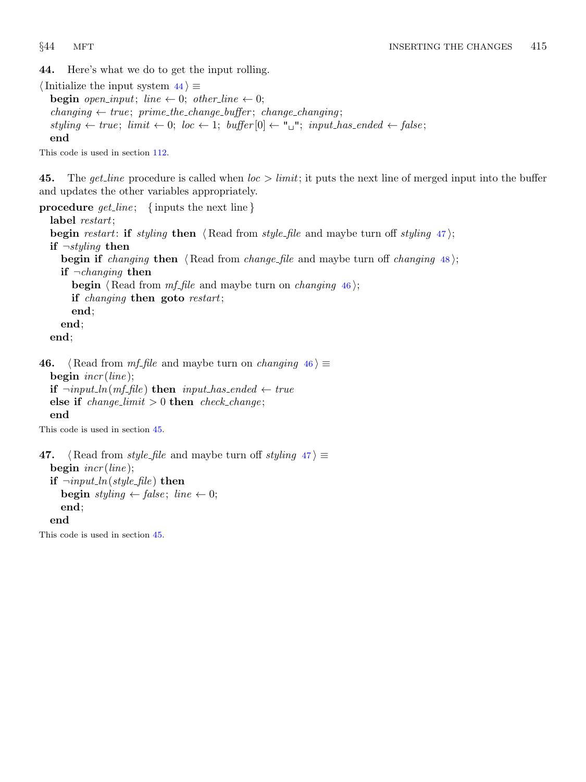<span id="page-14-0"></span>44. Here's what we do to get the input rolling.

 $\langle$  Initialize the input system 44 $\rangle \equiv$ **begin** open\_input; line  $\leftarrow 0$ ; other\_line  $\leftarrow 0$ ;  $changing \leftarrow true; prime\_the\_change\_buffer; change\_changing;$  $stylinder \leftarrow true; limit \leftarrow 0; loc \leftarrow 1; buffer[0] \leftarrow "u"; input\_has\_ended \leftarrow false;$ end

This code is used in section [112.](#page-39-0)

45. The get line procedure is called when  $loc > limit$ ; it puts the next line of merged input into the buffer and updates the other variables appropriately.

procedure  $get\_line$ ; {inputs the next line} label restart; begin restart: if styling then  $\langle$  Read from style file and maybe turn off styling 47 $\rangle$ ; if  $\neg styling$  then begin if *changing* then  $\langle$  Read from *change file* and maybe turn off *changing* [48](#page-15-0); if  $\neg changing$  then **begin**  $\langle$  Read from *mf file* and maybe turn on *changing* 46; if changing then goto restart; end; end; end;

46. {Read from mf file and maybe turn on changing  $46$  ≥ begin  $\text{incr}(\text{line})$ ; if  $\neg input\_ln(mf_{\text{th}})$  then  $input\_has_{\text{end}}$   $\leftarrow true$ else if  $change\_limit > 0$  then  $check\_change$ ; end

This code is used in section 45.

```
47. (Read from style_file and maybe turn off styling 47) \equivbegin \text{incr}(line);
  if \neg input\_ln(\text{style}\text{-file}) then
     begin styling \leftarrow false; line \leftarrow 0;
     end;
  end
```
This code is used in section 45.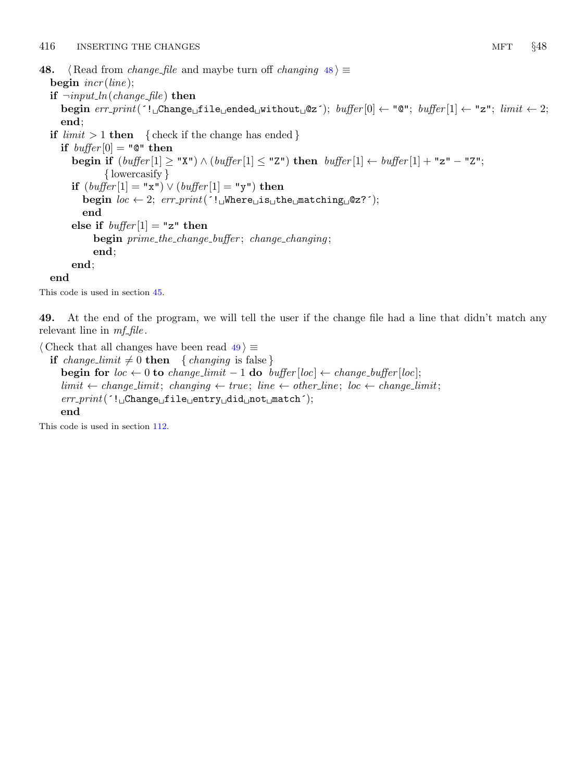- <span id="page-15-0"></span>48. {Read from *change\_file* and maybe turn off *changing*  $48$   $\equiv$ begin  $\text{incr}(\text{line})$ ; if  $\neg input\_ln(change\_file)$  then begin  $err\_print$ ( $'!$ , Change, file ended without  $@z$ ); buffer  $[0] \leftarrow "@";$  buffer  $[1] \leftarrow "z";$  limit  $\leftarrow 2;$ 
	- end; if  $limit > 1$  then { check if the change has ended } if  $buffer[0] = "Q" then$

begin if  $(\text{buffer}[1] \geq "X") \wedge (\text{buffer}[1] \leq "Z")$  then  $\text{buffer}[1] \leftarrow \text{buffer}[1] + "z" - "Z";$ { lowercasify } if  $(buffer[1] = "x") \vee (buffer[1] = "y")$  then begin  $loc \leftarrow 2$ ;  $err\_print('!\cup \text{Where} \cup \text{is} \cup \text{the} \cup \text{matching} \cup \text{@z?}$ ; end else if  $buffer[1] = "z"$  then begin prime\_the\_change\_buffer; change\_changing; end; end;

end

This code is used in section [45](#page-14-0).

49. At the end of the program, we will tell the user if the change file had a line that didn't match any relevant line in  $mf$ -file.

 $\langle$  Check that all changes have been read  $49$   $\equiv$ 

if change\_limit  $\neq 0$  then { changing is false } begin for  $loc \leftarrow 0$  to change\_limit  $-1$  do buffer [loc]  $\leftarrow$  change\_buffer [loc];  $limit \leftarrow change\_limit$ ; changing  $\leftarrow true$ ; line  $\leftarrow other\_line$ ; loc  $\leftarrow change\_limit$ ;  $err\_print($   $':$   $\Box$ Change $\Box$ file $\Box$ entry $\Box$ did $\Box$ not $\Box$ match $\Box$ ; end

This code is used in section [112.](#page-39-0)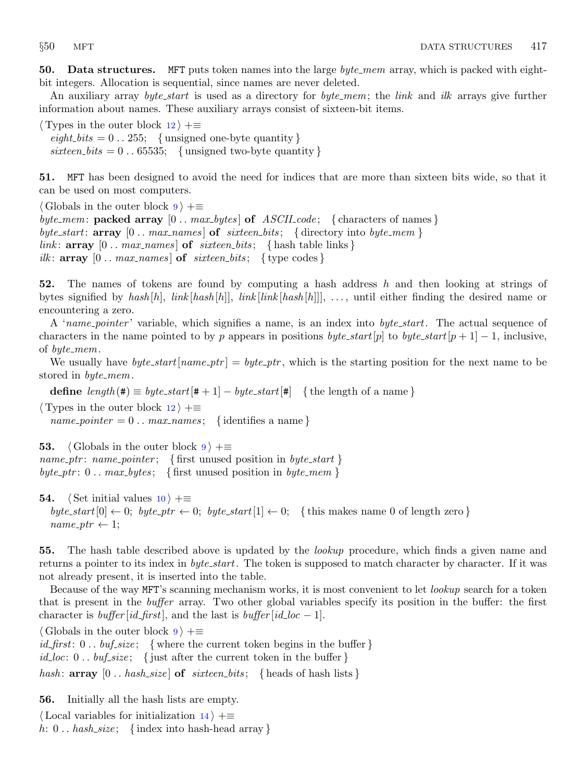<span id="page-16-0"></span>50. Data structures. MFT puts token names into the large  $byte\_mem$  array, which is packed with eightbit integers. Allocation is sequential, since names are never deleted.

An auxiliary array *byte\_start* is used as a directory for *byte\_mem*; the *link* and *ilk* arrays give further information about names. These auxiliary arrays consist of sixteen-bit items.

 $\langle$  Types in the outer block [12](#page-4-0)  $\rangle$  +≡  $\text{eighth} \text{bits} = 0$ . 255; {unsigned one-byte quantity} sixteen\_bits =  $0 \dots 65535$ ; {unsigned two-byte quantity}

51. MFT has been designed to avoid the need for indices that are more than sixteen bits wide, so that it can be used on most computers.

 $\langle$  Globals in the outer block  $9 \rangle + \equiv$  $9 \rangle + \equiv$ byte\_mem: packed array  $[0 \tldots max_b \y{tes}]$  of  $ASCILcode$ ; { characters of names} byte\_start:  $array \t[0.3em]$  [0 . . max\_names] of sixteen\_bits; {directory into byte\_mem} link:  $array [0.. max\_names]$  of  $s$ ixteen bits; { hash table links } ilk:  $array [0..max\_names]$  of  $s$ ixteen\_bits; { type codes }

52. The names of tokens are found by computing a hash address h and then looking at strings of bytes signified by hash  $[h]$ , link  $[hash[h]]$ , link  $[link[hash[h]]]$ , ..., until either finding the desired name or encountering a zero.

A 'name pointer' variable, which signifies a name, is an index into byte start. The actual sequence of characters in the name pointed to by p appears in positions byte\_start[p] to byte\_start[p+1] – 1, inclusive, of  $byte\_mem$ .

We usually have *byte\_start* [name\_ptr] = byte\_ptr, which is the starting position for the next name to be stored in *byte\_mem*.

define  $length(\#) \equiv byte\_start[\# + 1] - byte\_start[\#]$  {the length of a name}

 $\langle$  Types in the outer block [12](#page-4-0)  $\rangle$  +≡  $name\_pointer = 0 \dots max\_names; \{ identities a name\}$ 

53.  $\langle$  Globals in the outer block  $9 \rangle + \equiv$  $9 \rangle + \equiv$ name\_ptr: name\_pointer; { first unused position in byte\_start } byte\_ptr:  $0 \ldots max_b$ ytes; { first unused position in byte\_mem }

**54.**  $\langle$  Set initial values [10](#page-3-0)  $\rangle$  +≡ byte\_start  $[0] \leftarrow 0$ ; byte\_ptr  $\leftarrow 0$ ; byte\_start  $[1] \leftarrow 0$ ; {this makes name 0 of length zero }  $name\_ptr \leftarrow 1;$ 

55. The hash table described above is updated by the *lookup* procedure, which finds a given name and returns a pointer to its index in *byte\_start*. The token is supposed to match character by character. If it was not already present, it is inserted into the table.

Because of the way MFT's scanning mechanism works, it is most convenient to let *lookup* search for a token that is present in the buffer array. Two other global variables specify its position in the buffer: the first character is *buffer* [id\_first], and the last is *buffer* [id\_loc – 1].

 $\langle$  Globals in the outer block [9](#page-3-0)  $\rangle$  +≡

*id\_first*:  $0 \dots \text{buf\_size}$ ; {where the current token begins in the buffer } id loc:  $0$ .. buf size; { just after the current token in the buffer } hash:  $array [0..hash_size]$  of  $s$ ixteen bits; { heads of hash lists }

56. Initially all the hash lists are empty.

 $\langle$  Local variables for initialization [14](#page-4-0)  $\rangle$  +≡ h:  $0$ .. hash\_size; {index into hash-head array}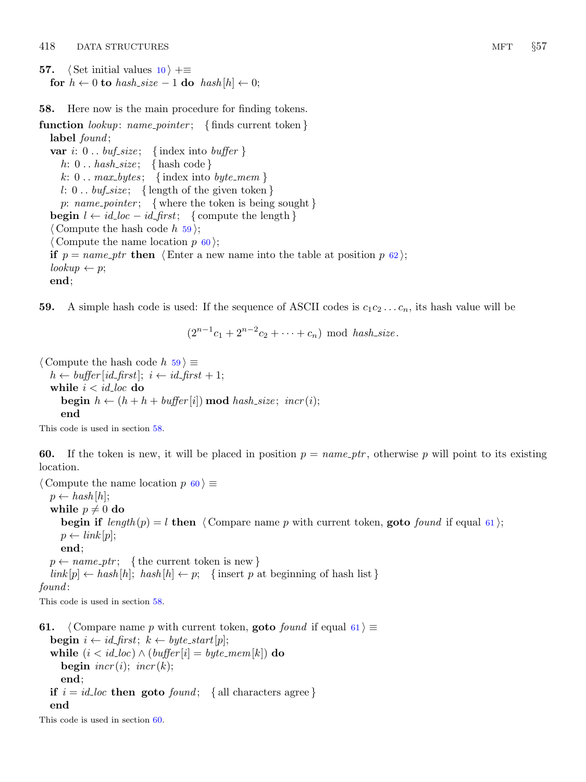- <span id="page-17-0"></span>**57.**  $\langle$  Set initial values [10](#page-3-0)  $\rangle$  +≡ for  $h \leftarrow 0$  to hash\_size  $-1$  do hash  $[h] \leftarrow 0$ ;
- 58. Here now is the main procedure for finding tokens.

function  $lookup: name\_pointer; \{ finds current token\}$ label found; var i:  $0 \ldots \text{buf\_size}$ ; {index into buffer } h:  $0 \ldots hash\_size; \{ hashcode\}$ k:  $0 \ldots \text{max_bytes};$  {index into byte\_mem} l: 0...  $buf\_size$ ; {length of the given token} p: name\_pointer; { where the token is being sought } **begin**  $l \leftarrow id\_loc - id\_first$ ; { compute the length }  $\langle$  Compute the hash code h 59 $\rangle$ ;  $\langle$  Compute the name location p 60 $\rangle$ ; if  $p = name\_ptr$  then  $\langle$  Enter a new name into the table at position p [62](#page-18-0) $\rangle$ ;  $lookup \leftarrow p;$ end;

59. A simple hash code is used: If the sequence of ASCII codes is  $c_1c_2 \ldots c_n$ , its hash value will be

 $(2^{n-1}c_1 + 2^{n-2}c_2 + \cdots + c_n) \text{ mod } hash\_size.$ 

 $\langle$  Compute the hash code h 59  $\rangle \equiv$  $h \leftarrow \text{buffer}[\text{id\_first}]; i \leftarrow \text{id\_first} + 1;$ while  $i < i d$ <sub>-loc</sub> do **begin**  $h \leftarrow (h + h + \text{buffer}[i]) \text{ mod } \text{hash\_size}; \text{incr}(i);$ end

This code is used in section 58.

60. If the token is new, it will be placed in position  $p = name\_ptr$ , otherwise p will point to its existing location.

 $\langle$  Compute the name location  $p \, 60 \rangle \equiv$  $p \leftarrow hash[h];$ while  $p \neq 0$  do begin if  $length(p) = l$  then  $\langle$  Compare name p with current token, goto found if equal 61 :  $p \leftarrow link[p];$ end;  $p \leftarrow name\_ptr;$  {the current token is new }  $link[p] \leftarrow hash[h]$ ; hash  $[h] \leftarrow p$ ; {insert p at beginning of hash list} found: This code is used in section 58.

**61.**  $\langle$  Compare name p with current token, **goto** found if equal 61  $\rangle \equiv$ **begin**  $i \leftarrow id\_first$ ;  $k \leftarrow byte\_start[p]$ ; while  $(i < id\_loc) \wedge (buffer[i] = byte\_mem[k])$  do begin  $\text{incr}(i)$ ;  $\text{incr}(k)$ ; end; if  $i = id\_loc$  then goto  $found$ ; { all characters agree } end

This code is used in section 60.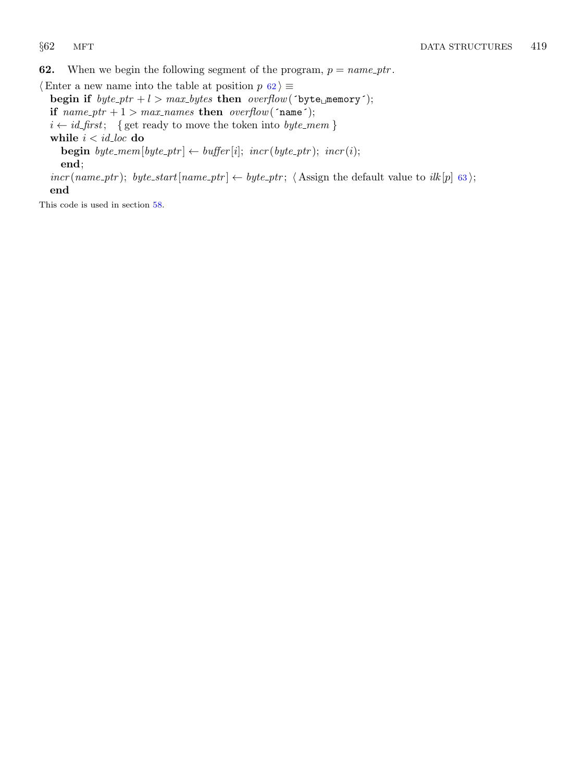<span id="page-18-0"></span>**62.** When we begin the following segment of the program,  $p = name\_ptr$ .

 $\langle$  Enter a new name into the table at position p 62 $\rangle$  ≡ begin if  $byte\_ptr + l > max_bytes$  then  $overflow('byte\_memory');$ if  $name\_ptr + 1 > max\_names$  then  $overflow('name');$  $i \leftarrow \mathit{id\_first}; \ \ \{ \text{get ready to move the token into } \mathit{byte\_mem} \, \}$ while  $i < i d$ <sub>-loc</sub> do **begin** byte\_mem[byte\_ptr]  $\leftarrow$  buffer[i]; incr(byte\_ptr); incr(i); end;

 $incr(name\_ptr); byte\_start(name\_ptr] \leftarrow byte\_ptr; \langle Assign the default value to ilk[p] 63};$  $incr(name\_ptr); byte\_start(name\_ptr] \leftarrow byte\_ptr; \langle Assign the default value to ilk[p] 63};$  $incr(name\_ptr); byte\_start(name\_ptr] \leftarrow byte\_ptr; \langle Assign the default value to ilk[p] 63};$ end

This code is used in section [58](#page-17-0).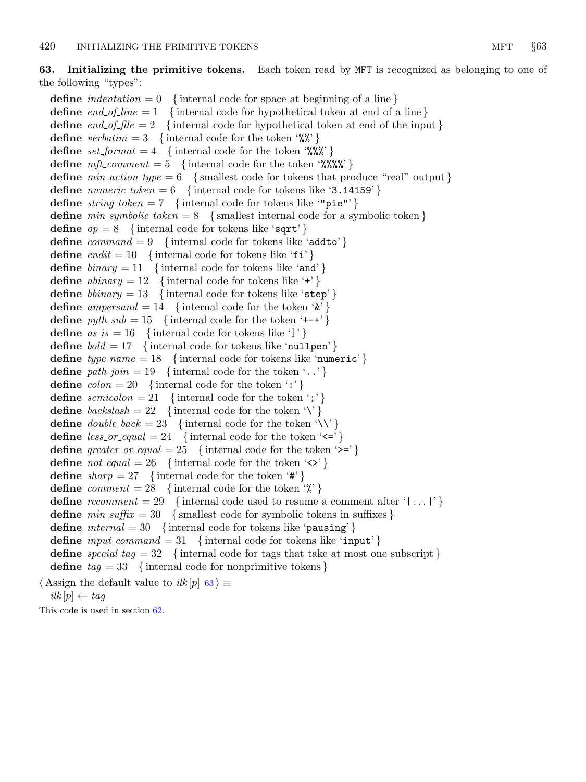# <span id="page-19-0"></span>63. Initializing the primitive tokens. Each token read by MFT is recognized as belonging to one of the following "types":

define *indentation*  $= 0$  { internal code for space at beginning of a line } define end of line = 1 { internal code for hypothetical token at end of a line} **define** end of file  $= 2$  {internal code for hypothetical token at end of the input } define verbatim = 3 { internal code for the token '%"} define  $set_{format} = 4$  {internal code for the token '%%"} define  $mft\_comment = 5$  {internal code for the token '%%%"} define  $min\_action\_type = 6$  {smallest code for tokens that produce "real" output } define *numeric\_token* = 6 { internal code for tokens like '3.14159' } define  $string\_token = 7$  {internal code for tokens like "pie"'} define  $min\_symbolic\_token = 8$  {smallest internal code for a symbolic token } define  $op = 8$  {internal code for tokens like 'sqrt' } define  $command = 9$  {internal code for tokens like 'addto' } **define** endit = 10 { internal code for tokens like ' $f$ i' } define  $\text{binary} = 11$  { internal code for tokens like 'and' } define  $abinary = 12$  {internal code for tokens like '+' } define  $\text{b} \text{i}$  mary = 13 { internal code for tokens like 'step' } **define** ampersand = 14 { internal code for the token  $\mathscr{L}'$ } define  $pythonb = 15$  {internal code for the token '+−+' } define  $as_is = 16$  {internal code for tokens like ']' } define  $bold = 17$  {internal code for tokens like 'nullpen' } define  $type_name = 18$  {internal code for tokens like 'numeric'} define  $path\_join = 19$  {internal code for the token '..'} define  $\text{colon} = 20$  {internal code for the token ':'} **define** semicolon = 21 { internal code for the token '; '} **define**  $backslash = 22$  {internal code for the token '\'} define  $double\text{-}back = 23$  {internal code for the token '\\' } define  $less\_or\_equal = 24$  {internal code for the token '<='} define greater\_or\_equal = 25 { internal code for the token ' $\geq$ '} define  $\textit{not}\_\textit{equal} = 26$  {internal code for the token ' $\langle \rangle$ '} define  $sharp = 27$  {internal code for the token '#'} define *comment* = 28 { internal code for the token  $\mathcal{C}'$ } define recomment  $= 29$  {internal code used to resume a comment after '|...|'} define  $min\_suffix = 30$  {smallest code for symbolic tokens in suffixes} define  $internal = 30$  {internal code for tokens like 'pausing' } define  $input_{\text{command}} = 31$  {internal code for tokens like 'input'} define special  $tag = 32$  {internal code for tags that take at most one subscript} define  $tag = 33$  {internal code for nonprimitive tokens}  $\langle$  Assign the default value to  $ilk[p]$  63 $\rangle \equiv$ 

 $i$ lk  $|p| \leftarrow$  tag

This code is used in section [62](#page-18-0).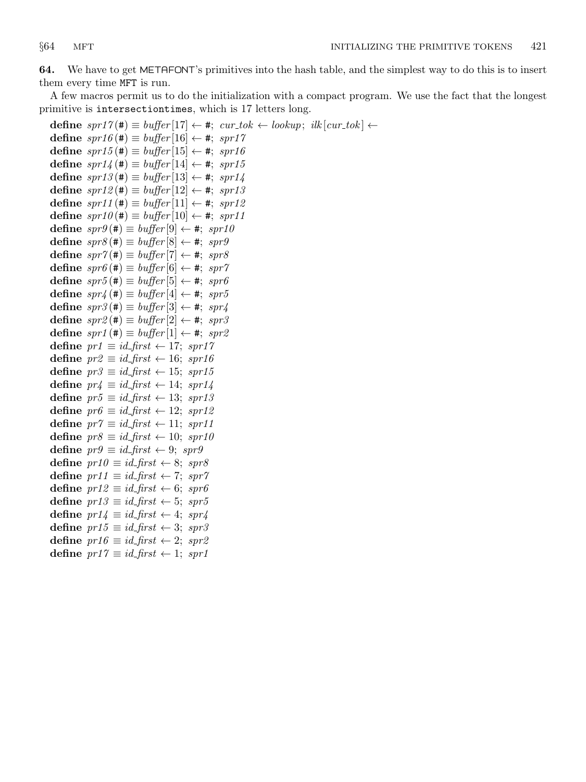<span id="page-20-0"></span>64. We have to get METAFONT's primitives into the hash table, and the simplest way to do this is to insert them every time MFT is run.

A few macros permit us to do the initialization with a compact program. We use the fact that the longest primitive is intersectiontimes, which is 17 letters long.

```
define spr17(\texttt{\#}) \equiv buffer[17] \leftarrow \texttt{\#}; \text{ } cur\_tok \leftarrow lookup; \text{ } ilk[cur\_tok] \leftarrowdefine spr16 (\#) \equiv buffer[16] \leftarrow #; spr17define spr15 (\#) \equiv buffer[15] \leftarrow \#; spr16define spr14 (\#) \equiv buffer[14] \leftarrow *, spr15define spr13(\#) \equiv buffer[13] \leftarrow \#; spr14define spr12(\#) \equiv buffer[12] \leftarrow *, spr13define spr11(\#) \equiv buffer[11] \leftarrow \#; spr12define spr10(\#) \equiv buffer[10] \leftarrow *, spr11define spr9 (#) \equiv buffer[9] \leftarrow #; spr10
define spr8(\#) \equiv buffer[8] \leftarrow *, spr9define spr7(\#) \equiv buffer[7] \leftarrow *, spr8define spr6 (#) \equiv buffer[6] \leftarrow #; spr7
define spr5 (#) \equiv buffer[5] \leftarrow #; spr6
define spr4 (#) \equiv buffer[4] \leftarrow #; spr5
define spr3 (#) \equiv buffer[3] \leftarrow #; spr4
define spr2(\#) \equiv buffer[2] \leftarrow \#; spr3define spr1 (#) \equiv buffer[1] \leftarrow #; spr2
define pr1 \equiv id\_first \leftarrow 17; spr17
define pr2 \equiv id\_first \leftarrow 16; spr16
define pr3 ≡ id\_first ← 15; spr15
define pr4 \equiv id\_first \leftarrow 14; spr14
define pr5 \equiv id\_first \leftarrow 13; spr13
define pr6 \equiv id\_first \leftarrow 12; spr12
define pr7 \equiv id\_first \leftarrow 11; spr11
define pr8 \equiv id\_first \leftarrow 10; spr10
define pr9 \equiv id\_first \leftarrow 9; spr9
define pr10 \equiv id\_first \leftarrow 8; spr8
define pr11 \equiv id\_first \leftarrow 7; spr7
define pr12 \equiv id\_first \leftarrow 6; spr6
define pr13 \equiv id\_first \leftarrow 5; spr5
define pr14 \equiv id\_first \leftarrow 4; spr4
define pr15 \equiv id\_first \leftarrow 3; spr3
define pr16 \equiv id\_first \leftarrow 2; spr2
define pr17 ≡ id\_first ← 1; spr1
```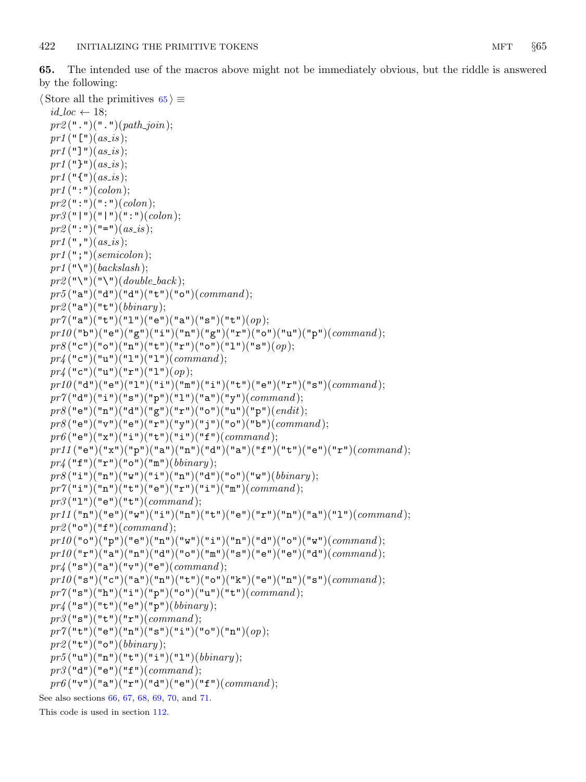<span id="page-21-0"></span>65. The intended use of the macros above might not be immediately obvious, but the riddle is answered by the following:

```
\langle Store all the primitives 65 \rangle \equivid\_loc \leftarrow 18;pr2(" "")(" "")(path\_join);pr1 ("[")(as_is);
  pr1 ("]")(as_is);
  pr1 ("}")(as_is);
  pr1 ("{")(as_is);
  pr1 (":")(colon);
  pr2(";")(";")(color);pr3 ("|")("|")(":")(colon);
  pr2("")("="](as_is);pr1 (",")(as_is);
  pr1 (";")(semicolon);
  pr1 ("\")(backslash);
  pr2 ("\")("\")(double_back);
  pr5("a")("d")("d")("t")("b")("o")(command);pr2 ("a")("t")(bbinary);
  pr7("a")("t")("l")("e")("a")("s")("t")(<i>op</i>);prl0("b")("e")("g")("\mathbf{r}")("n")("g")("\mathbf{r}")("o")("u")("p")(command);
  pr8("c")("o")("n")("t")("r")("o")("l")("s")(<i>op</i>);pr_4 ("c")("u")("1")("1")(command);
  pr_4 ("c")("u")("r")("1")(op);
  prl0("d")("e")("1")("i")("m")("i")("t")("e")("r")("s")(command);
  pr7("d")("i")("s")("p")("l")("a")("a")("y")(<i>command</i>);pr8("e")("n")("d")("g")("r")("o")("u")("p")(<i>endit</i>);pr8("e")("v")("e")("r")("y")("j")("o")("b")(<i>command</i>);pr6("e")("x")("i")("t")("i")("i")("f")(command);prl1 ("e")("x")("p")("a")("n")("d")("a")("f")("t")("e")("r")(command);
  pr_4 ("f")("r")("o")("m")(bbinary);
  pr8("i")("n")("w")("i")("n")("n")("d")("o")("w")(<i>biinary</i>);pr7("i")("n")("t")("e")("r")("i")("in")(command);pr3("1")("e")("t")(command);pr11 ("n")("e")("w")("i")("n")("t")("e")("r")("n")("a")("1")(command);
  pr2("o")("f")(command);p r 10("o")("p")("e")("n")("w")("i")("n")("d")("d")("v")("w")(<i>command</i>)p r 10("r")("a")("n")("d")("o")("m")("s")("e")("e")("d")(<i>command</i>);
  pr_4 ("s")("a")("v")("e")(command);
  pr10("s")("c")("a")("n")("t")("c")("a")("k")("e")("n")("s")(<i>command</i>)pr7("s")("h")("i")("p")("o")("u")("t")(<i>command</i>);pr_4 ("s")("t")("e")("p")(bbinary);
  pr3("s")("t")("r")(command);pr7("t")("e")("n")("s")("i")("o")("n")(<i>op</i>);pr2 ("t")("o")(bbinary);
  pr5("u")("n")("t")("i")("l")(<i>binary</i>);pr3 ("d")("e")("f")(command);
  pr6("v")("a")("r")("d")("e")("f")(command);See also sections 66, 67, 68, 69, 70, and 71.
This code is used in section 112.
```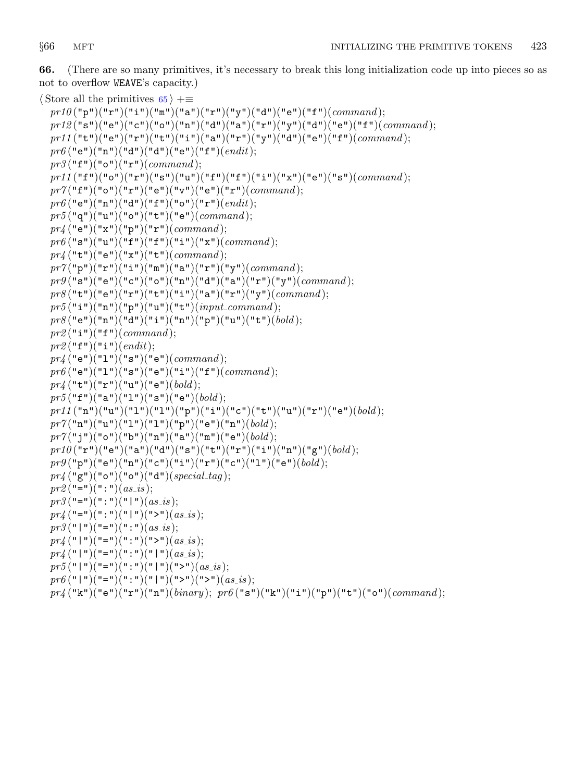<span id="page-22-0"></span>66. (There are so many primitives, it's necessary to break this long initialization code up into pieces so as not to overflow WEAVE's capacity.)

```
\langle65 \rangle +≡
```

```
pr10("p")("r")("i")("m")("a")("r")("y")("d")("e")("f")(<i>command</i>);pr12 ("s") ("e")("c")("c")("n")("n")("d")("a")("r")("y")("d")("e")("f")"(<i>command</i>);pr11("t")("e")("r")("t")("i")("a")("r")("y")("d")("e")("f")(command);
pr6("e")("n")("d")("d")("e")("f")(<i>endit</i>);pr3("f")("o")("r")(command);pr11 ("f")("o")("r")("s")("u")("f")("f")("i")("x")("e")("s")(command);
pr7("f")("o")("r")("e")("v")("e")("r")(<i>command</i>);pr6("e")("n")("d")("f")("o")("r")(<i>endit</i>);pr5("q")("u")("o")("t")("e")(command);pr_4 ("e")("x")("p")("r")(command);
pr6("s")("u")("f")("f")("i")("u")("x")(command);pr_4("t")("e")("x")("t")(command);pr7("p")("r")("i")("m")("a")("r")("y")(command);pr9("s")("e")("c")("o")("n")("d")("d")("a")("r")("y")(<i>command</i>);pr8("t")("e")("r")("t")("i")("a")("r")("y")(<i>command</i>);pr5("i")("n")("p")("u")("t")(input_{common});
pr8("e")("n")("d")("i")("n")("p")("u")("t")<i>(bold);
pr2("i")("f")(command);pr2 ("f")("i")(endit);
pr_4 ("e")("1")("s")("e")(command);
\text{pr6}("e")("1")("s")("e")("i")("f")(\text{command});
pr_4("t")("r")("u")("e")(bold);pr5("f")("a")("l")("s")("e")(bold);prl1 ("n")("u")("1")("1")("p")("i")("c")("t")("u")("r")("e")(\,bold);
pr7("n")("u")("l")("l")("p")("p")("e")("n")(<i>bold</i>);pr7("j")("o")("b")("n")("a")("a")("m")("e")(<i>bold</i>);pr10("r")("e")("a")("d")("s")("t")("r")("i")("n")("g")(<i>bold</i>);pr9("p")("e")("n")("c")("i")("r")("c")("c")("l")("e")(<i>bold</i>);pr_4 ("g")("o")("o")("d")(special_tag);
pr2 ("="")("::")(as_is);pr3 ("=")(":")("|")(as_is);
pr_4 ("=")(":")("|")(">")(as_is);
pr3 ("\mid")("=")(":")(as_is);
pr_4 ("|")("=")(":")(">")(as_is);
pr_4 ("|")("=")(":")("|")(as_is);
pr5("1")("=")(":")("1")(">")("2") (as_is);pr6 ("|")("=")(":")("|")(">")(">")(as_is);
pr4 ("k")("e")("r")("n")(binary); pr6 ("s")("k")("i")("p")("t")("o")(command);
```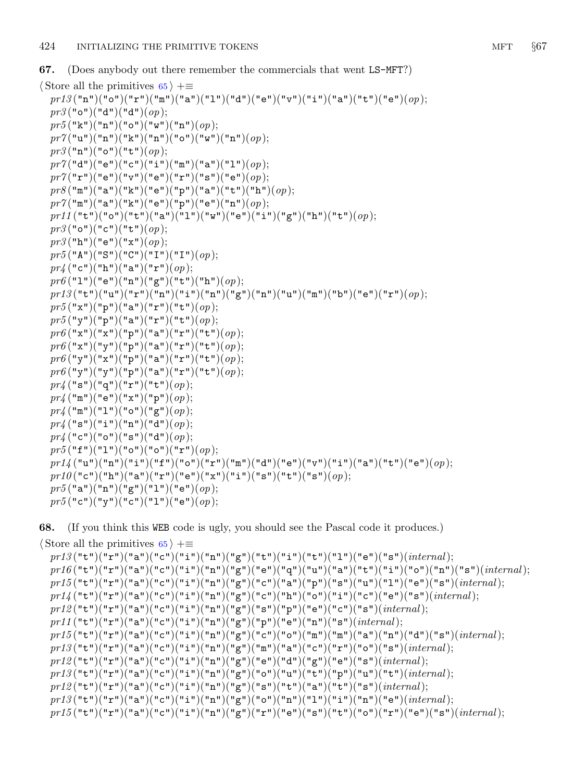<span id="page-23-0"></span>67. (Does anybody out there remember the commercials that went LS−MFT?)

```
\langle65 \rangle +≡
  pr13("n")("o")("r")("m")("a")("1")("d")("e")("v")("i")("a")("t")("e")("o");pr3("o")("d")("d")(<i>op</i>);pr5("k")("n")("o")("w")("n")(op);pr7("u")("n")("k")("n")("o")("w")("n")(<i>op</i>);pr3("n")("o")("t")(op);pr7("d")("e")("c")("i")("m")("a")("l")(<i>op</i>);pr7("r")("e")("v")("e")("r")("s")("e") (op);pr8("m")("a")("k")("e")("p")("a")("t")("h")(<i>op</i>);pr7("m")("a")("k")("e")("p")("e")("n")(<i>op</i>);prl1 ("t")("o")("t")("a")("1")("w")("e")("i")("g")("h")("t")(op);
  pr3("o")("c")("t")(<i>op</i>);pr3("h")("e")("x")(op);pr5("A")("S")("C")("I")("I")(<i>op</i>);pr_4 ("c")("h")("a")("r")(op);
  pr6("1")("e")("n")("g")("t")("h")(<i>op</i>);pr13("t")("u")("r")("n")("i")("n")("g")("n")("u")("u")("m")("b")("e")("r")(<i>op</i>);pr5("x")("p")("a")("r")("t")(<i>op</i>);pr5("y")("p")("a")("r")("t")(<i>op</i>);pr6("x")("x")("p")("a")("r")("t")(<i>op</i>);pr6("x")("y")("p")("a")("r")("t")(<i>op</i>);pr6("y")("x")("p")("a")("r")("t")(<i>op</i>);\;pr6 ("y")("y")("p")("a")("r")("t")(op);
  pr_4 ("s")("q")("r")("t")(op);
  pr_4 ("m")("e")("x")("p")(op);
  pr_4 ("m")("1")("o")("g")(op);
  pr_4 ("s")("i")("n")("d")(op);
  pr_4 ("c")("o")("s")("d")(op);
  pr5("f")("l")("o")("o")("r")(<i>op</i>);pr14 ("u")("n")("i")("f")("o")("r")("m")("d")("e")("v")("i")("a")("t")("e")("e")(op);
  pr10("c")("h")("a")("r")("e")("x")("i")("s")("t")("s")(<i>op</i>);pr5("a")("n")("g")("l")("e")(op);pr5("c")("y")("c")("1")("e")(<i>op</i>);
```
68. (If you think this WEB code is ugly, you should see the Pascal code it produces.)

 $\langle$  Store all the primitives [65](#page-21-0)  $\rangle$  +≡  $pr13("t")("r")("a")("c")("i")("n")("g")("t")("i")("t")("l")("e")("e")(*internal*);$  $p r 16 ("t")("r")("a")("c")("i")("n")("g")("e")("q")("u")("a")("t")("i")("o")("n")("s")(*internal*);$  $p r 15("t")("r")("a")("c")("i")("n")("g")("c")("a")("p")("s")("u")("l"")("e")("is")(*internal*);$  $pri4$  ("t")("x")("a")("c")("i")("n")("g")("c")("h")("o")("i")("c")("e")("e")("s")(internal);  $pr12$ ("t")("r")("a")("c")("i")("n")("g")("s")("p")("e")("c")("s")(*internal*);  $pr11\,("t")("r")("a")("c")("i")("n")("g")("p")("e")("n")("s")(*internal*);$  $p r 15("t")("r")("a")("c")("i")("n")("g")("c")("c")("n")("m")("a")("a")("a")("s")(*internal*);$  $pr13 ("t") ("r") ("a") ("c") ("i") ("n") ("g") ("m") ("a") ("c") ("r") ("o") ("s")(*internal*);$  $pr12("t")("r")("a")("c")("i")("n")("g")("e")("d")("g")("e")("e")("i")(*internal*)$  $pr13("t")("r")("a")("c")("i")("n")("g")("o")("u")("t")("p")("u")("t")(*internal*);$  $pr12\big({\text{``t''}}\big)({\text{``r''}}\big)({\text{``a''}}\big)({\text{``c''}}\big)({\text{``i''}}\big)({\text{``g''}}\big)({\text{``s''}}\big)({\text{``t''}}\big)({\text{``a''}}\big)({\text{``t''}}\big)({\text{``s''}}\big)({\text{`internal}}\big);$  $pr13("t")("r")("a")("c")("i")("n")("g")("o")("n")("l")("i")("a")("e")(*internal*);$  $pr15\big({\hbox{``t''}}\big)({\hbox{``t''}}\big)({\hbox{``a''}}\big)({\hbox{``c''}}\big)({\hbox{``i''}}\big)({\hbox{``r''}}\big)({\hbox{``r''}}\big)({\hbox{``e''}}\big)({\hbox{``s''}}\big)({\hbox{``t''}}\big)({\hbox{``r''}}\big)({\hbox{``r''}}\big)({\hbox{``e''}}\big)({\hbox{``s''}}\big)({\hbox{``r''}}\big)({\hbox{``r''}}\big)({\hbox{``r''}}\big)({\hbox{``r''}}\big$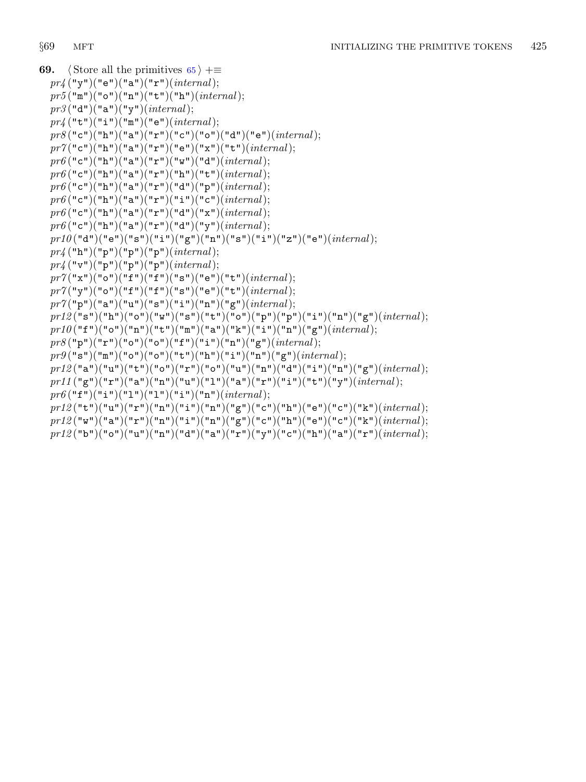```
69. \langle65 \rangle +≡
  pr_4 ("y")("e")("a")("r")(internal);
  pr5("m")("o")("n")("t")("h")(internal);pr3 ("d")("a")("y")(internal);
  pr_4 ("t")("i")("m")("e")(internal);
  pr8("c")("h")("a")("r")("c")("o")("d")("e")(<i>internal</i>);pr7("c")("h")("a")("r")("e")("x")("t")(<i>internal</i>);\text{pr6} ("c")("h")("a")("r")("w")("d")(\text{internal});
  pr6("c")("h")("a")("r")("h")("t")(<i>internal</i>);pr6("c")("h")("a")("r")("d")("p")(internal);pr6("c")("h")("a")("r")("i")("c")(internal);pr6("c")("h")("a")("r")("d")("x")(<i>internal</i>);pr6("c")("h")("a")("r")("d")("y")(internal);prl0("d")("e")("s")("i")("g")("n")("s")("i")("z")("e")(internal);
  pr_4 ("h")("p")("p")("p")(internal);
  pr_4 ("v")("p")("p")("p")(internal);
  pr7("x")("o")("f")("f")("s")("e")("t")(<i>internal</i>);pr7("y")("o")("f")("f")("s")("e")("t")(<i>internal</i>);pr7("p")("a")("u")("s")("i")("n")("g")(<i>internal</i>);p r 12("s")("h")("o")("w")("s")("t")("o")("p")("p")("i")("n")("g")(<i>internal</i>);prl0("f")("o")("n")("t")("m")("a")("k")("i")("n")("g")(internal);
  pr8("p")("r")("o")("o")("f")("i")("n")("g")(<i>internal</i>);pr9("s")("m")("o")("o")("t")("h")("i")("n")("g")(<i>internal</i>);pr12("a")("u")("t")("o")("r")("o")("u")("u")("a")("d")("i")("n")("g")(<i>internal</i>);pri1 ("g")("r")("a")("n")("u")("1")("a")("r")("i")("t")("y")(internal);
  pr6("f")("i")("l")("l")("l")("i")("n")(internal);pr12("t")("u")("r")("n")("i")("n")("g")("c")("h")("e")("e")("c")("k")(<i>internal</i>);pr12("w")("a")("r")("n")("i")("n")("g")("c")("h")("e")("c")("c")("k")(<i>internal</i>);pr12("b")("o")("u")("n")("d")("a")("r")("y")("c")("h")("a")("r")(<i>internal</i>);
```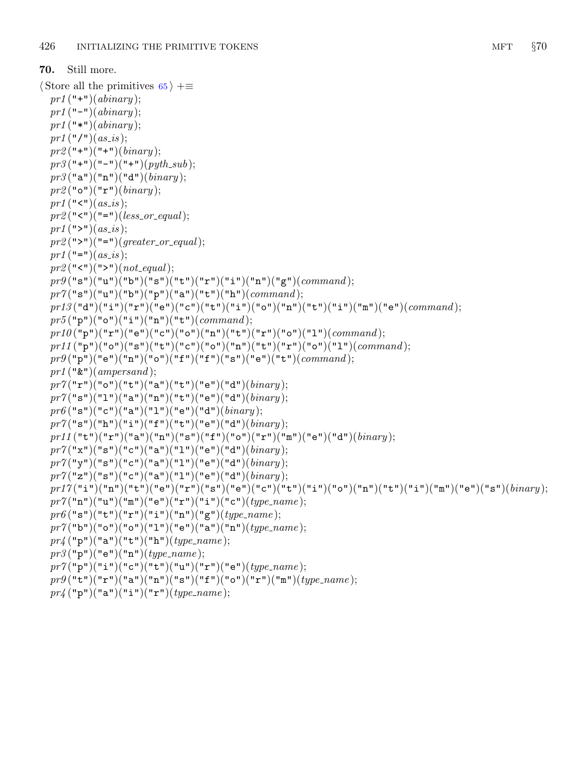```
70. Still more.
\langle65 \rangle +≡
  pr1 ("+")(abinary);
  pr1 ("−")(abinary);pr1 ("*")(abinary);
  pr1 ("/") (as_is);pr2 ("+")("+")(binary);
  pr3("+")("-")("+")(python.sub);pr3("a")("n")("d")(binary);pr2("o")("r")(binary);pr1 ("\le")(as_is);
  pr2("<")("=")(less_{\sim} or_{\sim} equal);pr1 (">")(as_is);
  pr2(">")("=")(<i>greater\_or\_equal</i>);pr1 ("=" (as_is);pr2 ("<")(">")(not_equal);
  pr9("s")("u")("b")("s")("t")("t")("r")("i")("n")("g")(<i>command</i>);pr7("s")("u")("b")("p")("a")("t")("h")(<i>command</i>);pr13("{\tt d}")("{\tt i}")("{\tt r}")("{\tt e}")("{\tt c}")("{\tt t}")("{\tt i}")("{\tt o}")("{\tt n}")("{\tt t}")("{\tt i}")("{\tt m}")("{\tt e}")(command)};pr5("p")("o")("i")("n")("t")(command);prl0("p")("r")("e")("c")("o")("n")("t")("r")("o")("l")(command);
  pr11 ("p")("o")("s")("t")("c")("o")("n")("t")("r")("o")("1")(command);
  pr9("p")("e")("n")("o")("f")("f")("s")("e")("e")("t")(<i>command</i>);pr1 ("\&")(ampersand);
  pr7("r")("o")("t")("a")("t")("e")("d")(<i>binary</i>);pr7("s")("1")("a")("n")("t")("e")("d")(<i>binary</i>);pr6("s")("c")("a")("1")("e")("d")(<i>binary</i>);pr7("s")("h")("i")("f")("t")("e")("d")(<i>binary</i>);prl1 ("t")("r")("a")("n")("s")("f")("o")("r")("m")("e")("d")(binary);
  pr7("x")("s")("c")("a")("l")("e")("d")(<i>binary</i>);pr7("y")("s")("c")("a")("1")("e")("d")(<i>binary</i>);pr7("z")("s")("c")("a")("l")("e")("d")(<i>binary</i>);p r17("i")("n")("t")("e")("r")("s")("e")("c")("t")("i")("o")("n")("t")("i")("u")("e")("e")("o"\it pr7("n")("u")("m")("e")("r")("i")("c")("c") (type\_name);pr6("s")("t")("r")("i")("n")("g")(<i>type_name</i>);pr7("b")("o")("o")("1")("e")("a")("n")(<i>type_name</i>);pr_4 ("p")("a")("t")("h")(type_name);
  pr3("p")("e")("n")(type_name);pr7("p")("i")("c")("t")("u")("r")("e")("e")(<i>type_name</i>);pr9("t")("r")("a")("n")("s")("f")("o")("r")("m")(<i>type_name</i>);
```

```
pr_4 ("p")("a")("i")("r")(type_name);
```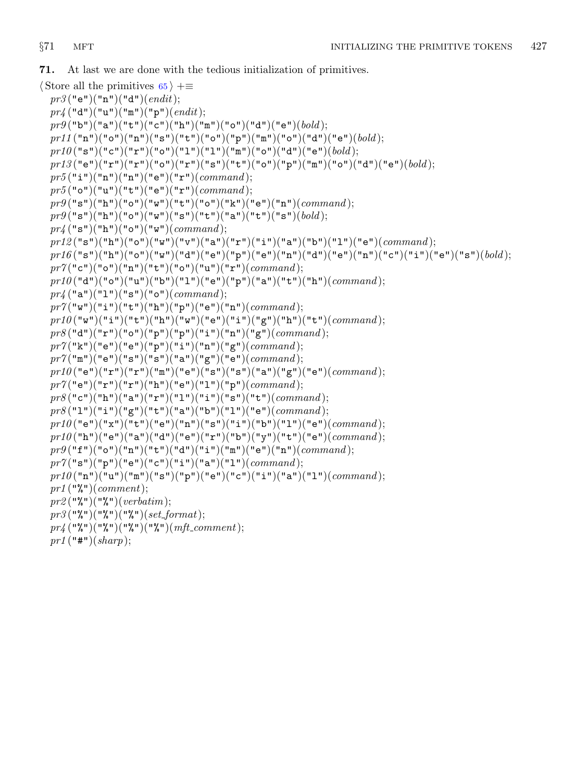<span id="page-26-0"></span>71. At last we are done with the tedious initialization of primitives.

```
\langle65 \rangle +≡
  pr3 ("e")("n")("d")(endit);
  pr_4 ("d")("u")("m")("p")(endit);
  pr9("b")("a")("t")("c")("h")("m")("o")("d")("e")(<i>bold</i>);pr11 ("n")("o")("n")("s")("t")("o")("p")("m")("o")("d")("e")(bold);
  pr10("s")("c")("r")("o")("l")("l")("m")("o")("d")("d")("e")(<i>bold</i>);pr13("e")("r")("r")("o")("r")("s")("t")("o")("p")("m")("o")("d")("d")("e")(<i>bold</i>);pr5("i")("n")("n")("e")("r")(command);pr5("o")("u")("t")("e")("r")(command);pr9("s")("h")("o")("w")("t")("o")("k")("e")("n")("command);pr9("s")("h")("o")("w")("s")("t")("a")("t")("t")("s")(<i>bold</i>);pr_4 ("s")("h")("o")("w")(command);
  pri2("s")("h")("o")("w")("v")("a")("a")("r")("i")("a")("b")("l"")("e")(<i>command</i>);p r 16 ("s") ("h") ("o") ("w") ("d") ("e") ("p") ("e") ("n") ("d") ("e") ("a") ("n") ("c") ("u") ("e") ("e" ) (qpr7("c")("o")("n")("t")("o")("u")("u")("r")(<i>command</i>);
  prl0("d")("o")("u")("b")("1")("e")("p")("a")("t")("h")(command);
  pr_4 ("a")("1")("s")("o")(command);
  pr7("w")("i")("t")("h")("p")("e")("n")(<i>command</i>);pr10("w")("i")("t")("h")("w")("e")("i")("g")("h")("t")(<i>command</i>);pr8("d")("r")("o")("p")("p")("i")("i")("n")("g")(<i>command</i>);pr7("k")("e")("e")("p")("i")("n")("g")(<i>command</i>);pr7("m")("e")("s")("s")("a")("g")("e")(<i>command</i>);pr10("e")("r")("r")("m")("e")("s")("s")("a")("a")("e")("e")(<i>command</i>);
  pr7("e")("r")("r")("h")("e")("l"")("p")(<i>command</i>);pr8("c")("h")("a")("r")("l")("i")("si")("t")(<i>command</i>);pr8("1")("i")("g")("t")("a")("b")("l")("e")(<i>command</i>);pr10 ("e")("x")("t")("e")("n")("s")("i")("b")("l")("e")(command);
  prl0("h")("e")("a")("d")("e")("r")("b")("y")("t")("e")(<i>command</i>);pr9("f")("o")("n")("t")("d")("i")("in")("m")("e")("n")(<i>command</i>);pr7("s")("p")("e")("c")("i")("a")("l")(<i>command</i>);p r 10("n")("u")("m")("s")("p")("e")("c")("i")("a")("l")(command);pr1 ("%")(comment);
  pr2 ("%")("%")(verbatim);
  pr3("%")("%")("%")(set_format);
  pr_4 ("%")("%")("%")("%")(mft_comment);
  pr1 ("#")(sharp);
```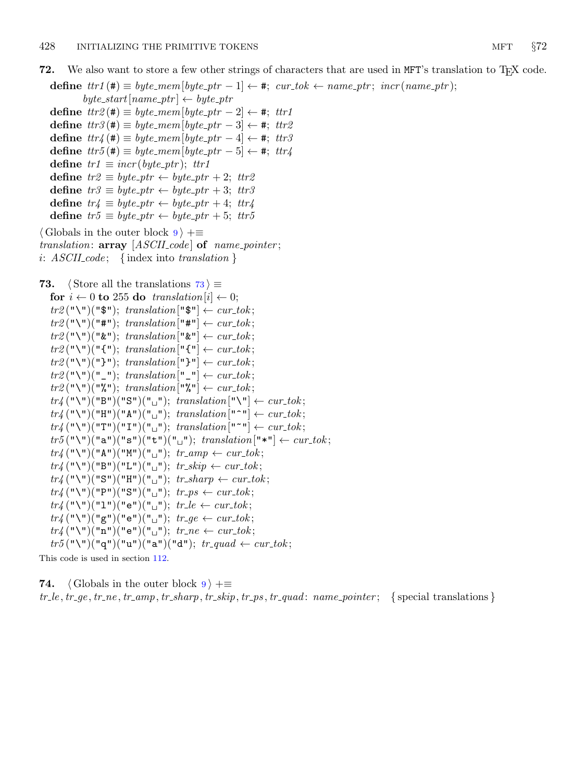```
define tr1 (\#) \equiv byte\_mem[byte\_ptr-1] \leftarrow \#; cur\_tok \leftarrow name\_ptr; incr(name\_ptr);
```
 $byte\_start[name\_ptr] \leftarrow byte\_ptr$ 

define  $tr2(\textbf{\#}) \equiv byte\_mem[byte\_ptr-2] \leftarrow \textbf{\#}; tr1$ define  $tr3(\texttt{#}) \equiv byte\_mem[byte\_ptr-3] \leftarrow \texttt{#}; tr2$ define  $tr'_{4}(\textbf{#}) \equiv byte\_mem[\text{byte\_ptr}-4] \leftarrow \textbf{#}; \text{ tr }3$ define  $tr5$  (#)  $\equiv byte\_mem$  [byte\_ptr - 5]  $\leftarrow$  #; ttr4 define  $tr1 \equiv incr (byte\_ptr);$   $tr1$ define  $tr2 \equiv byte\_ptr \leftarrow byte\_ptr + 2$ ;  $tr2$ define  $tr3 \equiv byte\_ptr \leftarrow byte\_ptr + 3$ ;  $tr3$ define  $tr'_{4} \equiv byte\_ptr \leftarrow byte\_ptr + 4$ ;  $tr'_{4}$ define  $tr5 \equiv byte\_ptr \leftarrow byte\_ptr + 5$ ;  $tr5$  $\langle$  Globals in the outer block  $9 \rangle + \equiv$  $9 \rangle + \equiv$ 

translation:  $array [ASCII_code]$  of name\_pointer; i:  $ASCH\_code$ ; {index into translation }

```
73. (Store all the translations 73) \equivfor i \leftarrow 0 to 255 do translation [i] \leftarrow 0;
     tr2(\mathbb{T}\setminus\mathbb{T})(\mathbb{T}\"); translation [\mathbb{T}\"] \leftarrow cur\_tok;tr2 ("\")("#"); translation ["#"] \leftarrow cur\_tok;tr2(\mathbf{T} \setminus \mathbf{T})(\mathbf{T} \mathbf{\&} \mathbf{T}); translation [\mathbf{T} \mathbf{\&} \mathbf{T}] \leftarrow cur\_tok;tr2 ("\")("{"); translation ["{"] \leftarrow cur\_tok;tr2 ("\")("}"); translation<sup>["</sup>}"] \leftarrow cur\_tok;
     tr2(\mathbf{T} \setminus \mathbf{T})(\mathbf{T} \setminus \mathbf{T}); translation [\mathbf{T} \setminus \mathbf{T}] \leftarrow cur\_tok;tr2 ("\")("%"); translation["%"] \leftarrow cur\_tok;tr_4(\mathbf{``}\mathbf{\setminus\mathbf{''}})(\mathbf{``}B\mathbf{''})(\mathbf{``}S\mathbf{''})(\mathbf{``}\mathbf{''}); translation [\mathbf{``}\mathbf{\setminus\mathbf{''}}]\leftarrow cur\_tok;tr_4(\mathbf{``}\mathbf{\setminus\mathbf{''}})(\mathbf{``}H\mathbf{''})(\mathbf{``}A\mathbf{''})(\mathbf{``}\mathbf{''}); translation [\mathbf{``}\mathbf{``}\mathbf{''}] \leftarrow cur\_tok;tr\{(T\{u\}'')\{u\}u\}("T\{u\}")("T\{u\}"); translation\{u\}u\} \leftarrow cur\_tok;tr5("\\`')("a")("s")("t")("_u"); translation["*"] \leftarrow cur\_tok;tr\mathcal{U}(\mathbf{u}\setminus\mathbf{u})(\mathbf{u}\mathbf{A}\mathbf{u})(\mathbf{u}\mathbf{u})\mathbf{u}(\mathbf{u}\square\mathbf{u}); tr\mathcal{L}amp \leftarrow cur\mathcal{L}ok;tr_{4}(\mathbf{``}\setminus\mathbf{''})(\mathbf{``}B\mathbf{''})(\mathbf{``}L\mathbf{''})(\mathbf{``}L\mathbf{''}); tr\_skip \leftarrow cur\_tok;tr_4(\mathbf{``}\mathbf{\setminus\mathbf{``}})(\mathbf{``}\mathbf{S}\mathbf{``}})(\mathbf{``}\mathbf{H}\mathbf{``}})(\mathbf{``}\mathbf{''}\mathbf{``}}); \ tr\_sharp \ \leftarrow cur\_tok;tr_4(\mathbf{``}\setminus\mathbf{''})(\mathbf{``}P\mathbf{''})(\mathbf{``}S\mathbf{''})(\mathbf{``}\square\mathbf{''}); tr_ps \leftarrow cur\_tok;tr_4(\mathbf{``}\mathbf{\setminus\mathbf{''}})(\mathbf{``}\mathbf{1}\mathbf{``}) (\mathbf{``}\mathbf{e}\mathbf{``}) (\mathbf{``}\mathbf{``}\mathbf{``}); tr_-le \leftarrow cur\_tok;tr_4(\mathbf{``}\mathbf{\setminus\mathbf{''}})(\mathbf{``g\mathbf{``}})(\mathbf{``e\mathbf{``}})(\mathbf{``\_}\mathbf{''}); tr\_ge \leftarrow cur\_tok;tr_4(\mathbf{``}\mathbf{\setminus\mathbf{``}})(\mathbf{``n\mathbf{``}})(\mathbf{``e\mathbf{``}})(\mathbf{``}\mathbf{``u\mathbf{''}}); tr\_ne \leftarrow cur\_tok;tr5("\\`"')("q")("u")("a")("d"); tr_{quad} \leftarrow cur_{\mathit{tok}};
```
This code is used in section [112.](#page-39-0)

**74.**  $\langle$  Globals in the outer block  $9 \rangle + \equiv$  $9 \rangle + \equiv$  $tr \_le, tr \_ge, tr \_ne, tr \_amp; amp, tr \_sharpar \_pre, tr \_ss\_pre, tr \_ps, tr \_quad. can: name \_pointer; \quad \{\text{special translations}\}\$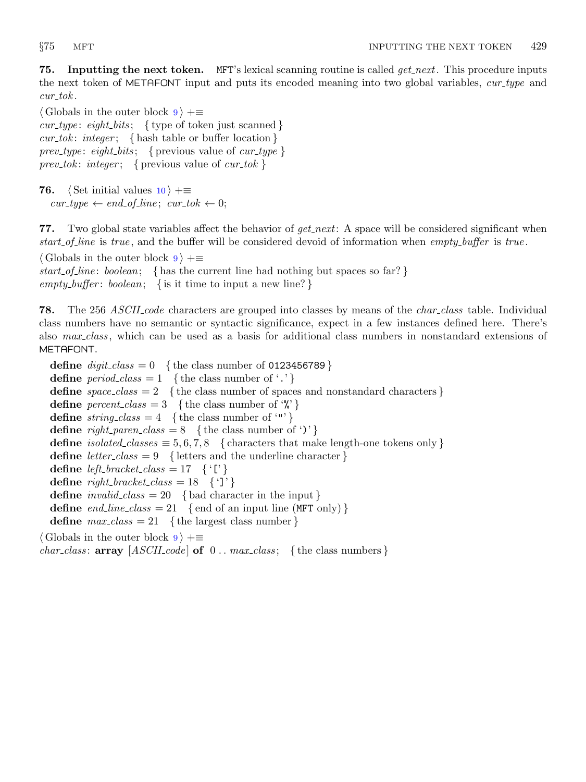<span id="page-28-0"></span>**75.** Inputting the next token. MFT's lexical scanning routine is called  $get.next$ . This procedure inputs the next token of METAFONT input and puts its encoded meaning into two global variables, cur type and  $cur\_tok$ .

 $\langle$  Globals in the outer block [9](#page-3-0)  $\rangle$  +=  $cur\_type:$  eight\_bits; { type of token just scanned }  $cur\_tok: \text{ integer};$  { hash table or buffer location } prev\_type: eight\_bits; { previous value of  $cur\_type$  } prev\_tok: integer; { previous value of  $cur\_tok$  }

76.  $\langle$  Set initial values [10](#page-3-0)  $\rangle$  +≡  $cur\_type \leftarrow end\_of\_line; cur\_tok \leftarrow 0;$ 

77. Two global state variables affect the behavior of  $get.next$ : A space will be considered significant when start of line is true, and the buffer will be considered devoid of information when empty buffer is true.

 $\langle$  Globals in the outer block  $9$   $\rangle$  +≡ start of line: boolean; { has the current line had nothing but spaces so far?} empty\_buffer: boolean; { is it time to input a new line?}

**78.** The 256 ASCII code characters are grouped into classes by means of the *char class* table. Individual class numbers have no semantic or syntactic significance, expect in a few instances defined here. There's also max class , which can be used as a basis for additional class numbers in nonstandard extensions of METAFONT.

define  $digit\_class = 0$  { the class number of 0123456789 } define  $period\_class = 1$  {the class number of '.'} define  $space\_class = 2$  { the class number of spaces and nonstandard characters } **define**  $percent\_class = 3$  {the class number of '%'} define  $string\_class = 4$  {the class number of '"'} define  $right\_parent\_class = 8$  {the class number of ')' } define *isolated\_classes*  $\equiv 5, 6, 7, 8$  { characters that make length-one tokens only } define *letter\_class* = 9 { letters and the underline character } define *left\_bracket\_class* = 17  $\{^{\lceil} \}\$ define  $right\_bracket\_class = 18 \{ ']\}'$ define  $invalid\_class = 20$  {bad character in the input} define end\_line\_class = 21 { end of an input line (MFT only) } define  $max\_class = 21$  {the largest class number}  $\langle$  Globals in the outer block [9](#page-3-0)  $\rangle$  +≡ *char\_class:*  $array [ASCII_code] of 0. max-class; {the class numbers}$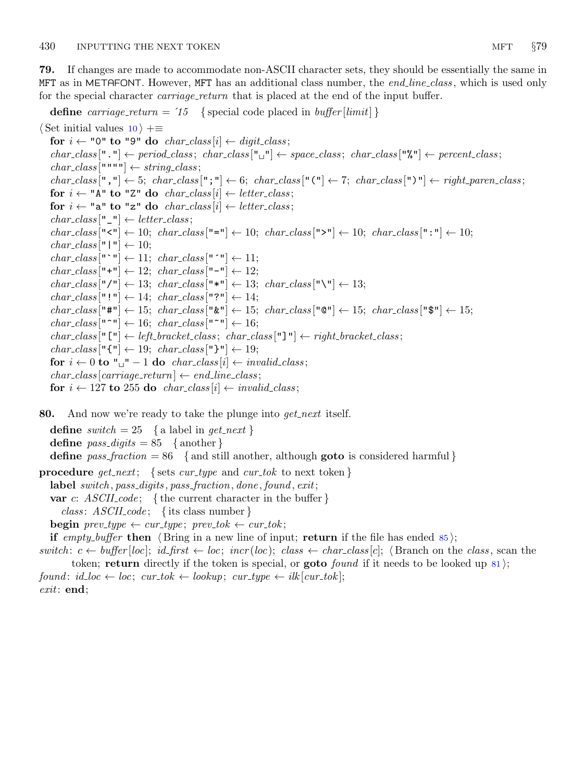<span id="page-29-0"></span>79. If changes are made to accommodate non-ASCII character sets, they should be essentially the same in MFT as in METAFONT. However, MFT has an additional class number, the end line class, which is used only for the special character *carriage\_return* that is placed at the end of the input buffer.

```
define carriage return = '15 { special code placed in buffer [limit] }
\langle10 \rangle +≡
  for i \leftarrow "0" to "9" do char_class [i] \leftarrow digit\_class;char\_class[" \cdot"] \leftarrow period\_class; char\_class[" \cdot"] \leftarrow space\_class; char\_class["\cdot"] \leftarrow percent\_class;char\_class [""""] \leftarrow string\_class;char\_class[", "\rightleftharpoons 5; char\_class[", "\rightleftharpoons 6; char\_class["(""\rightleftharpoons 7; char\_class[")"\rightleftharpoons right\_parent\_class;for i \leftarrow "A" to "Z" do char_class [i] \leftarrow letter\_class;for i \leftarrow "a" to "z" do char_class [i] \leftarrow letter\_class;
   char\_class["\_"] \leftarrow letter\_class;char\_class["<"] \leftarrow 10; char\_class["="] \leftarrow 10; char\_class[" >" ] \leftarrow 10; char\_class[" : " ] \leftarrow 10;char\_class["|"| \leftarrow 10;char\_class ["`"] \leftarrow 11; char\_class ["´"] \leftarrow 11;char\_class["+"] ← 12; char\_class["-"] ← 12;
   char\_class["/"] \leftarrow 13; char\_class["*"] \leftarrow 13; char\_class["\`"] \leftarrow 13;char\_class ["!"] \leftarrow 14; char\_class ["?"] \leftarrow 14;char_class ["#"] \leftarrow 15; char_class ["&"] \leftarrow 15; char_class ["@"] \leftarrow 15; char_class ["$"] \leftarrow 15;
   char\_class["<sup>~</sup>"] ← 16; char\_class["<sup>~</sup>"] ← 16;
   char\_class [" ["] \leftarrow left \text{-}bracket \text{-}class; char\_class ["] \leftarrow right \text{-}bracket \text{-}class;char\_class ["{"] \leftarrow 19; char\_class ["}"] \leftarrow 19;
   for i \leftarrow 0 to "\Box" – 1 do char_class |i| \leftarrow invalid\_class;char\_class|carriage\_return| \leftarrow end\_line\_class;for i \leftarrow 127 to 255 do char_class |i| \leftarrow \text{invalid\_class};
```
80. And now we're ready to take the plunge into  $get{\text -}next$  itself.

define switch = 25 { a label in  $qet\_next$  } define  $pass\_digits = 85$  {another} define pass-fraction = 86 { and still another, although goto is considered harmful } **procedure** get\_next; { sets cur\_type and cur\_tok to next token } label switch, pass\_digits, pass\_fraction, done, found, exit;

var c:  $ASCH\_code$ ; {the current character in the buffer }

*class: ASCII\_code*; { its class number }

**begin** prev\_type  $\leftarrow$  cur\_type; prev\_tok  $\leftarrow$  cur\_tok;

if empty-buffer then  $\langle$  Bring in a new line of input; return if the file has ended [85](#page-30-0) $\rangle$ ;

switch:  $c \leftarrow \text{buffer}[\text{loc}]$ ; id\_first  $\leftarrow \text{loc}$ ; incr(loc); class  $\leftarrow$  char\_class  $[c]$ ; (Branch on the class, scan the token; return directly if the token is special, or **goto** found if it needs to be looked up  $\{81\}$  $\{81\}$  $\{81\}$ ;  $found: id\_loc \leftarrow loc; cur\_tok \leftarrow lookup; cur\_type \leftarrow ilk[cur\_tok];$ exit: end;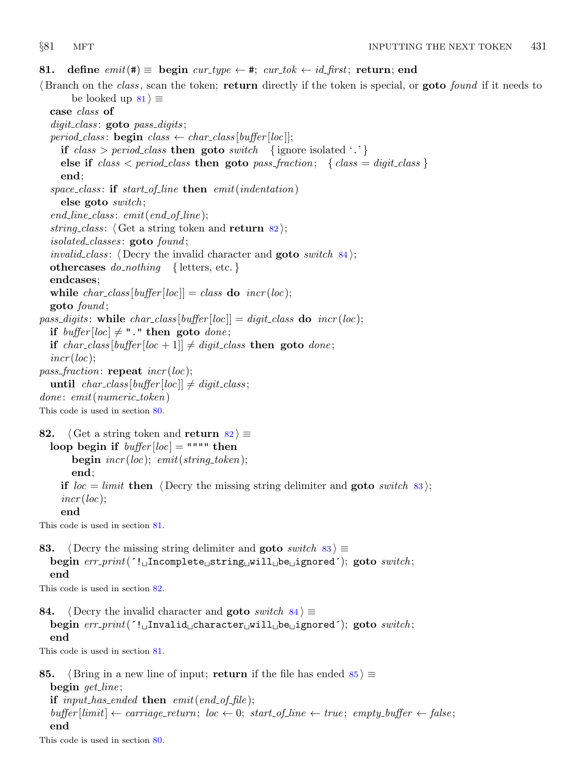<span id="page-30-0"></span>81. define  $emit(\texttt{#}) \equiv$  begin cur\_type  $\leftarrow \texttt{#};$  cur\_tok  $\leftarrow id$ \_first; return; end

 $\beta$  Branch on the *class*, scan the token; return directly if the token is special, or goto *found* if it needs to be looked up  $81$   $\equiv$ 

case class of

 $digit\_class:$  goto  $pass\_digits;$ period\_class: **begin** class  $\leftarrow$  char\_class [buffer [loc]]; if  $class > period\_class$  then goto switch {ignore isolated '.'} else if  $class < period\_class$  then goto pass fraction; { class = digit class } end; space\_class: if start\_of\_line then  $emit(indentation)$ else goto switch ;  $end\_line \ldots$ ;  $emit(end\_of\_line);$ string class:  $\langle$  Get a string token and return 82 $\rangle$ ;  $isolated{\_}classes: \textbf{goto} \textit{found};$ *invalid\_class:*  $\langle$  Decry the invalid character and **goto** switch 84 $\rangle$ ; othercases  $do\_nothing$  { letters, etc. } endcases; while  $char\_class[buffer[loc]] = class$  do  $incr(loc);$ goto found ; pass\_digits: while  $char\_class[buffer[loc]] = digit\_class$  do  $incr(loc);$ if buffer  $|loc| \neq$  "." then goto done; if char\_class [buffer [loc + 1]]  $\neq$  digit\_class then goto done;  $incr(loc);$ *pass\_fraction*: **repeat**  $\text{incr}(loc);$ until  $char\_class[buffer[loc]] \neq digit\_class;$  $done: emit(numeric\_token)$ This code is used in section [80](#page-29-0). 82.  $\langle$  Get a string token and return 82 $\rangle \equiv$ loop begin if  $buffer[loc] = """"$  then **begin**  $\text{incr}(loc)$ ;  $\text{emit}(string\_token)$ ; end; if  $loc = limit$  then  $\langle$  Decry the missing string delimiter and goto switch 83 $\rangle$ ;  $\textit{incr}(loc);$ end This code is used in section 81. 83.  $\langle$  Decry the missing string delimiter and goto switch 83  $\rangle \equiv$ begin  $err\_print($  '!  $\text{Incomplete}_{\text{u}}\text{string}_{\text{u}}\text{will}_{\text{u}}\text{be}_{\text{u}}\text{ignored}$ '); goto switch; end This code is used in section 82. 84. (Decry the invalid character and goto switch  $84$ )  $\equiv$ begin  $err\_print('!$  Invalid character will be ignored'); goto switch; end This code is used in section 81. 85. (Bring in a new line of input; return if the file has ended  $85 \equiv$ begin  $get$  line; if input has ended then  $emit(end_of_file)$ ;  $buffer|limit| \leftarrow carriage-return; loc \leftarrow 0; start_of-line \leftarrow true; empty buffer \leftarrow false;$ 

## end

This code is used in section [80](#page-29-0).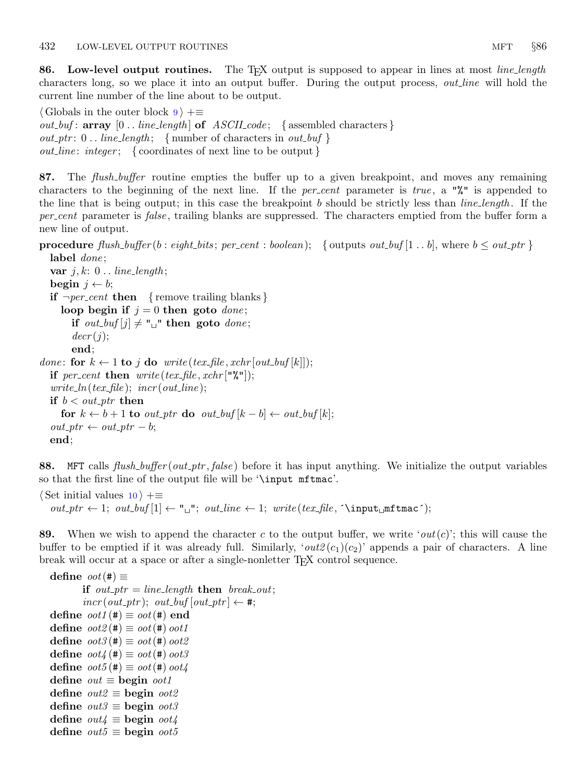<span id="page-31-0"></span>86. Low-level output routines. The T<sub>E</sub>X output is supposed to appear in lines at most *line-length* characters long, so we place it into an output buffer. During the output process, *out line* will hold the current line number of the line about to be output.

 $\langle$  Globals in the outer block [9](#page-3-0)  $\rangle$  += *out buf* : array  $[0 \tldots line_length]$  of  $ASCII_code;$  {assembled characters }  $out\_ptr: 0$ .. line\_length; { number of characters in out\_buf }  $out\_line:integer; \{ coordinates of next line to be output \}$ 

87. The *flush\_buffer* routine empties the buffer up to a given breakpoint, and moves any remaining characters to the beginning of the next line. If the *per-cent* parameter is *true*, a " $\mathcal{N}$ " is appended to the line that is being output; in this case the breakpoint b should be strictly less than *line length*. If the per cent parameter is false, trailing blanks are suppressed. The characters emptied from the buffer form a new line of output.

### **procedure** flush\_buffer (b: eight\_bits; per\_cent: boolean); { outputs out\_buf [1 . . b], where  $b \leq out\_ptr$ } label *done*;

```
var j, k: 0.. line_length;
  begin j \leftarrow b;
  if \neg per-cent then { remove trailing blanks}
     loop begin if j = 0 then goto done;
       if out_buf [j] \neq "\sqcup" then goto done;
       decr(j);end;
done: for k \leftarrow 1 to j do write (tex_file, xchr [out_buf [k]]);
  if per_cent then write(text\_file, xchr["\%"]);write\_ln(text\_file); incr(out\_line);if b < out\_ptr then
     for k \leftarrow b + 1 to out_ptr do out_buf [k - b] \leftarrow out_b(f[k]);
  out\_ptr \leftarrow out\_ptr - b;end;
```
88. MFT calls flush\_buffer (out\_ptr, false) before it has input anything. We initialize the output variables so that the first line of the output file will be '\input mftmac'.

```
\langle10 \rangle +≡
   out\_ptr \leftarrow 1; out\_buf[1] \leftarrow "\_"; out\_line \leftarrow 1; write(text\_file, \{'\input\_mftmac<sup>*</sup>;
```
89. When we wish to append the character c to the output buffer, we write 'out(c)'; this will cause the buffer to be emptied if it was already full. Similarly, ' $out2(c_1)(c_2)$ ' appends a pair of characters. A line break will occur at a space or after a single-nonletter TEX control sequence.

define  $oot(\#) \equiv$ if out  $ptr = line$  length then break out;  $\textit{incr}(out\_ptr)$ ;  $out\_buf \mid out\_ptr \mid \leftarrow \#;$ define  $\omega \omega t \cdot t$   $\equiv \omega \omega t \cdot t$  end define  $\cot 2(\textbf{\#}) \equiv \cot(\textbf{\#}) \, \cot 1$ define  $\omega t \mathcal{E}(\#) \equiv \omega \mathcal{E}(\#) \omega t \mathcal{E}$ define  $\cot 4 (\#) \equiv \cot (\#) \, \cot 3$ define  $\omega \omega t_5(\textbf{t}) \equiv \omega \omega t(\textbf{t}) \omega t_4$ define  $out \equiv$  begin  $oot1$ define  $out2 \equiv$  begin  $oot2$ define  $out3 \equiv$  begin  $oot3$ define  $out4 \equiv$  begin  $oot4$ define  $out5 \equiv$  begin  $oot5$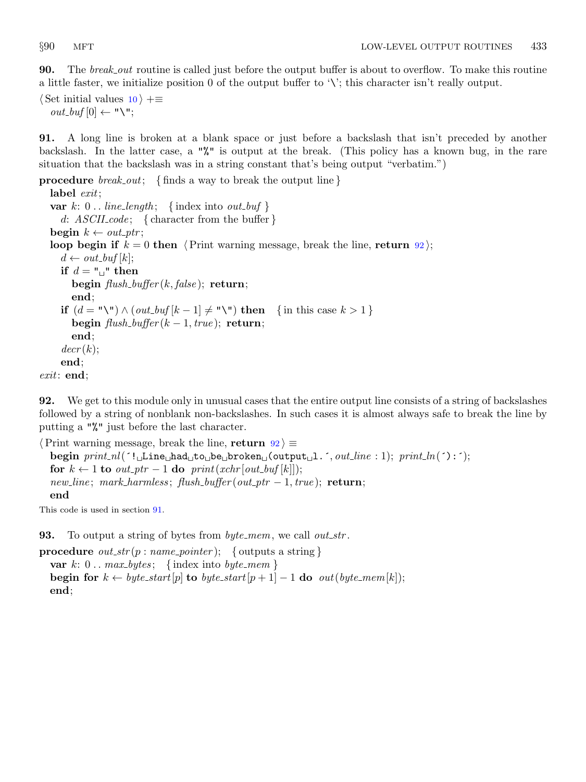<span id="page-32-0"></span>**90.** The *break\_out* routine is called just before the output buffer is about to overflow. To make this routine a little faster, we initialize position 0 of the output buffer to '\'; this character isn't really output.

 $\langle$  Set initial values [10](#page-3-0)  $\rangle$  +≡  $out\_buf[0] \leftarrow "\U";$ 

91. A long line is broken at a blank space or just before a backslash that isn't preceded by another backslash. In the latter case, a "%" is output at the break. (This policy has a known bug, in the rare situation that the backslash was in a string constant that's being output "verbatim.")

```
procedure break_out; {finds a way to break the output line}
  label exit;
  var k: 0... line_length; {index into out_buf}
     d: ASCII\_code; { character from the buffer }
  begin k \leftarrow out\_ptr;loop begin if k = 0 then \langle Print warning message, break the line, return 92\rangle;
     d \leftarrow out_buf[k];if d = "\sqcup" then
       begin \text{flush\_buffer}(k, \text{false}); return;
       end;
     if (d = "\Psi) \wedge (out_buf[k-1] \neq "\Psi) then {in this case k > 1}
       begin \text{flush}\text{-}\text{buffer}(k-1,\text{true}); return;
       end;
     decr(k);end;
exit: end;
```
92. We get to this module only in unusual cases that the entire output line consists of a string of backslashes followed by a string of nonblank non-backslashes. In such cases it is almost always safe to break the line by putting a "%" just before the last character.

 $\langle$  Print warning message, break the line, return 92 $\rangle \equiv$ begin  $print_n(('!_LLine_Lhad_Lto_Lbe_Lbroken_L(output_L1.^', out-line : 1); print_Ln('):');$ for  $k \leftarrow 1$  to  $out\_ptr - 1$  do  $print(xchr[out\_buf[k]]);$  $new\_line$ ; mark\_harmless; flush\_buffer(out\_ptr – 1, true); return; end

This code is used in section 91.

**93.** To output a string of bytes from  $byte\_mem$ , we call out\_str.

**procedure**  $out\_str(p: name\_pointer);$  { outputs a string } var k:  $0 \ldots max_b \, y \, t \in \{ \text{index into } byte\_mem \}$ begin for  $k \leftarrow byte\_start[p]$  to byte\_start $[p+1]-1$  do out(byte\_mem[k]); end;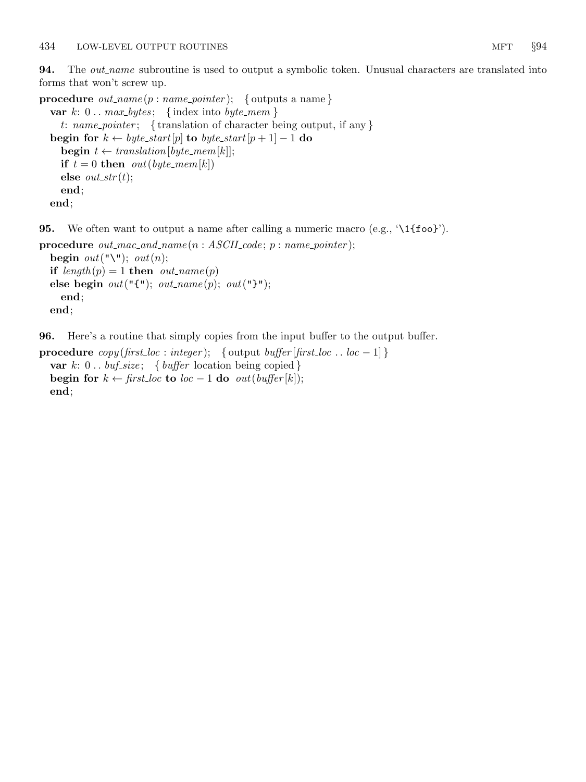<span id="page-33-0"></span>**94.** The *out\_name* subroutine is used to output a symbolic token. Unusual characters are translated into forms that won't screw up.

```
procedure out_name(p:name\_pointer); { outputs a name}
  var k: 0... max_b \, y \, t \in \{ \text{index into } byte\_mem \}t: name_pointer; { translation of character being output, if any }
  begin for k \leftarrow byte\_start[p] to byte_start[p+1] - 1 do
    begin t \leftarrow translation[byte\_mem[k]];if t = 0 then out(byte\_mem[k])else out\_str(t);end;
  end;
```
**95.** We often want to output a name after calling a numeric macro (e.g.,  $\{1\}$ foo}').

```
procedure out\_mac\_and\_name(n : ASCII\_code; p : name\_pointer);begin out("\\ \n; out(n);if length(p) = 1 then out_name(p)else begin out("{\{\{\}\}); out\_name(p); out("{\{\}\});
    end;
  end;
```
96. Here's a routine that simply copies from the input buffer to the output buffer.

```
procedure copy(first\_loc : integer); { output buffer [first\_loc .. loc - 1] }
  var k: 0... buf_size; { buffer location being copied }
  begin for k \leftarrow \text{first\_loc} to \text{loc} - 1 do \text{out}(\text{buffer}[k]);
  end;
```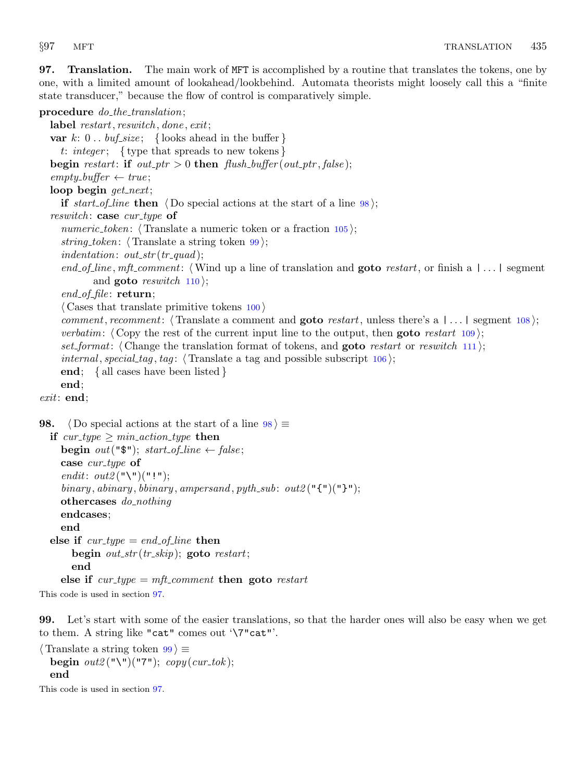<span id="page-34-0"></span>97. Translation. The main work of MFT is accomplished by a routine that translates the tokens, one by one, with a limited amount of lookahead/lookbehind. Automata theorists might loosely call this a "finite state transducer," because the flow of control is comparatively simple.

### procedure  $do$ -the-translation;

label restart, reswitch, done, exit; var k:  $0 \ldots \text{buf\_size}$ ; { looks ahead in the buffer } t: integer; { type that spreads to new tokens} begin restart: if out\_ptr > 0 then  ${\it flush\_buffer}(out\_ptr, \it false)$ ;  $empty\_buffer \leftarrow true;$ loop begin get\_next; if start of line then  $\langle$  Do special actions at the start of a line 98 $\rangle$ ; reswitch: case  $cur_type$  of numeric\_token:  $\langle$ Translate a numeric token or a fraction [105](#page-36-0) $\rangle$ ; string token:  $\langle$  Translate a string token 99 $\rangle$ ; indentation:  $out\_str(tr\_quad);$ end of line, mft comment: (Wind up a line of translation and **goto** restart, or finish a  $|\ldots|$  segment and **goto** reswitch  $110$ ;  $end_of_file: return;$  $\langle$  Cases that translate primitive tokens [100](#page-35-0)  $\rangle$ comment, recomment: (Translate a comment and **goto** restart, unless there's a  $| \dots |$  segment [108](#page-37-0)); *verbatim:*  $\langle$  Copy the rest of the current input line to the output, then **goto** restart [109](#page-37-0) $\rangle$ ; set format: (Change the translation format of tokens, and **goto** restart or reswitch [111](#page-38-0)); *internal, special tag, tag:*  $\langle$  Translate a tag and possible subscript [106](#page-36-0) $\rangle$ ; end; { all cases have been listed } end; exit: end; 98.  $\langle$  Do special actions at the start of a line  $98$   $\equiv$ if cur\_type  $\geq min\_action\_type$  then begin out(" $\mathcal{F}$ "); start\_of\_line  $\leftarrow$  false; case  $cur_type$  of endit:  $out2$  ("\")("!"); binary, abinary, bbinary, ampersand, pyth\_sub: out2(" $\{\P\}$ "); othercases do nothing endcases; end else if  $cur_type = end_of(line$  then begin  $out\_str(tr\_skip)$ ; goto restart; end else if  $cur\_type = mft\_comment$  then goto restart

This code is used in section 97.

99. Let's start with some of the easier translations, so that the harder ones will also be easy when we get to them. A string like "cat" comes out '\7"cat"'.

 $\langle$  Translate a string token 99  $\rangle \equiv$ begin  $out2$  ("\")("7");  $copy(cur\_tok)$ ; end

This code is used in section 97.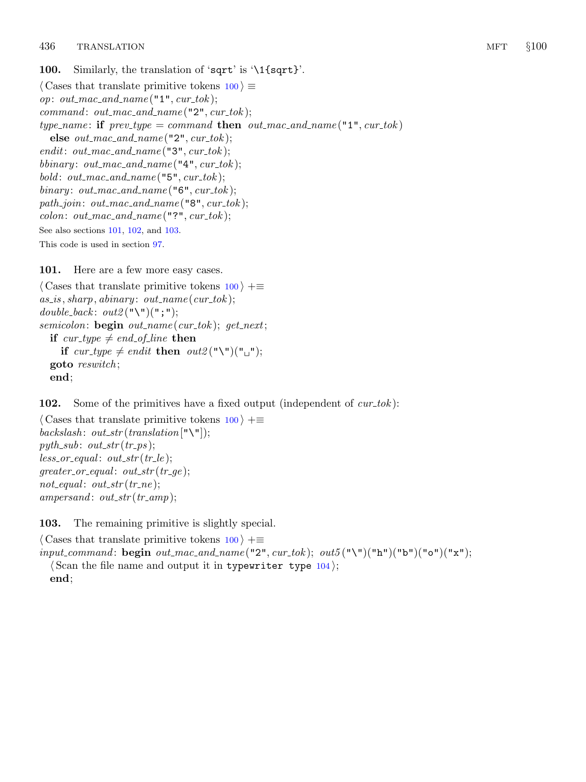<span id="page-35-0"></span>100. Similarly, the translation of 'sqrt' is '\1{sqrt}'.  $\langle$  Cases that translate primitive tokens 100  $\rangle \equiv$ op: out\_mac\_and\_name(" $1$ ", cur\_tok);  $command: out\_mac\_and\_name("2", cur\_tok);$ type\_name: if  $prev_type = command$  then  $out\_mac\_and\_name("1", cur\_tok)$ else  $out\_mac\_and\_name("2", cur\_tok);$ endit:  $out\_mac\_and\_name("3", cur\_tok);$ bbinary: out\_mac\_and\_name("4",  $cur\_tok$ ); bold:  $out\_mac\_and\_name("5", cur\_tok);$ binary: out\_mac\_and\_name(" $6$ ", cur\_tok); path\_join: out\_mac\_and\_name("8",  $cur\_tok$ );  $colon: out\_mac\_and\_name("?"", cur\_tok);$ See also sections 101, 102, and 103. This code is used in section [97](#page-34-0).

101. Here are a few more easy cases.

```
\langle Cases that translate primitive tokens 100 \rangle +≡
as_is, sharp, a binary: out_name (cur\_tok);double_back: out2("\")(";");
semicolon: begin{aligned} \text{begin out\_name} (cur\_tok); \text{ get\_next}; \end{aligned}if cur_type \neq end_of_line then
      if cur_type \neq endit then out 2(\mathbb{T}\setminus\mathbb{T})(\mathbb{T}_{\square}\mathbb{T});goto reswitch ;
  end;
```
102. Some of the primitives have a fixed output (independent of  $cur\_tok$ ):

```
\langle Cases that translate primitive tokens 100 \rangle +≡
backslash: out\_str(translation["\Psi<sub>;</sub>
pyth_sub: out\_str(tr\_ps);
less\_or\_equal: out\_str(tr\_le);greater_0r_equal: out\_str(tr\_ge);not\_equal: out\_str(tr\_ne);ampersonal: out\_str(tr\_amp);
```
103. The remaining primitive is slightly special.

 $\langle$  Cases that translate primitive tokens 100  $\rangle$  += input\_command: begin out\_mac\_and\_name("2", cur\_tok); out5("\")("h")("b")("b")("o")("x");  $\langle$  Scan the file name and output it in typewriter type [104](#page-36-0) $\rangle$ ; end;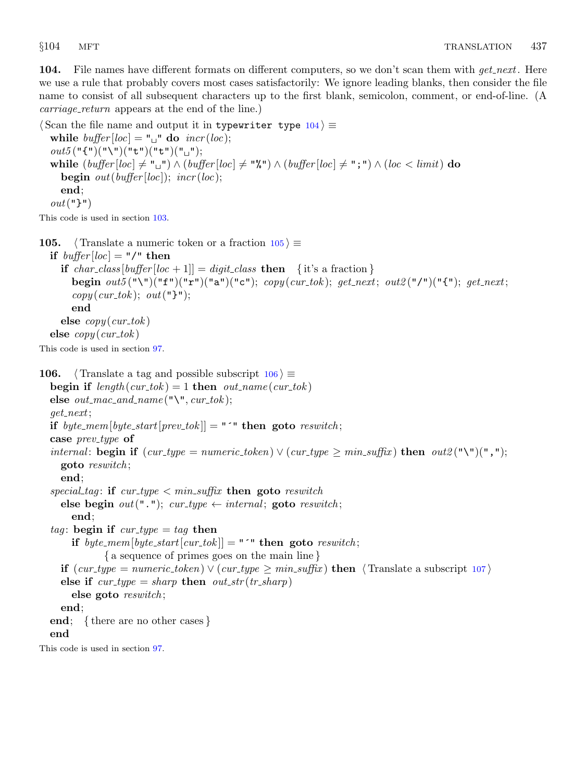<span id="page-36-0"></span>

104. File names have different formats on different computers, so we don't scan them with get\_next. Here we use a rule that probably covers most cases satisfactorily: We ignore leading blanks, then consider the file name to consist of all subsequent characters up to the first blank, semicolon, comment, or end-of-line. (A carriage\_return appears at the end of the line.)

 $\langle$  Scan the file name and output it in typewriter type 104 $\rangle \equiv$ while  $buffer[loc] = "^\mathsf{T}$  do  $incr(loc);$  $out5("{\iota}")("\`"\)("t")("t")("t")("u");$ while  $(\text{buffer}[\text{loc}] \neq "\text{u}") \wedge (\text{buffer}[\text{loc}] \neq "\text{u}") \wedge (\text{buffer}[\text{loc}] \neq "\text{u}") \wedge (\text{loc} < \text{limit})$  do **begin** out(buffer[loc]); incr(loc); end;  $out("}$ ")

This code is used in section [103.](#page-35-0)

105.  $\langle$  Translate a numeric token or a fraction 105 $\rangle \equiv$ 

if  $buffer[loc] = "/* then$ if char\_class [buffer [loc + 1]] = digit\_class then { it's a fraction } begin  $out5("\\"("f")("f")("a")("a")("c"); copy (cur_tok); get.next; out2("l")("f"); get.next;$  $copy(cur\_tok); out("}$ "); end else  $copy(cur\_tok)$ else  $copy(cur\_tok)$ 

This code is used in section [97](#page-34-0).

```
106. \langle Translate a tag and possible subscript 106 \rangle \equivbegin if length(curtok) = 1 then out_name(curtok)else out\_mac\_and\_name("\\", cur\_tok);get_next;
  if byte_mem[byte_start[prev_tok]] = "\cdot" then goto reswitch;
  case prev\_type of
  internal: begin if (cur_type = numeric\_token) \vee (cur_type \geq min\_suffix) then out2("\\"')("", ");goto reswitch ;
    end;
  special tag: if cur\_type < min\_suffix then goto reswitch
    else begin out("."); cur_type \leftarrow internal; goto reswitch;
       end;
  tag: begin if cur\_type = tag then
      if byte_mem[byte_start[cur_tok]] = " \cdot" then goto reswitch;
              { a sequence of primes goes on the main line }
    if (cur_type = numeric\_token) \vee (cur_type \ge min\_suffix) then 107 \rangleelse if cur_type = sharp then out\_str(tr\_sharp)else goto reswitch ;
    end;
  end; { there are no other cases }
  end
This code is used in section 97.
```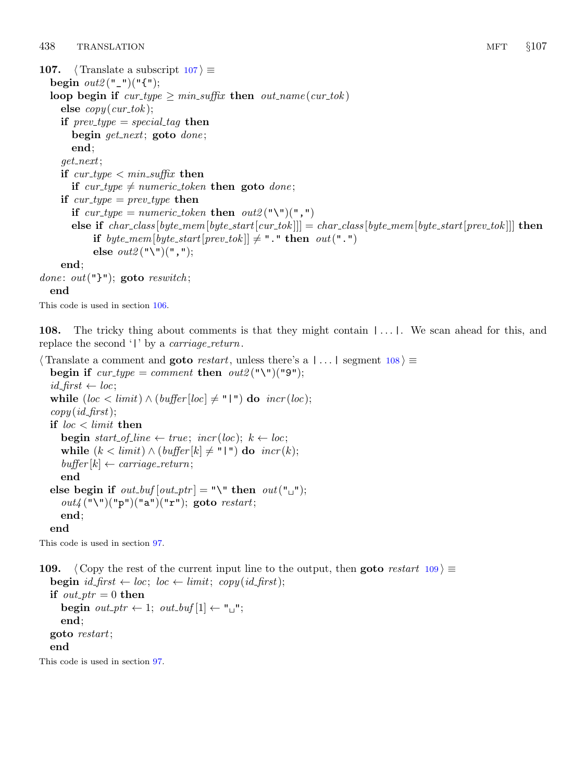```
107. \langle Translate a subscript 107 \rangle \equivbegin out2("["]("{");
  loop begin if cur\_type \geq min\_suffix then out\_name(cur\_tok)else copy(cur\_tok);if prev\_type = special\_tag then
       begin get.next; goto done;
       end;
    get_next;
    if cur\_type < min\_suffix then
       if cur type \neq numeric token then goto done;
    if cur\_type = prev\_type then
      if cur\_type = numeric\_token then out2 ("\")(",")
       else if char\_class[byte\_mem[byte\_start[cur\_tok]]] = char\_class[byte\_mem[byte\_start[prev\_tok]]] then
           if byte_mem[byte_start[prev_tok]] \neq "." then out(".")
           else out2("\\")(",");end;
done: out("}"); goto reswitch;
  end
This code is used in section 106.
```
108. The tricky thing about comments is that they might contain  $|\ldots|$ . We scan ahead for this, and replace the second ' $\vert$ ' by a *carriage\_return*.

```
\langle Translate a comment and goto restart, unless there's a | \dots | segment 108\rangle \equivbegin if cur\_type = comment then out2 ("\")("9");
  id\_first \leftarrow loc;while (loc < limit) \wedge (buffer[loc] \neq "\ ]") do incr(loc);copy(id\_first);if loc < limit then
     begin start_of_line \leftarrow true; incr(loc); k \leftarrow loc;while (k < limit) \wedge (buffer[k] \neq "\mid") do incr(k);buffer[k] \leftarrow carriage\_return;end
  else begin if out_buf[out_ptr] = "\" then out["_"];
     out_4 ("\")("p")("a")("r"); goto restart;
     end;
  end
```
This code is used in section [97](#page-34-0).

109.  $\langle$  Copy the rest of the current input line to the output, then goto restart 109 $\rangle \equiv$ **begin**  $id\_first \leftarrow loc$ ;  $loc \leftarrow limit$ ;  $copy(id\_first)$ ; if  $out\_ptr = 0$  then begin  $out\_ptr \leftarrow 1$ ;  $out\_buf[1] \leftarrow "\sqcup"$ ; end; goto restart; end This code is used in section [97](#page-34-0).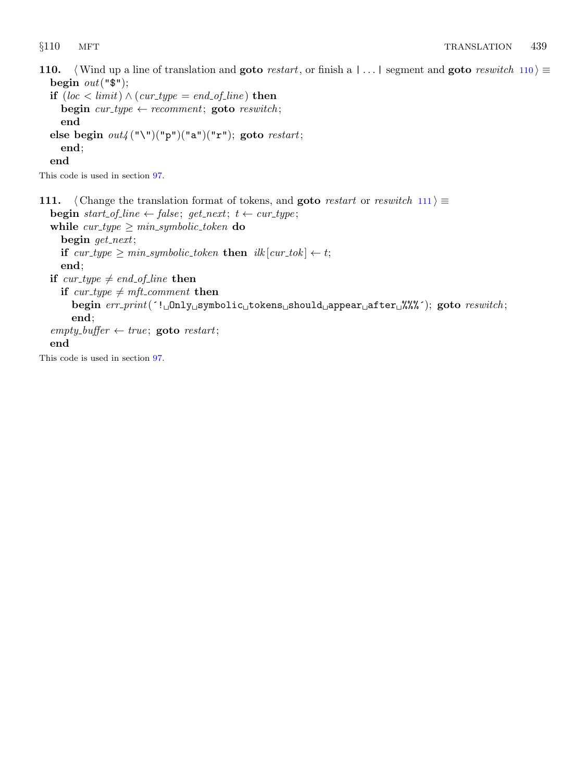<span id="page-38-0"></span>110. (Wind up a line of translation and goto restart, or finish a | . . . | segment and goto reswitch 110  $\rangle \equiv$ begin  $out("$")$ ;

```
if (loc < limit) \wedge (cur_type = end_ofu) then
  begin cur_type \leftarrow recomment; goto reswitch;
  end
else begin out4 ("\")("p")("a")("r"); goto restart;
  end;
end
```
This code is used in section [97](#page-34-0).

111.  $\langle$  Change the translation format of tokens, and **goto** restart or reswitch 111 $\rangle \equiv$ begin start\_of\_line  $\leftarrow$  false; get\_next; t  $\leftarrow$  cur\_type; while  $cur\_type \geq min\_symbolic\_token$  do begin get\_next; if  $cur\_type \geq min\_symbolic\_token$  then  $ilk[cur\_tok] \leftarrow t;$ end; if cur\_type  $\neq$  end\_of\_line then if cur\_type  $\neq mft$ \_comment then begin  $err\_print('! \text{tdnly\_symbolic\_token\_shown\_should\_appear\_after \text{td},\text{%%'});$  goto  $result$ ; end;  $empty\_buffer \leftarrow true;$  goto restart; end This code is used in section [97](#page-34-0).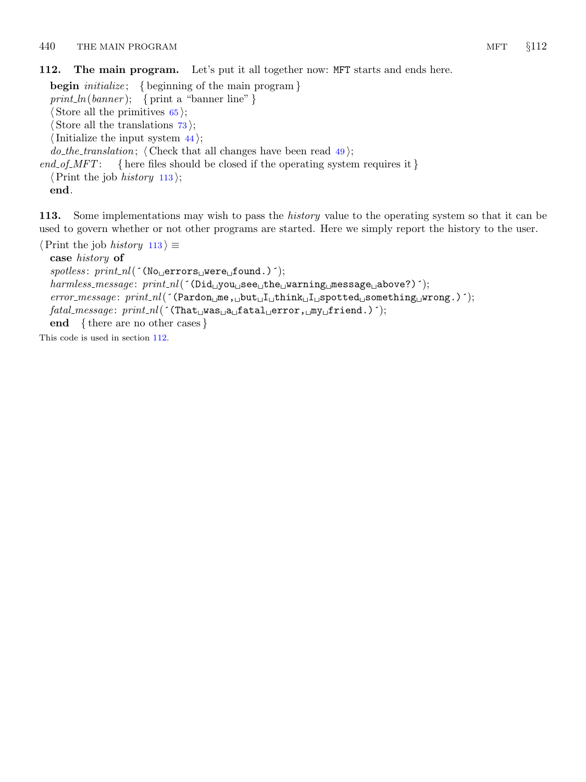<span id="page-39-0"></span>112. The main program. Let's put it all together now: MFT starts and ends here.

**begin** *initialize*; { beginning of the main program } print\_ln(banner); { print a "banner line" }  $\langle$  Store all the primitives [65](#page-21-0) $\rangle$ ;  $\langle$  Store all the translations  $73$ ;  $\langle$  Initialize the input system [44](#page-14-0) $\rangle$ ; *do\_the\_translation*;  $\langle$  Check that all changes have been read [49](#page-15-0) $\rangle$ ; end\_of\_MFT: { here files should be closed if the operating system requires it }  $\langle$  Print the job *history* 113 $\rangle$ ;

end.

113. Some implementations may wish to pass the *history* value to the operating system so that it can be used to govern whether or not other programs are started. Here we simply report the history to the user.

 $\langle$  Print the job *history* 113  $\rangle \equiv$ 

case history of

 $spotless: print\_nl($  (No<sub> $\sqcup$ </sub>errors $\sqcup$ were $\sqcup$ found.)  $\land$ );  $\mathit{harmless\_message}$ :  $\mathit{print\_nl}$  ( $\mathsf{(\mathrm{Did\_you\_see\_the\_learning\_message\_above?)}$ );  $error\_message: \; print\_nl($  (Pardon  $\text{m}$ e, but I think I spotted something wrong.)  $^{\prime}$ ;  $\mathit{fatal\_message:}\ print\_nl($  (That $\text{Lwas}_\text{u}$ a $\text{Laf}$ atal $\text{Lerror}, \text{Lmy}_\text{u}$ friend.)  $^{\circ}$ ); end { there are no other cases }

This code is used in section 112.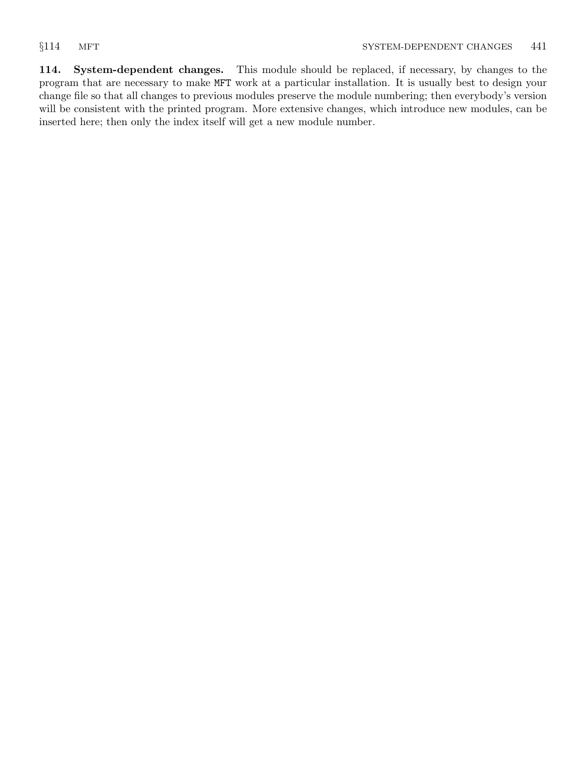<span id="page-40-0"></span>114. System-dependent changes. This module should be replaced, if necessary, by changes to the program that are necessary to make MFT work at a particular installation. It is usually best to design your change file so that all changes to previous modules preserve the module numbering; then everybody's version will be consistent with the printed program. More extensive changes, which introduce new modules, can be inserted here; then only the index itself will get a new module number.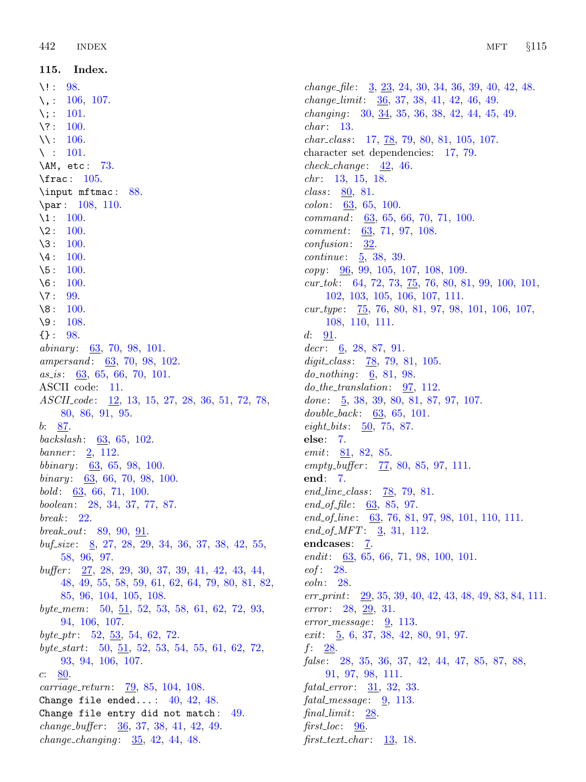<span id="page-41-0"></span>115. Index.

 $\backslash !$  : [98](#page-34-0).  $\backslash$ , : [106](#page-36-0), [107](#page-37-0).  $\backslash$ : [101](#page-35-0). \? : [100](#page-35-0). \\ : [106](#page-36-0).  $\backslash$  : [101](#page-35-0). \AM, etc : [73.](#page-27-0) \frac : [105.](#page-36-0) \input mftmac : [88.](#page-31-0) \par : [108,](#page-37-0) [110.](#page-38-0)  $\lambda_1$ : [100](#page-35-0).  $\lambda$ 2 : [100](#page-35-0).  $\lambda$ 3 : [100](#page-35-0).  $\lambda$ 4 : [100](#page-35-0).  $\sqrt{5}$ : [100](#page-35-0).  $\sqrt{6}$ : [100](#page-35-0).  $\sqrt{7}$ : [99](#page-34-0).  $\sqrt{8}$ : [100](#page-35-0).  $\sqrt{9}$ : [108](#page-37-0). {} : [98](#page-34-0).  $abinary: 63, 70, 98, 101.$  $abinary: 63, 70, 98, 101.$  $abinary: 63, 70, 98, 101.$  $abinary: 63, 70, 98, 101.$  $abinary: 63, 70, 98, 101.$  $abinary: 63, 70, 98, 101.$  $abinary: 63, 70, 98, 101.$  $abinary: 63, 70, 98, 101.$  $ampersonal: 63, 70, 98, 102.$  $ampersonal: 63, 70, 98, 102.$  $ampersonal: 63, 70, 98, 102.$  $ampersonal: 63, 70, 98, 102.$  $ampersonal: 63, 70, 98, 102.$  $ampersonal: 63, 70, 98, 102.$  $ampersonal: 63, 70, 98, 102.$  $ampersonal: 63, 70, 98, 102.$  $ampersonal: 63, 70, 98, 102.$  $as_is: 63, 65, 66, 70, 101.$  $as_is: 63, 65, 66, 70, 101.$  $as_is: 63, 65, 66, 70, 101.$  $as_is: 63, 65, 66, 70, 101.$  $as_is: 63, 65, 66, 70, 101.$  $as_is: 63, 65, 66, 70, 101.$  $as_is: 63, 65, 66, 70, 101.$  $as_is: 63, 65, 66, 70, 101.$  $as_is: 63, 65, 66, 70, 101.$  $as_is: 63, 65, 66, 70, 101.$ ASCII code: [11.](#page-4-0) ASCII<sub>-code</sub>: [12,](#page-4-0) [13,](#page-4-0) [15,](#page-4-0) [27,](#page-7-0) [28,](#page-8-0) [36,](#page-11-0) [51,](#page-16-0) [72,](#page-27-0) [78,](#page-28-0) [80,](#page-29-0) [86,](#page-31-0) [91,](#page-32-0) [95](#page-33-0).  $b: 87.$  $b: 87.$ backslash:  $63, 65, 102$  $63, 65, 102$  $63, 65, 102$  $63, 65, 102$  $63, 65, 102$ . banner:  $2, 112.$  $2, 112.$  $2, 112.$  $2, 112.$ bbinary:  $63, 65, 98, 100$  $63, 65, 98, 100$  $63, 65, 98, 100$  $63, 65, 98, 100$  $63, 65, 98, 100$  $63, 65, 98, 100$  $63, 65, 98, 100$ .  $binary: 63, 66, 70, 98, 100.$  $binary: 63, 66, 70, 98, 100.$  $binary: 63, 66, 70, 98, 100.$  $binary: 63, 66, 70, 98, 100.$  $binary: 63, 66, 70, 98, 100.$  $binary: 63, 66, 70, 98, 100.$  $binary: 63, 66, 70, 98, 100.$  $binary: 63, 66, 70, 98, 100.$  $binary: 63, 66, 70, 98, 100.$  $binary: 63, 66, 70, 98, 100.$  $bold: 63, 66, 71, 100.$  $bold: 63, 66, 71, 100.$  $bold: 63, 66, 71, 100.$  $bold: 63, 66, 71, 100.$  $bold: 63, 66, 71, 100.$  $bold: 63, 66, 71, 100.$  $bold: 63, 66, 71, 100.$  $bold: 63, 66, 71, 100.$ boolean: [28](#page-8-0), [34](#page-11-0), [37,](#page-11-0) [77,](#page-28-0) [87](#page-31-0).  $break: 22.$  $break: 22.$  $break: 22.$ break out: [89,](#page-31-0) [90](#page-32-0), [91.](#page-32-0)  $\textit{buf\_size}:$  [8](#page-3-0), [27,](#page-7-0) [28,](#page-8-0) [29](#page-9-0), [34](#page-11-0), [36,](#page-11-0) [37,](#page-11-0) [38](#page-11-0), [42](#page-13-0), [55,](#page-16-0) [58,](#page-17-0) [96,](#page-33-0) [97](#page-34-0). buffer : [27](#page-7-0), [28](#page-8-0), [29,](#page-9-0) [30](#page-9-0), [37,](#page-11-0) [39,](#page-12-0) [41](#page-12-0), [42,](#page-13-0) [43](#page-13-0), [44](#page-14-0), [48,](#page-15-0) [49,](#page-15-0) [55](#page-16-0), [58,](#page-17-0) [59,](#page-17-0) [61](#page-17-0), [62](#page-18-0), [64,](#page-20-0) [79](#page-29-0), [80](#page-29-0), [81,](#page-30-0) [82,](#page-30-0) [85,](#page-30-0) [96](#page-33-0), [104,](#page-36-0) [105](#page-36-0), [108.](#page-37-0) byte\_mem:  $50, 51, 52, 53, 58, 61, 62, 72, 93,$  $50, 51, 52, 53, 58, 61, 62, 72, 93,$  $50, 51, 52, 53, 58, 61, 62, 72, 93,$  $50, 51, 52, 53, 58, 61, 62, 72, 93,$  $50, 51, 52, 53, 58, 61, 62, 72, 93,$  $50, 51, 52, 53, 58, 61, 62, 72, 93,$  $50, 51, 52, 53, 58, 61, 62, 72, 93,$  $50, 51, 52, 53, 58, 61, 62, 72, 93,$  $50, 51, 52, 53, 58, 61, 62, 72, 93,$  $50, 51, 52, 53, 58, 61, 62, 72, 93,$  $50, 51, 52, 53, 58, 61, 62, 72, 93,$  $50, 51, 52, 53, 58, 61, 62, 72, 93,$  $50, 51, 52, 53, 58, 61, 62, 72, 93,$  $50, 51, 52, 53, 58, 61, 62, 72, 93,$  $50, 51, 52, 53, 58, 61, 62, 72, 93,$  $50, 51, 52, 53, 58, 61, 62, 72, 93,$  $50, 51, 52, 53, 58, 61, 62, 72, 93,$  $50, 51, 52, 53, 58, 61, 62, 72, 93,$ [94,](#page-33-0) [106,](#page-36-0) [107.](#page-37-0) byte\_ptr:  $52, 53, 54, 62, 72$  $52, 53, 54, 62, 72$  $52, 53, 54, 62, 72$  $52, 53, 54, 62, 72$  $52, 53, 54, 62, 72$  $52, 53, 54, 62, 72$  $52, 53, 54, 62, 72$  $52, 53, 54, 62, 72$ . byte start: [50](#page-16-0), [51,](#page-16-0) [52,](#page-16-0) [53](#page-16-0), [54,](#page-16-0) [55](#page-16-0), [61,](#page-17-0) [62](#page-18-0), [72,](#page-27-0) [93,](#page-32-0) [94,](#page-33-0) [106](#page-36-0), [107](#page-37-0). c: [80](#page-29-0). carriage return: [79](#page-29-0), [85](#page-30-0), [104](#page-36-0), [108](#page-37-0). Change file ended...:  $40, 42, 48$  $40, 42, 48$  $40, 42, 48$  $40, 42, 48$  $40, 42, 48$ . Change file entry did not match:  $49$ .  $change_buffer: 36, 37, 38, 41, 42, 49.$  $change_buffer: 36, 37, 38, 41, 42, 49.$  $change_buffer: 36, 37, 38, 41, 42, 49.$  $change_buffer: 36, 37, 38, 41, 42, 49.$  $change_buffer: 36, 37, 38, 41, 42, 49.$  $change_buffer: 36, 37, 38, 41, 42, 49.$  $change_buffer: 36, 37, 38, 41, 42, 49.$  $change_buffer: 36, 37, 38, 41, 42, 49.$  $change_buffer: 36, 37, 38, 41, 42, 49.$  $change_buffer: 36, 37, 38, 41, 42, 49.$  $change_buffer: 36, 37, 38, 41, 42, 49.$  $change_buffer: 36, 37, 38, 41, 42, 49.$  $change_buffer: 36, 37, 38, 41, 42, 49.$  $change_{\_}changing: 35, 42, 44, 48.$  $change_{\_}changing: 35, 42, 44, 48.$  $change_{\_}changing: 35, 42, 44, 48.$  $change_{\_}changing: 35, 42, 44, 48.$  $change_{\_}changing: 35, 42, 44, 48.$  $change_{\_}changing: 35, 42, 44, 48.$  $change_{\_}changing: 35, 42, 44, 48.$  $change_{\_}changing: 35, 42, 44, 48.$ 

change file : [3,](#page-2-0) [23](#page-7-0), [24](#page-7-0), [30](#page-9-0), [34,](#page-11-0) [36,](#page-11-0) [39](#page-12-0), [40](#page-12-0), [42](#page-13-0), [48.](#page-15-0) change limit: [36](#page-11-0), [37](#page-11-0), [38,](#page-11-0) [41](#page-12-0), [42,](#page-13-0) [46,](#page-14-0) [49](#page-15-0). changing : [30](#page-9-0), [34,](#page-11-0) [35](#page-11-0), [36](#page-11-0), [38,](#page-11-0) [42](#page-13-0), [44,](#page-14-0) [45](#page-14-0), [49.](#page-15-0)  $char: 13.$  $char: 13.$  $char: 13.$ char\_class: [17,](#page-5-0) [78,](#page-28-0) [79](#page-29-0), [80,](#page-29-0) [81,](#page-30-0) [105](#page-36-0), [107.](#page-37-0) character set dependencies: [17,](#page-5-0) [79.](#page-29-0)  $check\_change: 42, 46.$  $check\_change: 42, 46.$  $check\_change: 42, 46.$  $check\_change: 42, 46.$ chr: [13](#page-4-0), [15](#page-4-0), [18](#page-6-0). class: [80](#page-29-0), [81](#page-30-0). colon: [63](#page-19-0), [65](#page-21-0), [100.](#page-35-0)  $command: 63, 65, 66, 70, 71, 100.$  $command: 63, 65, 66, 70, 71, 100.$  $command: 63, 65, 66, 70, 71, 100.$  $command: 63, 65, 66, 70, 71, 100.$  $command: 63, 65, 66, 70, 71, 100.$  $command: 63, 65, 66, 70, 71, 100.$  $command: 63, 65, 66, 70, 71, 100.$  $command: 63, 65, 66, 70, 71, 100.$  $command: 63, 65, 66, 70, 71, 100.$  $command: 63, 65, 66, 70, 71, 100.$  $command: 63, 65, 66, 70, 71, 100.$  $command: 63, 65, 66, 70, 71, 100.$  $comment: \underline{63}, 71, 97, 108.$  $comment: \underline{63}, 71, 97, 108.$  $comment: \underline{63}, 71, 97, 108.$  $comment: \underline{63}, 71, 97, 108.$  $comment: \underline{63}, 71, 97, 108.$  $comment: \underline{63}, 71, 97, 108.$  $comment: \underline{63}, 71, 97, 108.$  $comment: \underline{63}, 71, 97, 108.$  $comment: \underline{63}, 71, 97, 108.$ confusion: [32.](#page-10-0) *continue*:  $\frac{5}{2}$ , [38](#page-11-0), [39](#page-12-0).  $copy: \underline{96}, 99, 105, 107, 108, 109.$  $copy: \underline{96}, 99, 105, 107, 108, 109.$  $copy: \underline{96}, 99, 105, 107, 108, 109.$  $copy: \underline{96}, 99, 105, 107, 108, 109.$  $copy: \underline{96}, 99, 105, 107, 108, 109.$  $copy: \underline{96}, 99, 105, 107, 108, 109.$  $copy: \underline{96}, 99, 105, 107, 108, 109.$  $copy: \underline{96}, 99, 105, 107, 108, 109.$  $copy: \underline{96}, 99, 105, 107, 108, 109.$  $copy: \underline{96}, 99, 105, 107, 108, 109.$  $copy: \underline{96}, 99, 105, 107, 108, 109.$  $copy: \underline{96}, 99, 105, 107, 108, 109.$  $copy: \underline{96}, 99, 105, 107, 108, 109.$  $cur\_tok$ : [64](#page-20-0), [72,](#page-27-0) [73](#page-27-0), <u>75</u>, [76](#page-28-0), [80](#page-29-0), [81,](#page-30-0) [99](#page-34-0), [100,](#page-35-0) [101](#page-35-0), [102,](#page-35-0) [103,](#page-35-0) [105,](#page-36-0) [106,](#page-36-0) [107,](#page-37-0) [111.](#page-38-0)  $\textit{cur_type}:$  [75](#page-28-0), [76](#page-28-0), [80](#page-29-0), [81](#page-30-0), [97,](#page-34-0) [98,](#page-34-0) [101,](#page-35-0) [106,](#page-36-0) [107,](#page-37-0) [108,](#page-37-0) [110,](#page-38-0) [111.](#page-38-0)  $d: 91.$  $d: 91.$  $decr: \underline{6}, 28, 87, 91.$  $decr: \underline{6}, 28, 87, 91.$  $decr: \underline{6}, 28, 87, 91.$  $decr: \underline{6}, 28, 87, 91.$  $decr: \underline{6}, 28, 87, 91.$  $decr: \underline{6}, 28, 87, 91.$  $decr: \underline{6}, 28, 87, 91.$  $decr: \underline{6}, 28, 87, 91.$  $decr: \underline{6}, 28, 87, 91.$ digit class:  $\frac{78}{79}$  $\frac{78}{79}$  $\frac{78}{79}$  $\frac{78}{79}$  $\frac{78}{79}$ , 79, [81,](#page-30-0) [105](#page-36-0).  $do\_nothinging: \underline{6}, 81, 98.$  $do\_nothinging: \underline{6}, 81, 98.$  $do\_nothinging: \underline{6}, 81, 98.$  $do\_nothinging: \underline{6}, 81, 98.$  $do\_nothinging: \underline{6}, 81, 98.$  $do\_nothinging: \underline{6}, 81, 98.$  $do\_nothinging: \underline{6}, 81, 98.$ do the translation: [97,](#page-34-0) [112](#page-39-0). done:  $\frac{5}{9}$  $\frac{5}{9}$  $\frac{5}{9}$ , [38](#page-11-0), [39,](#page-12-0) [80,](#page-29-0) [81,](#page-30-0) [87](#page-31-0), [97](#page-34-0), [107](#page-37-0). double\_back:  $63, 65, 101$  $63, 65, 101$  $63, 65, 101$  $63, 65, 101$  $63, 65, 101$ .  $eight\_bits: \frac{50}{75}, \frac{87}{5}.$  $eight\_bits: \frac{50}{75}, \frac{87}{5}.$  $eight\_bits: \frac{50}{75}, \frac{87}{5}.$ else: [7](#page-3-0).  $emit: 81, 82, 85.$  $emit: 81, 82, 85.$  $emit: 81, 82, 85.$  $emit: 81, 82, 85.$  $emit: 81, 82, 85.$  $emit: 81, 82, 85.$  $emit: 81, 82, 85.$  $empty\_buffer: \quad 77, 80, 85, 97, 111.$  $empty\_buffer: \quad 77, 80, 85, 97, 111.$  $empty\_buffer: \quad 77, 80, 85, 97, 111.$  $empty\_buffer: \quad 77, 80, 85, 97, 111.$  $empty\_buffer: \quad 77, 80, 85, 97, 111.$  $empty\_buffer: \quad 77, 80, 85, 97, 111.$  $empty\_buffer: \quad 77, 80, 85, 97, 111.$  $empty\_buffer: \quad 77, 80, 85, 97, 111.$  $empty\_buffer: \quad 77, 80, 85, 97, 111.$  $empty\_buffer: \quad 77, 80, 85, 97, 111.$ end: [7](#page-3-0).  $end\_line\_class:$   $\frac{78}{79}, 81.$  $\frac{78}{79}, 81.$  $\frac{78}{79}, 81.$  $\frac{78}{79}, 81.$  $end\_of\_file: 63, 85, 97.$  $end\_of\_file: 63, 85, 97.$  $end\_of\_file: 63, 85, 97.$  $end\_of\_file: 63, 85, 97.$  $end\_of\_file: 63, 85, 97.$  $end\_of\_file: 63, 85, 97.$ end of line:  $63, 76, 81, 97, 98, 101, 110, 111$  $63, 76, 81, 97, 98, 101, 110, 111$  $63, 76, 81, 97, 98, 101, 110, 111$  $63, 76, 81, 97, 98, 101, 110, 111$  $63, 76, 81, 97, 98, 101, 110, 111$  $63, 76, 81, 97, 98, 101, 110, 111$  $63, 76, 81, 97, 98, 101, 110, 111$  $63, 76, 81, 97, 98, 101, 110, 111$  $63, 76, 81, 97, 98, 101, 110, 111$  $63, 76, 81, 97, 98, 101, 110, 111$  $63, 76, 81, 97, 98, 101, 110, 111$  $63, 76, 81, 97, 98, 101, 110, 111$  $63, 76, 81, 97, 98, 101, 110, 111$  $63, 76, 81, 97, 98, 101, 110, 111$ . end\_of\_MFT:  $\frac{3}{2}$ , [31](#page-9-0), [112.](#page-39-0) endcases: [7](#page-3-0). endit:  $63, 65, 66, 71, 98, 100, 101$  $63, 65, 66, 71, 98, 100, 101$  $63, 65, 66, 71, 98, 100, 101$  $63, 65, 66, 71, 98, 100, 101$  $63, 65, 66, 71, 98, 100, 101$  $63, 65, 66, 71, 98, 100, 101$  $63, 65, 66, 71, 98, 100, 101$  $63, 65, 66, 71, 98, 100, 101$  $63, 65, 66, 71, 98, 100, 101$  $63, 65, 66, 71, 98, 100, 101$  $63, 65, 66, 71, 98, 100, 101$  $63, 65, 66, 71, 98, 100, 101$  $63, 65, 66, 71, 98, 100, 101$ .  $eof: 28.$  $eof: 28.$  $eof: 28.$ eoln: [28](#page-8-0). err\_print: [29](#page-9-0), [35](#page-11-0), [39,](#page-12-0) [40](#page-12-0), [42,](#page-13-0) [43](#page-13-0), [48,](#page-15-0) [49,](#page-15-0) [83](#page-30-0), [84,](#page-30-0) [111](#page-38-0). error: [28](#page-8-0), [29,](#page-9-0) [31.](#page-9-0)  $error\_message: \quad 9, \quad 113.$  $error\_message: \quad 9, \quad 113.$  $error\_message: \quad 9, \quad 113.$  $error\_message: \quad 9, \quad 113.$  $error\_message: \quad 9, \quad 113.$  $exit: 5, 6, 37, 38, 42, 80, 91, 97.$  $exit: 5, 6, 37, 38, 42, 80, 91, 97.$  $exit: 5, 6, 37, 38, 42, 80, 91, 97.$  $exit: 5, 6, 37, 38, 42, 80, 91, 97.$  $exit: 5, 6, 37, 38, 42, 80, 91, 97.$  $exit: 5, 6, 37, 38, 42, 80, 91, 97.$  $exit: 5, 6, 37, 38, 42, 80, 91, 97.$  $exit: 5, 6, 37, 38, 42, 80, 91, 97.$  $exit: 5, 6, 37, 38, 42, 80, 91, 97.$  $exit: 5, 6, 37, 38, 42, 80, 91, 97.$  $exit: 5, 6, 37, 38, 42, 80, 91, 97.$  $exit: 5, 6, 37, 38, 42, 80, 91, 97.$  $exit: 5, 6, 37, 38, 42, 80, 91, 97.$  $exit: 5, 6, 37, 38, 42, 80, 91, 97.$  $exit: 5, 6, 37, 38, 42, 80, 91, 97.$  $exit: 5, 6, 37, 38, 42, 80, 91, 97.$ f: [28.](#page-8-0) false: [28](#page-8-0), [35,](#page-11-0) [36,](#page-11-0) [37](#page-11-0), [42,](#page-13-0) [44](#page-14-0), [47](#page-14-0), [85,](#page-30-0) [87](#page-31-0), [88](#page-31-0), [91,](#page-32-0) [97,](#page-34-0) [98](#page-34-0), [111](#page-38-0).  $fatal_error: 31, 32, 33.$  $fatal_error: 31, 32, 33.$  $fatal_error: 31, 32, 33.$  $fatal_error: 31, 32, 33.$  $fatal_error: 31, 32, 33.$  $fatal_error: 31, 32, 33.$  $fatal\_message: \quad 9, \; 113.$  $fatal\_message: \quad 9, \; 113.$  $fatal\_message: \quad 9, \; 113.$  $fatal\_message: \quad 9, \; 113.$  $fatal\_message: \quad 9, \; 113.$  $final\_limit:$   $28.$  $first\_loc: 96$  $first\_loc: 96$ . first text char:  $\frac{13}{18}$  $\frac{13}{18}$  $\frac{13}{18}$ , 18.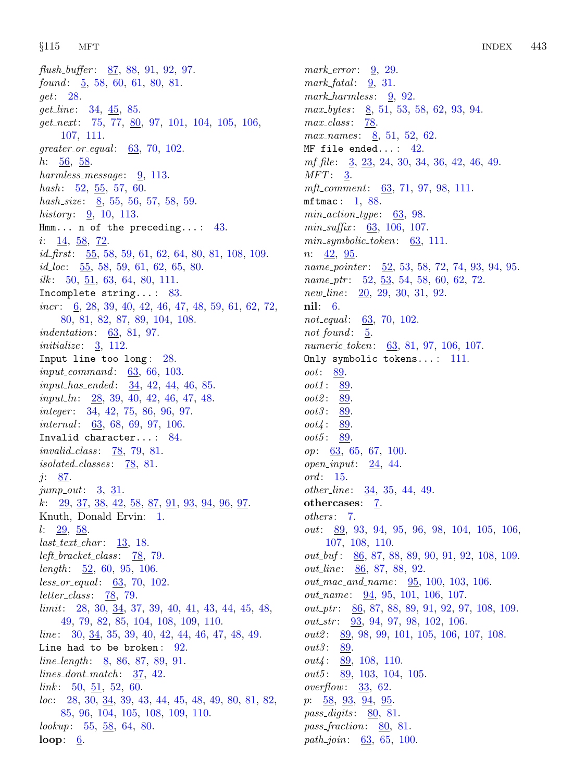flush buffer:  $87, 88, 91, 92, 97$  $87, 88, 91, 92, 97$  $87, 88, 91, 92, 97$  $87, 88, 91, 92, 97$  $87, 88, 91, 92, 97$  $87, 88, 91, 92, 97$  $87, 88, 91, 92, 97$  $87, 88, 91, 92, 97$  $87, 88, 91, 92, 97$ . found:  $\overline{5}$  $\overline{5}$  $\overline{5}$ , [58,](#page-17-0) [60,](#page-17-0) [61](#page-17-0), [80](#page-29-0), [81.](#page-30-0) get: [28.](#page-8-0)  $get\_line: 34, 45, 85.$  $get\_line: 34, 45, 85.$  $get\_line: 34, 45, 85.$  $get\_line: 34, 45, 85.$  $get\_line: 34, 45, 85.$  $get\_line: 34, 45, 85.$  $get\_line: 34, 45, 85.$  $get.next: 75, 77, 80, 97, 101, 104, 105, 106,$  $get.next: 75, 77, 80, 97, 101, 104, 105, 106,$  $get.next: 75, 77, 80, 97, 101, 104, 105, 106,$  $get.next: 75, 77, 80, 97, 101, 104, 105, 106,$  $get.next: 75, 77, 80, 97, 101, 104, 105, 106,$  $get.next: 75, 77, 80, 97, 101, 104, 105, 106,$  $get.next: 75, 77, 80, 97, 101, 104, 105, 106,$  $get.next: 75, 77, 80, 97, 101, 104, 105, 106,$  $get.next: 75, 77, 80, 97, 101, 104, 105, 106,$  $get.next: 75, 77, 80, 97, 101, 104, 105, 106,$  $get.next: 75, 77, 80, 97, 101, 104, 105, 106,$  $get.next: 75, 77, 80, 97, 101, 104, 105, 106,$  $get.next: 75, 77, 80, 97, 101, 104, 105, 106,$  $get.next: 75, 77, 80, 97, 101, 104, 105, 106,$  $get.next: 75, 77, 80, 97, 101, 104, 105, 106,$  $get.next: 75, 77, 80, 97, 101, 104, 105, 106,$ [107,](#page-37-0) [111](#page-38-0). greater\_or\_equal:  $63, 70, 102$  $63, 70, 102$  $63, 70, 102$  $63, 70, 102$  $63, 70, 102$ .  $h: \frac{56}{9}, \frac{58}{9}.$  $h: \frac{56}{9}, \frac{58}{9}.$  $h: \frac{56}{9}, \frac{58}{9}.$ harmless\_message:  $9, 113$  $9, 113$ . *hash*:  $52, 55, 57, 60$  $52, 55, 57, 60$  $52, 55, 57, 60$  $52, 55, 57, 60$  $52, 55, 57, 60$  $52, 55, 57, 60$  $52, 55, 57, 60$ . hash\_size:  $8, 55, 56, 57, 58, 59$  $8, 55, 56, 57, 58, 59$  $8, 55, 56, 57, 58, 59$  $8, 55, 56, 57, 58, 59$  $8, 55, 56, 57, 58, 59$  $8, 55, 56, 57, 58, 59$  $8, 55, 56, 57, 58, 59$  $8, 55, 56, 57, 58, 59$  $8, 55, 56, 57, 58, 59$  $8, 55, 56, 57, 58, 59$  $8, 55, 56, 57, 58, 59$ . *history*:  $9, 10, 113$  $9, 10, 113$  $9, 10, 113$  $9, 10, 113$  $9, 10, 113$ . Hmm... n of the preceding...:  $43$ . *i*: <u>[14](#page-4-0)</u>, <u>[58](#page-17-0)</u>, <u>[72](#page-27-0)</u>. *id\_first*:  $\underline{55}$  $\underline{55}$  $\underline{55}$ , [58](#page-17-0), [59,](#page-17-0) [61,](#page-17-0) [62,](#page-18-0) [64](#page-20-0), [80](#page-29-0), [81,](#page-30-0) [108,](#page-37-0) [109](#page-37-0). *id*<sub>-loc</sub>:  $\frac{55}{56}$  $\frac{55}{56}$  $\frac{55}{56}$ , [58](#page-17-0), [59](#page-17-0), [61](#page-17-0), [62](#page-18-0), [65](#page-21-0), [80](#page-29-0). ilk: [50](#page-16-0), [51,](#page-16-0) [63](#page-19-0), [64](#page-20-0), [80,](#page-29-0) [111.](#page-38-0) Incomplete string... : [83](#page-30-0). incr : [6,](#page-2-0) [28](#page-8-0), [39,](#page-12-0) [40,](#page-12-0) [42](#page-13-0), [46,](#page-14-0) [47](#page-14-0), [48,](#page-15-0) [59,](#page-17-0) [61](#page-17-0), [62,](#page-18-0) [72](#page-27-0), [80,](#page-29-0) [81,](#page-30-0) [82](#page-30-0), [87](#page-31-0), [89](#page-31-0), [104](#page-36-0), [108](#page-37-0). indentation: [63](#page-19-0), [81,](#page-30-0) [97](#page-34-0). initialize:  $3, 112$  $3, 112$  $3, 112$ . Input line too long : [28](#page-8-0).  $input_{command}:$  [63,](#page-19-0) [66,](#page-22-0) [103.](#page-35-0)  $input\_has\_ended: \quad \underline{34}, \ 42, \ 44, \ 46, \ 85.$  $input\_has\_ended: \quad \underline{34}, \ 42, \ 44, \ 46, \ 85.$  $input\_has\_ended: \quad \underline{34}, \ 42, \ 44, \ 46, \ 85.$  $input\_has\_ended: \quad \underline{34}, \ 42, \ 44, \ 46, \ 85.$  $input\_has\_ended: \quad \underline{34}, \ 42, \ 44, \ 46, \ 85.$  $input\_has\_ended: \quad \underline{34}, \ 42, \ 44, \ 46, \ 85.$  $input\_has\_ended: \quad \underline{34}, \ 42, \ 44, \ 46, \ 85.$  $input\_has\_ended: \quad \underline{34}, \ 42, \ 44, \ 46, \ 85.$  $input\_has\_ended: \quad \underline{34}, \ 42, \ 44, \ 46, \ 85.$  $input\_ln: \quad 28, 39, 40, 42, 46, 47, 48.$  $input\_ln: \quad 28, 39, 40, 42, 46, 47, 48.$  $input\_ln: \quad 28, 39, 40, 42, 46, 47, 48.$  $input\_ln: \quad 28, 39, 40, 42, 46, 47, 48.$  $input\_ln: \quad 28, 39, 40, 42, 46, 47, 48.$  $input\_ln: \quad 28, 39, 40, 42, 46, 47, 48.$  $input\_ln: \quad 28, 39, 40, 42, 46, 47, 48.$  $input\_ln: \quad 28, 39, 40, 42, 46, 47, 48.$  $input\_ln: \quad 28, 39, 40, 42, 46, 47, 48.$  $input\_ln: \quad 28, 39, 40, 42, 46, 47, 48.$  $input\_ln: \quad 28, 39, 40, 42, 46, 47, 48.$  $input\_ln: \quad 28, 39, 40, 42, 46, 47, 48.$  $input\_ln: \quad 28, 39, 40, 42, 46, 47, 48.$  $input\_ln: \quad 28, 39, 40, 42, 46, 47, 48.$  $input\_ln: \quad 28, 39, 40, 42, 46, 47, 48.$ integer: [34,](#page-11-0) [42,](#page-13-0) [75,](#page-28-0) [86](#page-31-0), [96](#page-33-0), [97](#page-34-0). *internal*:  $63, 68, 69, 97, 106$  $63, 68, 69, 97, 106$  $63, 68, 69, 97, 106$  $63, 68, 69, 97, 106$  $63, 68, 69, 97, 106$  $63, 68, 69, 97, 106$  $63, 68, 69, 97, 106$  $63, 68, 69, 97, 106$  $63, 68, 69, 97, 106$ . Invalid character... : [84](#page-30-0). invalid class:  $\frac{78}{79}$  $\frac{78}{79}$  $\frac{78}{79}$ , [79,](#page-29-0) [81](#page-30-0). isolated classes:  $\frac{78}{6}$  $\frac{78}{6}$  $\frac{78}{6}$ , [81.](#page-30-0) j: <u>[87](#page-31-0)</u>.  $jump_out: 3, 31.$  $jump_out: 3, 31.$  $jump_out: 3, 31.$  $jump_out: 3, 31.$  $jump_out: 3, 31.$  $k: \quad 29, \ 37, \ 38, \ 42, \ 58, \ 87, \ 91, \ 93, \ 94, \ 96, \ 97.$  $k: \quad 29, \ 37, \ 38, \ 42, \ 58, \ 87, \ 91, \ 93, \ 94, \ 96, \ 97.$  $k: \quad 29, \ 37, \ 38, \ 42, \ 58, \ 87, \ 91, \ 93, \ 94, \ 96, \ 97.$  $k: \quad 29, \ 37, \ 38, \ 42, \ 58, \ 87, \ 91, \ 93, \ 94, \ 96, \ 97.$  $k: \quad 29, \ 37, \ 38, \ 42, \ 58, \ 87, \ 91, \ 93, \ 94, \ 96, \ 97.$  $k: \quad 29, \ 37, \ 38, \ 42, \ 58, \ 87, \ 91, \ 93, \ 94, \ 96, \ 97.$  $k: \quad 29, \ 37, \ 38, \ 42, \ 58, \ 87, \ 91, \ 93, \ 94, \ 96, \ 97.$  $k: \quad 29, \ 37, \ 38, \ 42, \ 58, \ 87, \ 91, \ 93, \ 94, \ 96, \ 97.$  $k: \quad 29, \ 37, \ 38, \ 42, \ 58, \ 87, \ 91, \ 93, \ 94, \ 96, \ 97.$  $k: \quad 29, \ 37, \ 38, \ 42, \ 58, \ 87, \ 91, \ 93, \ 94, \ 96, \ 97.$  $k: \quad 29, \ 37, \ 38, \ 42, \ 58, \ 87, \ 91, \ 93, \ 94, \ 96, \ 97.$  $k: \quad 29, \ 37, \ 38, \ 42, \ 58, \ 87, \ 91, \ 93, \ 94, \ 96, \ 97.$  $k: \quad 29, \ 37, \ 38, \ 42, \ 58, \ 87, \ 91, \ 93, \ 94, \ 96, \ 97.$  $k: \quad 29, \ 37, \ 38, \ 42, \ 58, \ 87, \ 91, \ 93, \ 94, \ 96, \ 97.$  $k: \quad 29, \ 37, \ 38, \ 42, \ 58, \ 87, \ 91, \ 93, \ 94, \ 96, \ 97.$  $k: \quad 29, \ 37, \ 38, \ 42, \ 58, \ 87, \ 91, \ 93, \ 94, \ 96, \ 97.$  $k: \quad 29, \ 37, \ 38, \ 42, \ 58, \ 87, \ 91, \ 93, \ 94, \ 96, \ 97.$  $k: \quad 29, \ 37, \ 38, \ 42, \ 58, \ 87, \ 91, \ 93, \ 94, \ 96, \ 97.$  $k: \quad 29, \ 37, \ 38, \ 42, \ 58, \ 87, \ 91, \ 93, \ 94, \ 96, \ 97.$  $k: \quad 29, \ 37, \ 38, \ 42, \ 58, \ 87, \ 91, \ 93, \ 94, \ 96, \ 97.$  $k: \quad 29, \ 37, \ 38, \ 42, \ 58, \ 87, \ 91, \ 93, \ 94, \ 96, \ 97.$  $k: \quad 29, \ 37, \ 38, \ 42, \ 58, \ 87, \ 91, \ 93, \ 94, \ 96, \ 97.$  $k: \quad 29, \ 37, \ 38, \ 42, \ 58, \ 87, \ 91, \ 93, \ 94, \ 96, \ 97.$ Knuth, Donald Ervin: [1](#page-1-0). l: [29,](#page-9-0) [58](#page-17-0).  $last\_text\_char: 13, 18.$  $last\_text\_char: 13, 18.$  $last\_text\_char: 13, 18.$  $last\_text\_char: 13, 18.$  $last\_text\_char: 13, 18.$  $left\_bracket\_class: 78, 79.$  $left\_bracket\_class: 78, 79.$  $left\_bracket\_class: 78, 79.$  $left\_bracket\_class: 78, 79.$  $left\_bracket\_class: 78, 79.$  $length: \frac{52}{9}$ , [60](#page-17-0), [95,](#page-33-0) [106](#page-36-0).  $less\_or\_equal:$  [63,](#page-19-0) [70](#page-25-0), [102.](#page-35-0)  $letter\_class: 78, 79.$  $letter\_class: 78, 79.$  $letter\_class: 78, 79.$  $letter\_class: 78, 79.$  $letter\_class: 78, 79.$  $limit: 28, 30, 34, 37, 39, 40, 41, 43, 44, 45, 48,$  $limit: 28, 30, 34, 37, 39, 40, 41, 43, 44, 45, 48,$  $limit: 28, 30, 34, 37, 39, 40, 41, 43, 44, 45, 48,$  $limit: 28, 30, 34, 37, 39, 40, 41, 43, 44, 45, 48,$  $limit: 28, 30, 34, 37, 39, 40, 41, 43, 44, 45, 48,$  $limit: 28, 30, 34, 37, 39, 40, 41, 43, 44, 45, 48,$  $limit: 28, 30, 34, 37, 39, 40, 41, 43, 44, 45, 48,$  $limit: 28, 30, 34, 37, 39, 40, 41, 43, 44, 45, 48,$  $limit: 28, 30, 34, 37, 39, 40, 41, 43, 44, 45, 48,$  $limit: 28, 30, 34, 37, 39, 40, 41, 43, 44, 45, 48,$  $limit: 28, 30, 34, 37, 39, 40, 41, 43, 44, 45, 48,$  $limit: 28, 30, 34, 37, 39, 40, 41, 43, 44, 45, 48,$  $limit: 28, 30, 34, 37, 39, 40, 41, 43, 44, 45, 48,$  $limit: 28, 30, 34, 37, 39, 40, 41, 43, 44, 45, 48,$  $limit: 28, 30, 34, 37, 39, 40, 41, 43, 44, 45, 48,$  $limit: 28, 30, 34, 37, 39, 40, 41, 43, 44, 45, 48,$  $limit: 28, 30, 34, 37, 39, 40, 41, 43, 44, 45, 48,$  $limit: 28, 30, 34, 37, 39, 40, 41, 43, 44, 45, 48,$  $limit: 28, 30, 34, 37, 39, 40, 41, 43, 44, 45, 48,$  $limit: 28, 30, 34, 37, 39, 40, 41, 43, 44, 45, 48,$  $limit: 28, 30, 34, 37, 39, 40, 41, 43, 44, 45, 48,$  $limit: 28, 30, 34, 37, 39, 40, 41, 43, 44, 45, 48,$  $limit: 28, 30, 34, 37, 39, 40, 41, 43, 44, 45, 48,$ [49,](#page-15-0) [79,](#page-29-0) [82](#page-30-0), [85](#page-30-0), [104,](#page-36-0) [108,](#page-37-0) [109](#page-37-0), [110](#page-38-0).  $line: 30, 34, 35, 39, 40, 42, 44, 46, 47, 48, 49.$  $line: 30, 34, 35, 39, 40, 42, 44, 46, 47, 48, 49.$  $line: 30, 34, 35, 39, 40, 42, 44, 46, 47, 48, 49.$  $line: 30, 34, 35, 39, 40, 42, 44, 46, 47, 48, 49.$  $line: 30, 34, 35, 39, 40, 42, 44, 46, 47, 48, 49.$  $line: 30, 34, 35, 39, 40, 42, 44, 46, 47, 48, 49.$  $line: 30, 34, 35, 39, 40, 42, 44, 46, 47, 48, 49.$  $line: 30, 34, 35, 39, 40, 42, 44, 46, 47, 48, 49.$  $line: 30, 34, 35, 39, 40, 42, 44, 46, 47, 48, 49.$  $line: 30, 34, 35, 39, 40, 42, 44, 46, 47, 48, 49.$  $line: 30, 34, 35, 39, 40, 42, 44, 46, 47, 48, 49.$  $line: 30, 34, 35, 39, 40, 42, 44, 46, 47, 48, 49.$  $line: 30, 34, 35, 39, 40, 42, 44, 46, 47, 48, 49.$  $line: 30, 34, 35, 39, 40, 42, 44, 46, 47, 48, 49.$  $line: 30, 34, 35, 39, 40, 42, 44, 46, 47, 48, 49.$  $line: 30, 34, 35, 39, 40, 42, 44, 46, 47, 48, 49.$  $line: 30, 34, 35, 39, 40, 42, 44, 46, 47, 48, 49.$  $line: 30, 34, 35, 39, 40, 42, 44, 46, 47, 48, 49.$  $line: 30, 34, 35, 39, 40, 42, 44, 46, 47, 48, 49.$  $line: 30, 34, 35, 39, 40, 42, 44, 46, 47, 48, 49.$  $line: 30, 34, 35, 39, 40, 42, 44, 46, 47, 48, 49.$  $line: 30, 34, 35, 39, 40, 42, 44, 46, 47, 48, 49.$ Line had to be broken:  $92$ . line length : [8](#page-3-0), [86](#page-31-0), [87,](#page-31-0) [89,](#page-31-0) [91.](#page-32-0)  $lines\_dont\_match:$  [37](#page-11-0), [42.](#page-13-0) mark\_error:  $9, 29$  $9, 29$ .

 $link: 50, 51, 52, 60.$  $link: 50, 51, 52, 60.$  $link: 50, 51, 52, 60.$  $link: 50, 51, 52, 60.$  $link: 50, 51, 52, 60.$  $link: 50, 51, 52, 60.$  $link: 50, 51, 52, 60.$  $link: 50, 51, 52, 60.$  $link: 50, 51, 52, 60.$  $loc: \quad 28, 30, \underline{34}, 39, 43, 44, 45, 48, 49, 80, 81, 82,$  $loc: \quad 28, 30, \underline{34}, 39, 43, 44, 45, 48, 49, 80, 81, 82,$  $loc: \quad 28, 30, \underline{34}, 39, 43, 44, 45, 48, 49, 80, 81, 82,$  $loc: \quad 28, 30, \underline{34}, 39, 43, 44, 45, 48, 49, 80, 81, 82,$  $loc: \quad 28, 30, \underline{34}, 39, 43, 44, 45, 48, 49, 80, 81, 82,$  $loc: \quad 28, 30, \underline{34}, 39, 43, 44, 45, 48, 49, 80, 81, 82,$  $loc: \quad 28, 30, \underline{34}, 39, 43, 44, 45, 48, 49, 80, 81, 82,$  $loc: \quad 28, 30, \underline{34}, 39, 43, 44, 45, 48, 49, 80, 81, 82,$  $loc: \quad 28, 30, \underline{34}, 39, 43, 44, 45, 48, 49, 80, 81, 82,$  $loc: \quad 28, 30, \underline{34}, 39, 43, 44, 45, 48, 49, 80, 81, 82,$  $loc: \quad 28, 30, \underline{34}, 39, 43, 44, 45, 48, 49, 80, 81, 82,$  $loc: \quad 28, 30, \underline{34}, 39, 43, 44, 45, 48, 49, 80, 81, 82,$  $loc: \quad 28, 30, \underline{34}, 39, 43, 44, 45, 48, 49, 80, 81, 82,$  $loc: \quad 28, 30, \underline{34}, 39, 43, 44, 45, 48, 49, 80, 81, 82,$  $loc: \quad 28, 30, \underline{34}, 39, 43, 44, 45, 48, 49, 80, 81, 82,$  $loc: \quad 28, 30, \underline{34}, 39, 43, 44, 45, 48, 49, 80, 81, 82,$  $loc: \quad 28, 30, \underline{34}, 39, 43, 44, 45, 48, 49, 80, 81, 82,$  $loc: \quad 28, 30, \underline{34}, 39, 43, 44, 45, 48, 49, 80, 81, 82,$  $loc: \quad 28, 30, \underline{34}, 39, 43, 44, 45, 48, 49, 80, 81, 82,$  $loc: \quad 28, 30, \underline{34}, 39, 43, 44, 45, 48, 49, 80, 81, 82,$  $loc: \quad 28, 30, \underline{34}, 39, 43, 44, 45, 48, 49, 80, 81, 82,$  $loc: \quad 28, 30, \underline{34}, 39, 43, 44, 45, 48, 49, 80, 81, 82,$  $loc: \quad 28, 30, \underline{34}, 39, 43, 44, 45, 48, 49, 80, 81, 82,$  $loc: \quad 28, 30, \underline{34}, 39, 43, 44, 45, 48, 49, 80, 81, 82,$  $loc: \quad 28, 30, \underline{34}, 39, 43, 44, 45, 48, 49, 80, 81, 82,$ [85,](#page-30-0) [96,](#page-33-0) [104,](#page-36-0) [105,](#page-36-0) [108](#page-37-0), [109](#page-37-0), [110](#page-38-0). *lookup*: [55](#page-16-0), [58,](#page-17-0) [64](#page-20-0), [80.](#page-29-0)

loop:  $6$ .

mark\_fatal:  $\frac{9}{2}$ , [31.](#page-9-0)  $mark_harmless: 9, 92.$  $mark_harmless: 9, 92.$  $mark_harmless: 9, 92.$  $mark_harmless: 9, 92.$  $mark_harmless: 9, 92.$ max bytes: [8,](#page-3-0) [51,](#page-16-0) [53,](#page-16-0) [58](#page-17-0), [62](#page-18-0), [93,](#page-32-0) [94.](#page-33-0)  $max\_class: 78$ .  $max\_names: \underline{8}, 51, 52, 62.$  $max\_names: \underline{8}, 51, 52, 62.$  $max\_names: \underline{8}, 51, 52, 62.$  $max\_names: \underline{8}, 51, 52, 62.$  $max\_names: \underline{8}, 51, 52, 62.$  $max\_names: \underline{8}, 51, 52, 62.$  $max\_names: \underline{8}, 51, 52, 62.$  $max\_names: \underline{8}, 51, 52, 62.$  $max\_names: \underline{8}, 51, 52, 62.$ MF file ended...:  $42$ . mf-file: [3,](#page-2-0) [23](#page-7-0), [24,](#page-7-0) [30](#page-9-0), [34,](#page-11-0) [36,](#page-11-0) [42](#page-13-0), [46,](#page-14-0) [49](#page-15-0).  $MFT: 3.$  $MFT: 3.$  $MFT: 3.$ mft\_comment: [63](#page-19-0), [71](#page-26-0), [97](#page-34-0), [98](#page-34-0), [111.](#page-38-0) mftmac : [1](#page-1-0), [88](#page-31-0).  $min\_action\_type: 63, 98.$  $min\_action\_type: 63, 98.$  $min\_action\_type: 63, 98.$  $min\_action\_type: 63, 98.$ *min\_suffix*:  $63, 106, 107$  $63, 106, 107$  $63, 106, 107$  $63, 106, 107$ .  $min\_symbolic\_token: 63, 111.$  $min\_symbolic\_token: 63, 111.$  $min\_symbolic\_token: 63, 111.$  $min\_symbolic\_token: 63, 111.$  $n: \underline{42}, \underline{95}.$ name\_pointer:  $\frac{52}{53}$  $\frac{52}{53}$  $\frac{52}{53}$ , 53, [58](#page-17-0), [72,](#page-27-0) [74](#page-27-0), [93,](#page-32-0) [94](#page-33-0), [95](#page-33-0).  $name\_ptr$ : [52,](#page-16-0) [53,](#page-16-0) [54,](#page-16-0) [58](#page-17-0), [60](#page-17-0), [62,](#page-18-0) [72.](#page-27-0)  $new\_line: 20, 29, 30, 31, 92.$  $new\_line: 20, 29, 30, 31, 92.$  $new\_line: 20, 29, 30, 31, 92.$  $new\_line: 20, 29, 30, 31, 92.$  $new\_line: 20, 29, 30, 31, 92.$  $new\_line: 20, 29, 30, 31, 92.$  $new\_line: 20, 29, 30, 31, 92.$  $new\_line: 20, 29, 30, 31, 92.$  $new\_line: 20, 29, 30, 31, 92.$  $new\_line: 20, 29, 30, 31, 92.$  $new\_line: 20, 29, 30, 31, 92.$ nil: [6.](#page-2-0) not\_equal:  $63, 70, 102$  $63, 70, 102$  $63, 70, 102$  $63, 70, 102$ . not\_found:  $5.$  $5.$ numeric\_token: [63](#page-19-0), [81](#page-30-0), [97,](#page-34-0) [106,](#page-36-0) [107](#page-37-0). Only symbolic tokens...: [111](#page-38-0). oot: [89](#page-31-0). oot1: [89.](#page-31-0) oot2 : [89.](#page-31-0) oot3: [89.](#page-31-0) oot4: [89.](#page-31-0) oot5: [89.](#page-31-0)  $op: 63, 65, 67, 100.$  $op: 63, 65, 67, 100.$  $op: 63, 65, 67, 100.$  $op: 63, 65, 67, 100.$  $op: 63, 65, 67, 100.$  $op: 63, 65, 67, 100.$  $op: 63, 65, 67, 100.$  $op: 63, 65, 67, 100.$  $op: 63, 65, 67, 100.$  $open\_input: 24, 44.$  $open\_input: 24, 44.$  $open\_input: 24, 44.$  $open\_input: 24, 44.$ ord: [15](#page-4-0).  $other_{\text{}}$ : [34,](#page-11-0) [35](#page-11-0), [44](#page-14-0), [49.](#page-15-0) othercases:  $\frac{7}{1}$ . others: [7](#page-3-0). out: [89,](#page-31-0) [93,](#page-32-0) [94,](#page-33-0) [95](#page-33-0), [96](#page-33-0), [98](#page-34-0), [104](#page-36-0), [105](#page-36-0), [106](#page-36-0), [107,](#page-37-0) [108,](#page-37-0) [110.](#page-38-0) out buf : [86,](#page-31-0) [87](#page-31-0), [88](#page-31-0), [89,](#page-31-0) [90](#page-32-0), [91,](#page-32-0) [92,](#page-32-0) [108](#page-37-0), [109.](#page-37-0) out\_line: [86](#page-31-0), [87,](#page-31-0) [88](#page-31-0), [92.](#page-32-0)  $out\_mac\_and\_name: \quad 95, 100, 103, 106.$  $out\_mac\_and\_name: \quad 95, 100, 103, 106.$  $out\_mac\_and\_name: \quad 95, 100, 103, 106.$  $out\_mac\_and\_name: \quad 95, 100, 103, 106.$  $out\_mac\_and\_name: \quad 95, 100, 103, 106.$  $out\_mac\_and\_name: \quad 95, 100, 103, 106.$  $out\_mac\_and\_name: \quad 95, 100, 103, 106.$  $out\_mac\_and\_name: \quad 95, 100, 103, 106.$  $out_name: \underline{94}, 95, 101, 106, 107.$  $out_name: \underline{94}, 95, 101, 106, 107.$  $out_name: \underline{94}, 95, 101, 106, 107.$  $out_name: \underline{94}, 95, 101, 106, 107.$  $out_name: \underline{94}, 95, 101, 106, 107.$  $out_name: \underline{94}, 95, 101, 106, 107.$  $out_name: \underline{94}, 95, 101, 106, 107.$  $out_name: \underline{94}, 95, 101, 106, 107.$  $out\_ptr$ : [86](#page-31-0), [87,](#page-31-0) [88](#page-31-0), [89](#page-31-0), [91,](#page-32-0) [92](#page-32-0), [97,](#page-34-0) [108,](#page-37-0) [109](#page-37-0).  $out\_str:$   $93, 94, 97, 98, 102, 106.$  $93, 94, 97, 98, 102, 106.$  $93, 94, 97, 98, 102, 106.$  $93, 94, 97, 98, 102, 106.$  $93, 94, 97, 98, 102, 106.$  $93, 94, 97, 98, 102, 106.$  $93, 94, 97, 98, 102, 106.$  $93, 94, 97, 98, 102, 106.$  $93, 94, 97, 98, 102, 106.$  $93, 94, 97, 98, 102, 106.$  $93, 94, 97, 98, 102, 106.$  $93, 94, 97, 98, 102, 106.$  $out2: 89, 98, 99, 101, 105, 106, 107, 108.$  $out2: 89, 98, 99, 101, 105, 106, 107, 108.$  $out2: 89, 98, 99, 101, 105, 106, 107, 108.$  $out2: 89, 98, 99, 101, 105, 106, 107, 108.$  $out2: 89, 98, 99, 101, 105, 106, 107, 108.$  $out2: 89, 98, 99, 101, 105, 106, 107, 108.$  $out2: 89, 98, 99, 101, 105, 106, 107, 108.$  $out2: 89, 98, 99, 101, 105, 106, 107, 108.$  $out2: 89, 98, 99, 101, 105, 106, 107, 108.$  $out2: 89, 98, 99, 101, 105, 106, 107, 108.$  $out2: 89, 98, 99, 101, 105, 106, 107, 108.$  $out2: 89, 98, 99, 101, 105, 106, 107, 108.$  $out2: 89, 98, 99, 101, 105, 106, 107, 108.$  $out2: 89, 98, 99, 101, 105, 106, 107, 108.$  $out2: 89, 98, 99, 101, 105, 106, 107, 108.$  $out2: 89, 98, 99, 101, 105, 106, 107, 108.$  $out2: 89, 98, 99, 101, 105, 106, 107, 108.$ out3: [89](#page-31-0).  $out4: 89, 108, 110.$  $out4: 89, 108, 110.$  $out4: 89, 108, 110.$  $out4: 89, 108, 110.$  $out4: 89, 108, 110.$  $out4: 89, 108, 110.$  $out5: 89, 103, 104, 105.$  $out5: 89, 103, 104, 105.$  $out5: 89, 103, 104, 105.$  $out5: 89, 103, 104, 105.$  $out5: 89, 103, 104, 105.$  $out5: 89, 103, 104, 105.$  $out5: 89, 103, 104, 105.$  $out5: 89, 103, 104, 105.$ overflow:  $33, 62$  $33, 62$  $33, 62$ .  $p: \underline{58}, \underline{93}, \underline{94}, \underline{95}.$  $p: \underline{58}, \underline{93}, \underline{94}, \underline{95}.$  $p: \underline{58}, \underline{93}, \underline{94}, \underline{95}.$  $p: \underline{58}, \underline{93}, \underline{94}, \underline{95}.$  $p: \underline{58}, \underline{93}, \underline{94}, \underline{95}.$ pass\_digits:  $80, 81$  $80, 81$  $80, 81$ .

pass\_fraction:  $80, 81$  $80, 81$ . path join:  $63, 65, 100$  $63, 65, 100$  $63, 65, 100$  $63, 65, 100$ .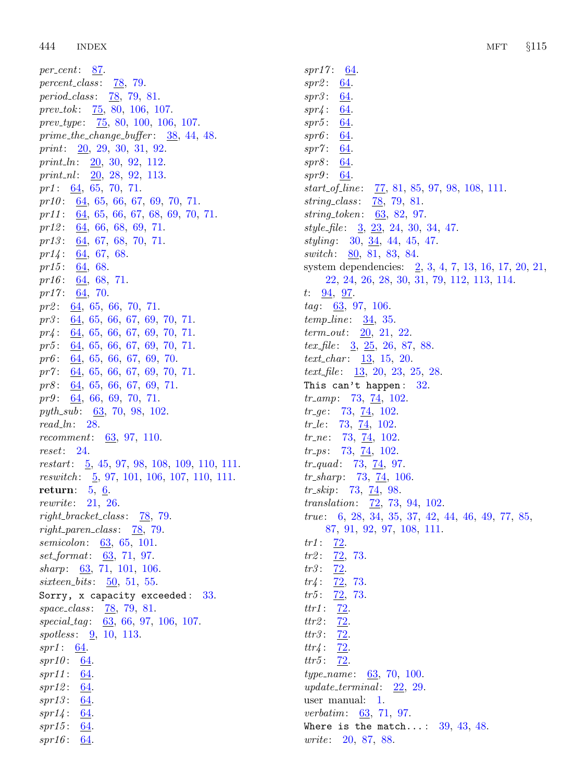per\_cent:  $87$ .  $percent\_class: 78, 79.$  $percent\_class: 78, 79.$  $percent\_class: 78, 79.$  $percent\_class: 78, 79.$  $percent\_class: 78, 79.$ period\_class: [78](#page-28-0), [79,](#page-29-0) [81](#page-30-0). prev\_tok:  $\frac{75}{6}$ , [80](#page-29-0), [106,](#page-36-0) [107.](#page-37-0) prev\_type:  $\frac{75}{6}$ , [80,](#page-29-0) [100,](#page-35-0) [106,](#page-36-0) [107.](#page-37-0) prime the change buffer :  $38, 44, 48$  $38, 44, 48$  $38, 44, 48$  $38, 44, 48$  $38, 44, 48$ . print: [20](#page-7-0), [29,](#page-9-0) [30](#page-9-0), [31,](#page-9-0) [92](#page-32-0). print  $ln: \quad 20, 30, 92, 112.$  $ln: \quad 20, 30, 92, 112.$  $ln: \quad 20, 30, 92, 112.$  $ln: \quad 20, 30, 92, 112.$  $ln: \quad 20, 30, 92, 112.$  $ln: \quad 20, 30, 92, 112.$  $ln: \quad 20, 30, 92, 112.$  $ln: \quad 20, 30, 92, 112.$  $ln: \quad 20, 30, 92, 112.$ print nl:  $20, 28, 92, 113$  $20, 28, 92, 113$  $20, 28, 92, 113$  $20, 28, 92, 113$  $20, 28, 92, 113$  $20, 28, 92, 113$ .  $pr1: 64, 65, 70, 71.$  $pr1: 64, 65, 70, 71.$  $pr1: 64, 65, 70, 71.$  $pr1: 64, 65, 70, 71.$  $pr1: 64, 65, 70, 71.$  $pr1: 64, 65, 70, 71.$  $pr1: 64, 65, 70, 71.$  $pr1: 64, 65, 70, 71.$  $pr1: 64, 65, 70, 71.$  $pr10$ :  $64, 65, 66, 67, 69, 70, 71$  $64, 65, 66, 67, 69, 70, 71$  $64, 65, 66, 67, 69, 70, 71$  $64, 65, 66, 67, 69, 70, 71$  $64, 65, 66, 67, 69, 70, 71$  $64, 65, 66, 67, 69, 70, 71$  $64, 65, 66, 67, 69, 70, 71$  $64, 65, 66, 67, 69, 70, 71$  $64, 65, 66, 67, 69, 70, 71$  $64, 65, 66, 67, 69, 70, 71$  $64, 65, 66, 67, 69, 70, 71$  $64, 65, 66, 67, 69, 70, 71$  $64, 65, 66, 67, 69, 70, 71$ . pr11 : [64](#page-20-0), [65,](#page-21-0) [66,](#page-22-0) [67,](#page-23-0) [68](#page-23-0), [69](#page-24-0), [70,](#page-25-0) [71.](#page-26-0) pr12: [64](#page-20-0), [66](#page-22-0), [68,](#page-23-0) [69](#page-24-0), [71.](#page-26-0)  $pr13$ :  $64, 67, 68, 70, 71$  $64, 67, 68, 70, 71$  $64, 67, 68, 70, 71$  $64, 67, 68, 70, 71$  $64, 67, 68, 70, 71$  $64, 67, 68, 70, 71$  $64, 67, 68, 70, 71$  $64, 67, 68, 70, 71$ .  $pr14$ : [64](#page-20-0), [67,](#page-23-0) [68.](#page-23-0) pr15:  $64, 68$  $64, 68$  $64, 68$ . pr16:  $64, 68, 71$  $64, 68, 71$  $64, 68, 71$  $64, 68, 71$ . pr17:  $64, 70$  $64, 70$  $64, 70$ .  $pr2$ :  $64, 65, 66, 70, 71$  $64, 65, 66, 70, 71$  $64, 65, 66, 70, 71$  $64, 65, 66, 70, 71$  $64, 65, 66, 70, 71$  $64, 65, 66, 70, 71$  $64, 65, 66, 70, 71$  $64, 65, 66, 70, 71$ . pr3: [64,](#page-20-0) [65](#page-21-0), [66](#page-22-0), [67](#page-23-0), [69](#page-24-0), [70](#page-25-0), [71](#page-26-0). pr4: [64,](#page-20-0) [65](#page-21-0), [66](#page-22-0), [67](#page-23-0), [69](#page-24-0), [70](#page-25-0), [71](#page-26-0). pr5: [64,](#page-20-0) [65](#page-21-0), [66](#page-22-0), [67](#page-23-0), [69](#page-24-0), [70](#page-25-0), [71](#page-26-0).  $pr6$ :  $\underline{64}$ ,  $65$ ,  $66$ ,  $67$ ,  $69$ ,  $70$ .  $pr7$ :  $64$ , [65](#page-21-0), [66](#page-22-0), [67](#page-23-0), [69](#page-24-0), [70](#page-25-0), [71](#page-26-0).  $pr8$ :  $64, 65, 66, 67, 69, 71$  $64, 65, 66, 67, 69, 71$  $64, 65, 66, 67, 69, 71$  $64, 65, 66, 67, 69, 71$  $64, 65, 66, 67, 69, 71$  $64, 65, 66, 67, 69, 71$  $64, 65, 66, 67, 69, 71$  $64, 65, 66, 67, 69, 71$  $64, 65, 66, 67, 69, 71$  $64, 65, 66, 67, 69, 71$  $64, 65, 66, 67, 69, 71$ .  $pr9: 64, 66, 69, 70, 71.$  $pr9: 64, 66, 69, 70, 71.$  $pr9: 64, 66, 69, 70, 71.$  $pr9: 64, 66, 69, 70, 71.$  $pr9: 64, 66, 69, 70, 71.$  $pr9: 64, 66, 69, 70, 71.$  $pr9: 64, 66, 69, 70, 71.$  $pr9: 64, 66, 69, 70, 71.$  $pr9: 64, 66, 69, 70, 71.$  $pr9: 64, 66, 69, 70, 71.$ pyth\_sub:  $63, 70, 98, 102$  $63, 70, 98, 102$  $63, 70, 98, 102$  $63, 70, 98, 102$  $63, 70, 98, 102$  $63, 70, 98, 102$  $63, 70, 98, 102$ .  $read\_ln: 28$ . recomment: [63,](#page-19-0) [97](#page-34-0), [110.](#page-38-0) reset: [24](#page-7-0). restart:  $\frac{5}{9}$  $\frac{5}{9}$  $\frac{5}{9}$ , [45,](#page-14-0) [97,](#page-34-0) [98](#page-34-0), [108,](#page-37-0) [109](#page-37-0), [110,](#page-38-0) [111](#page-38-0). reswitch : [5,](#page-2-0) [97,](#page-34-0) [101](#page-35-0), [106,](#page-36-0) [107](#page-37-0), [110,](#page-38-0) [111.](#page-38-0) return:  $5, 6$  $5, 6$  $5, 6$ . rewrite: [21,](#page-7-0) [26.](#page-7-0)  $right_b bracket_{class}: 78, 79.$  $right_b bracket_{class}: 78, 79.$  $right_b bracket_{class}: 78, 79.$  $right_b bracket_{class}: 78, 79.$  $right\_parent\_class: 78, 79.$  $right\_parent\_class: 78, 79.$  $right\_parent\_class: 78, 79.$  $right\_parent\_class: 78, 79.$ semicolon: [63](#page-19-0), [65,](#page-21-0) [101](#page-35-0). set format: [63,](#page-19-0) [71](#page-26-0), [97.](#page-34-0) sharp: [63](#page-19-0), [71,](#page-26-0) [101](#page-35-0), [106.](#page-36-0)  $s$ *ixteen\_bits* : [50](#page-16-0), [51,](#page-16-0) [55](#page-16-0). Sorry, x capacity exceeded: [33.](#page-10-0) space\_class: [78](#page-28-0), [79](#page-29-0), [81.](#page-30-0)  $special\_tag$ :  $63, 66, 97, 106, 107$  $63, 66, 97, 106, 107$  $63, 66, 97, 106, 107$  $63, 66, 97, 106, 107$  $63, 66, 97, 106, 107$  $63, 66, 97, 106, 107$  $63, 66, 97, 106, 107$  $63, 66, 97, 106, 107$ . spotless:  $9, 10, 113$  $9, 10, 113$  $9, 10, 113$  $9, 10, 113$ .  $spr1: 64.$  $spr1: 64.$  $spr1: 64.$  $spr10: 64.$  $spr10: 64.$  $spr10: 64.$ spr11 : [64](#page-20-0). spr12 : [64](#page-20-0).  $spr13: 64.$  $spr13: 64.$  $spr13: 64.$  $spr14: 64.$  $spr14: 64.$  $spr14: 64.$  $spr15: 64.$  $spr15: 64.$  $spr15: 64.$  $spr16: 64.$  $spr16: 64.$  $spr16: 64.$ 

 $spr17$  : [64](#page-20-0).  $spr2: 64.$  $spr2: 64.$  $spr3: 64.$  $spr3: 64.$  $spr4: 64.$  $spr4: 64.$  $spr5: 64.$  $spr5: 64.$  $spr6: 64.$  $spr6: 64.$  $spr7: 64.$  $spr7: 64.$  $spr8: 64.$  $spr8: 64.$  $spr9: 64.$  $spr9: 64.$ start of line : [77](#page-28-0), [81,](#page-30-0) [85](#page-30-0), [97,](#page-34-0) [98](#page-34-0), [108,](#page-37-0) [111](#page-38-0). string<sub>class</sub>: [78,](#page-28-0) [79](#page-29-0), [81.](#page-30-0) string token: [63,](#page-19-0) [82](#page-30-0), [97.](#page-34-0) style file:  $\frac{3}{2}, \frac{23}{24}, \frac{24}{30}, \frac{34}{47}$  $\frac{3}{2}, \frac{23}{24}, \frac{24}{30}, \frac{34}{47}$  $\frac{3}{2}, \frac{23}{24}, \frac{24}{30}, \frac{34}{47}$  $\frac{3}{2}, \frac{23}{24}, \frac{24}{30}, \frac{34}{47}$  $\frac{3}{2}, \frac{23}{24}, \frac{24}{30}, \frac{34}{47}$ .  $stylinder$ : [30](#page-9-0),  $34$ , [44,](#page-14-0) [45](#page-14-0), [47](#page-14-0). switch: [80,](#page-29-0) [81](#page-30-0), [83,](#page-30-0) [84](#page-30-0). system dependencies: [2,](#page-1-0) [3,](#page-2-0) [4,](#page-2-0) [7,](#page-3-0) [13,](#page-4-0) [16,](#page-5-0) [17,](#page-5-0) [20](#page-7-0), [21](#page-7-0), [22,](#page-7-0) [24](#page-7-0), [26,](#page-7-0) [28](#page-8-0), [30,](#page-9-0) [31,](#page-9-0) [79](#page-29-0), [112,](#page-39-0) [113](#page-39-0), [114.](#page-40-0) t:  $\frac{94}{97}$  $\frac{94}{97}$  $\frac{94}{97}$ .  $tag: 63, 97, 106.$  $tag: 63, 97, 106.$  $tag: 63, 97, 106.$  $tag: 63, 97, 106.$  $tag: 63, 97, 106.$  $tag: 63, 97, 106.$  $temp\_line: 34, 35.$  $temp\_line: 34, 35.$  $temp\_line: 34, 35.$  $temp\_line: 34, 35.$  $temp\_line: 34, 35.$ term out: [20,](#page-7-0) [21](#page-7-0), [22](#page-7-0). tex\_file: [3,](#page-2-0) [25](#page-7-0), [26,](#page-7-0) [87](#page-31-0), [88](#page-31-0).  $text_{char}: 13, 15, 20.$  $text_{char}: 13, 15, 20.$  $text_{char}: 13, 15, 20.$  $text_{char}: 13, 15, 20.$  $text_{char}: 13, 15, 20.$  $text_{char}: 13, 15, 20.$  $text_{char}: 13, 15, 20.$ text\_file:  $\frac{13}{20}$  $\frac{13}{20}$  $\frac{13}{20}$  $\frac{13}{20}$  $\frac{13}{20}$ , 20, [23,](#page-7-0) [25](#page-7-0), [28](#page-8-0). This can't happen:  $32$ .  $tr_{amp}: 73, 74, 102.$  $tr_{amp}: 73, 74, 102.$  $tr_{amp}: 73, 74, 102.$  $tr_{amp}: 73, 74, 102.$  $tr_{amp}: 73, 74, 102.$  $tr_{amp}: 73, 74, 102.$  $tr\_ge$ : [73](#page-27-0),  $\frac{74}{102}$  $\frac{74}{102}$  $\frac{74}{102}$ .  $tr_{\perp}$ e: [73](#page-27-0), [74](#page-27-0), [102.](#page-35-0)  $tr_{n} = 73, 74, 102.$  $tr_{n} = 73, 74, 102.$  $tr_{n} = 73, 74, 102.$  $tr_{n} = 73, 74, 102.$  $tr_{n} = 73, 74, 102.$  $tr_{n} = 73, 74, 102.$  $tr_{p}s$ : [73](#page-27-0), [74](#page-27-0), [102.](#page-35-0)  $tr_{\text{-}quad}: 73, 74, 97.$  $tr_{\text{-}quad}: 73, 74, 97.$  $tr_{\text{-}quad}: 73, 74, 97.$  $tr_{\text{-}quad}: 73, 74, 97.$  $tr_{\text{-}quad}: 73, 74, 97.$  $tr_{\text{-}quad}: 73, 74, 97.$  $tr\_sharp: 73, 74, 106.$  $tr\_sharp: 73, 74, 106.$  $tr\_sharp: 73, 74, 106.$  $tr\_sharp: 73, 74, 106.$  $tr\_sharp: 73, 74, 106.$  $tr\_sharp: 73, 74, 106.$  $tr\_skip: 73, 74, 98.$  $tr\_skip: 73, 74, 98.$  $tr\_skip: 73, 74, 98.$  $tr\_skip: 73, 74, 98.$  $tr\_skip: 73, 74, 98.$  $tr\_skip: 73, 74, 98.$  $tr\_skip: 73, 74, 98.$ translation: [72](#page-27-0), [73,](#page-27-0) [94,](#page-33-0) [102](#page-35-0). true : [6](#page-2-0), [28,](#page-8-0) [34,](#page-11-0) [35,](#page-11-0) [37](#page-11-0), [42](#page-13-0), [44](#page-14-0), [46](#page-14-0), [49,](#page-15-0) [77,](#page-28-0) [85,](#page-30-0) [87,](#page-31-0) [91](#page-32-0), [92](#page-32-0), [97,](#page-34-0) [108,](#page-37-0) [111](#page-38-0).  $tr1: 72.$  $tr1: 72.$  $tr1: 72.$  $tr2: 72, 73.$  $tr2: 72, 73.$  $tr2: 72, 73.$  $tr2: 72, 73.$  $tr2: 72, 73.$  $tr3: \frac{72}{.}$  $tr3: \frac{72}{.}$  $tr3: \frac{72}{.}$  $tr4: \frac{72}{73}.$  $tr4: \frac{72}{73}.$  $tr4: \frac{72}{73}.$  $tr4: \frac{72}{73}.$  $tr4: \frac{72}{73}.$ tr $5: \frac{72}{73}.$  $5: \frac{72}{73}.$  $5: \frac{72}{73}.$  $5: \frac{72}{73}.$  $5: \frac{72}{73}.$ ttr1 : [72](#page-27-0). ttr $2: 72$  $2: 72$ . ttr $3: 72.$  $3: 72.$  $3: 72.$  $tr14: 72.$  $tr14: 72.$  $tr14: 72.$ ttr $5: 72.$  $5: 72.$  $5: 72.$  $type_name: 63, 70, 100.$  $type_name: 63, 70, 100.$  $type_name: 63, 70, 100.$  $type_name: 63, 70, 100.$  $type_name: 63, 70, 100.$  $type_name: 63, 70, 100.$  $type_name: 63, 70, 100.$ update\_terminal:  $22$ , [29.](#page-9-0) user manual: [1](#page-1-0). verbatim: [63,](#page-19-0) [71,](#page-26-0) [97](#page-34-0). Where is the match...:  $39, 43, 48$  $39, 43, 48$  $39, 43, 48$  $39, 43, 48$  $39, 43, 48$ . write: [20,](#page-7-0) [87,](#page-31-0) [88](#page-31-0).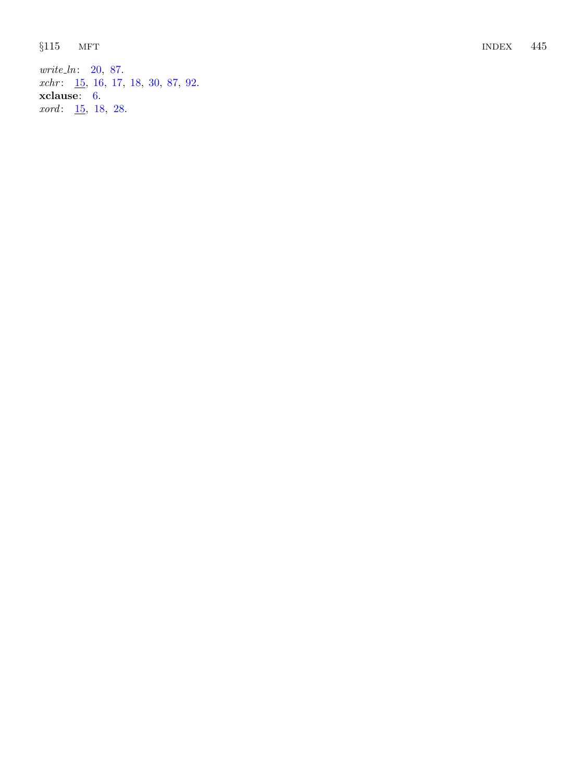write\_ln: [20](#page-7-0), [87](#page-31-0).  $xchr: \underline{15}$  $xchr: \underline{15}$  $xchr: \underline{15}$ , [16](#page-5-0), [17](#page-5-0), [18](#page-6-0), [30](#page-9-0), [87](#page-31-0), [92](#page-32-0). xclause: [6](#page-2-0). xord: [15](#page-4-0), [18](#page-6-0), [28](#page-8-0).